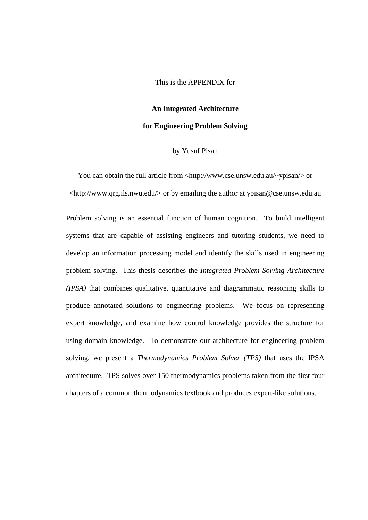This is the APPENDIX for

**An Integrated Architecture**

## **for Engineering Problem Solving**

## by Yusuf Pisan

You can obtain the full article from <http://www.cse.unsw.edu.au/~ypisan/> or <http://www.qrg.ils.nwu.edu/> or by emailing the author at ypisan@cse.unsw.edu.au

Problem solving is an essential function of human cognition. To build intelligent systems that are capable of assisting engineers and tutoring students, we need to develop an information processing model and identify the skills used in engineering problem solving. This thesis describes the *Integrated Problem Solving Architecture (IPSA)* that combines qualitative, quantitative and diagrammatic reasoning skills to produce annotated solutions to engineering problems. We focus on representing expert knowledge, and examine how control knowledge provides the structure for using domain knowledge. To demonstrate our architecture for engineering problem solving, we present a *Thermodynamics Problem Solver (TPS)* that uses the IPSA architecture. TPS solves over 150 thermodynamics problems taken from the first four chapters of a common thermodynamics textbook and produces expert-like solutions.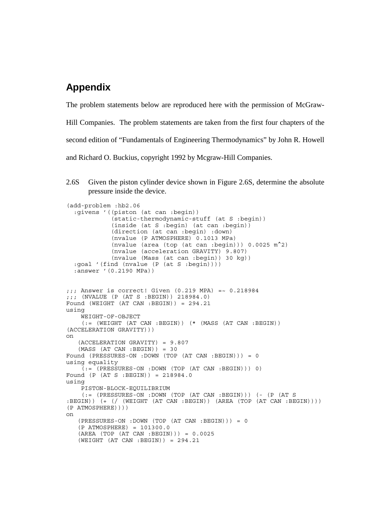## **Appendix**

The problem statements below are reproduced here with the permission of McGraw-

Hill Companies. The problem statements are taken from the first four chapters of the

second edition of "Fundamentals of Engineering Thermodynamics" by John R. Howell

and Richard O. Buckius, copyright 1992 by Mcgraw-Hill Companies.

2.6S Given the piston cylinder device shown in Figure 2.6S, determine the absolute pressure inside the device.

```
(add-problem :hb2.06
   :givens '((piston (at can :begin))
              (static-thermodynamic-stuff (at S :begin))
              (inside (at S :begin) (at can :begin))
              (direction (at can :begin) :down)
              (nvalue (P ATMOSPHERE) 0.1013 MPa)
              (nvalue (area (top (at can :begin))) 0.0025 m^2)
              (nvalue (acceleration GRAVITY) 9.807)
              (nvalue (Mass (at can :begin)) 30 kg))
   :goal '(find (nvalue (P (at S :begin))))
   :answer '(0.2190 MPa))
j;; Answer is correct! Given (0.219 \text{ MPA}) =~ 0.218984
;;; (NVALUE (P (AT S :BEGIN)) 218984.0)
Found (WEIGHT (AT CAN : BEGIN)) = 294.21using
     WEIGHT-OF-OBJECT
     (:= (WEIGHT (AT CAN :BEGIN)) (* (MASS (AT CAN :BEGIN))
(ACCELERATION GRAVITY)))
on
    (ACCELERATION GRAVITY) = 9.807
   (MASS (AT CAN : BEGIN)) = 30Found (PRESSURES-ON :DOWN (TOP (AT CAN :BEGIN))) = 0
using equality
    ( := (PRESSURES-ON :DOWN (TOP (AT CAN : BEGIN))) 0)Found (P (AT S :BEGIN)) = 218984.0
using
     PISTON-BLOCK-EQUILIBRIUM
     (:= (PRESSURES-ON :DOWN (TOP (AT CAN :BEGIN))) (- (P (AT S
:BEGIN)) (+ (/ (WEIGHT (AT CAN :BEGIN)) (AREA (TOP (AT CAN :BEGIN))))
(P ATMOSPHERE))))
on
    (PRESSURES-ON :DOWN (TOP (AT CAN :BEGIN))) = 0
    (P ATMOSPHERE) = 101300.0
    (AREA (TOP (AT CAN :BEGIN))) = 0.0025
   (WEIGHT (AT CAN : BEGIN)) = 294.21
```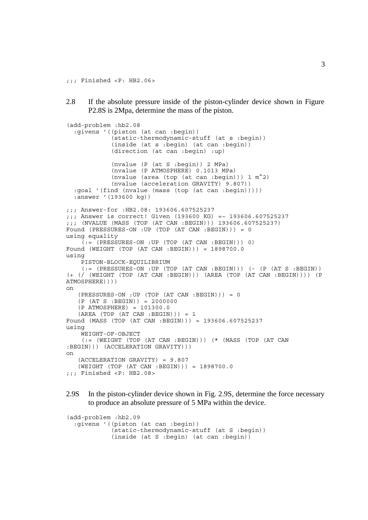;;; Finished <P: HB2.06>

2.8 If the absolute pressure inside of the piston-cylinder device shown in Figure P2.8S is 2Mpa, determine the mass of the piston.

```
(add-problem :hb2.08
   :givens '((piston (at can :begin))
              (static-thermodynamic-stuff (at s :begin))
              (inside (at s :begin) (at can :begin))
              (direction (at can :begin) :up)
              (nvalue (P (at S :begin)) 2 MPa)
              (nvalue (P ATMOSPHERE) 0.1013 MPa)
              (nvalue (area (top (at can :begin))) 1 m^2)
              (nvalue (acceleration GRAVITY) 9.807))
   :goal '(find (nvalue (mass (top (at can :begin)))))
   :answer '(193600 kg))
;;; Answer-for :HB2.08: 193606.607525237
;;; Answer is correct! Given (193600 KG) =~ 193606.607525237
;;; (NVALUE (MASS (TOP (AT CAN :BEGIN))) 193606.607525237)
Found (PRESSURES-ON :UP (TOP (AT CAN :BEGIN))) = 0
using equality
    (:= (PRESSURES-ON :UP (TOP (AT CAN : BEGIN))) 0)Found (WEIGHT (TOP (AT CAN :BEGIN))) = 1898700.0
using
     PISTON-BLOCK-EQUILIBRIUM
    (:= (PRESSURES-ON : UP (TOP (AT CAN : BEGIN))) (- (P (AT S : BEGIN))
(+ (/ (WEIGHT (TOP (AT CAN :BEGIN))) (AREA (TOP (AT CAN :BEGIN)))) (P
ATMOSPHERE))))
on
   (PRESSURES-ON :UP (TOP (AT CAN : BEGIN))) = 0(P (AT S : BEGIN)) = 2000000 (P ATMOSPHERE) = 101300.0
    (AREA (TOP (AT CAN :BEGIN))) = 1
Found (MASS (TOP (AT CAN :BEGIN))) = 193606.607525237
using
     WEIGHT-OF-OBJECT
     (:= (WEIGHT (TOP (AT CAN :BEGIN))) (* (MASS (TOP (AT CAN
:BEGIN))) (ACCELERATION GRAVITY)))
on
    (ACCELERATION GRAVITY) = 9.807
    (WEIGHT (TOP (AT CAN :BEGIN))) = 1898700.0
;;; Finished <P: HB2.08>
```
2.9S In the piston-cylinder device shown in Fig. 2.9S, determine the force necessary to produce an absolute pressure of 5 MPa within the device.

```
(add-problem :hb2.09
  :givens '((piston (at can :begin))
             (static-thermodynamic-stuff (at S :begin))
             (inside (at S :begin) (at can :begin))
```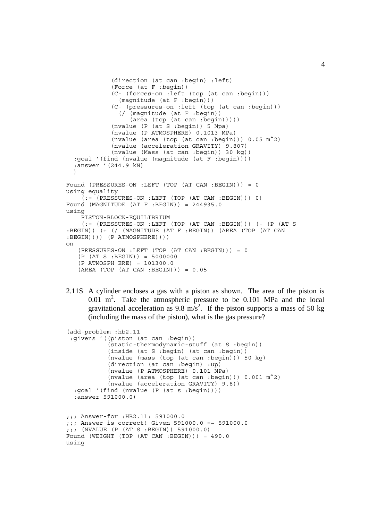```
 (direction (at can :begin) :left)
              (Force (at F :begin))
              (C- (forces-on :left (top (at can :begin)))
               (\text{magnitude } (at F :begin)))
              (C- (pressures-on :left (top (at can :begin)))
                (/ (magnitude (at F :begin))
                   (area (top (at can :begin)))))
              (nvalue (P (at S :begin)) 5 Mpa)
              (nvalue (P ATMOSPHERE) 0.1013 MPa)
              (nvalue (area (top (at can :begin))) 0.05 m^2)
             (nvalue (acceleration GRAVITY) 9.807)
              (nvalue (Mass (at can :begin)) 30 kg))
   :goal '(find (nvalue (magnitude (at F :begin))))
   :answer '(244.9 kN)
  \lambdaFound (PRESSURES-ON :LEFT (TOP (AT CAN :BEGIN))) = 0
using equality
     (:= (PRESSURES-ON :LEFT (TOP (AT CAN :BEGIN))) 0)
Found (MAGNITUDE (AT F : BEGIN)) = 244935.0using
     PISTON-BLOCK-EQUILIBRIUM
     (:= (PRESSURES-ON :LEFT (TOP (AT CAN :BEGIN))) (- (P (AT S
:BEGIN)) (+ (/ (MAGNITUDE (AT F :BEGIN)) (AREA (TOP (AT CAN
: BEGIN))) (P ATMOSPHERE))))
on
    (PRESSURES-ON :LEFT (TOP (AT CAN :BEGIN))) = 0
   (P (AT S : BEGIN)) = 5000000 (P ATMOSPH ERE) = 101300.0
   (RREA (TOP (AT CAN : BEGIN))) = 0.05
```
2.11S A cylinder encloses a gas with a piston as shown. The area of the piston is  $0.01$  m<sup>2</sup>. Take the atmospheric pressure to be  $0.101$  MPa and the local gravitational acceleration as 9.8 m/s<sup>2</sup>. If the piston supports a mass of 50 kg (including the mass of the piston), what is the gas pressure?

```
(add-problem :hb2.11
  :givens '((piston (at can :begin))
            (static-thermodynamic-stuff (at S :begin))
            (inside (at S :begin) (at can :begin))
            (nvalue (mass (top (at can :begin))) 50 kg)
            (direction (at can :begin) :up)
             (nvalue (P ATMOSPHERE) 0.101 MPa)
             (nvalue (area (top (at can :begin))) 0.001 m^2)
           (nvalue (acceleration GRAVITY) 9.8))
   :goal '(find (nvalue (P (at s :begin))))
   :answer 591000.0)
;;; Answer-for :HB2.11: 591000.0
;;; Answer is correct! Given 591000.0 =~ 591000.0
;;; (NVALUE (P (AT S :BEGIN)) 591000.0)
Found (WEIGHT (TOP (AT CAN :BEGIN))) = 490.0
using
```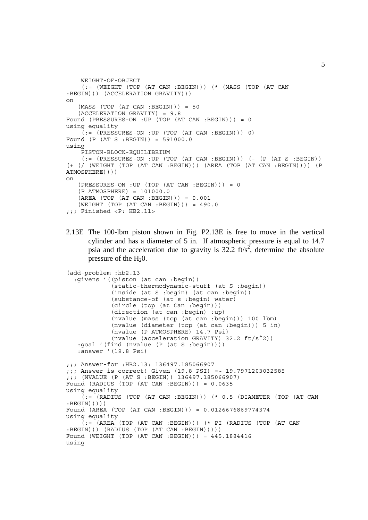```
 WEIGHT-OF-OBJECT
     (:= (WEIGHT (TOP (AT CAN :BEGIN))) (* (MASS (TOP (AT CAN
:BEGIN))) (ACCELERATION GRAVITY)))
on
   (MASS (TOP (AT CAN : BEGIN))) = 50 (ACCELERATION GRAVITY) = 9.8
Found (PRESSURES-ON :UP (TOP (AT CAN :BEGIN))) = 0
using equality
    (:= (PRESSURES-ON : UP (TOP (AT CAN : BEGIN))) 0)
Found (P (AT S :BEGIN)) = 591000.0
using
     PISTON-BLOCK-EQUILIBRIUM
     (:= (PRESSURES-ON :UP (TOP (AT CAN :BEGIN))) (- (P (AT S :BEGIN))
(+ (/ (WEIGHT (TOP (AT CAN :BEGIN))) (AREA (TOP (AT CAN :BEGIN)))) (P
ATMOSPHERE))))
on
    (PRESSURES-ON :UP (TOP (AT CAN :BEGIN))) = 0
    (P ATMOSPHERE) = 101000.0
    (AREA (TOP (AT CAN :BEGIN))) = 0.001
    (WEIGHT (TOP (AT CAN :BEGIN))) = 490.0
;;; Finished <P: HB2.11>
```
2.13E The 100-lbm piston shown in Fig. P2.13E is free to move in the vertical cylinder and has a diameter of 5 in. If atmospheric pressure is equal to 14.7 psia and the acceleration due to gravity is  $32.2 \text{ ft/s}^2$ , determine the absolute pressure of the  $H<sub>2</sub>0$ .

```
(add-problem :hb2.13
   :givens '((piston (at can :begin))
             (static-thermodynamic-stuff (at S :begin))
             (inside (at S :begin) (at can :begin))
             (substance-of (at s :begin) water)
             (circle (top (at Can :begin)))
             (direction (at can :begin) :up)
             (nvalue (mass (top (at can :begin))) 100 lbm)
             (nvalue (diameter (top (at can :begin))) 5 in)
             (nvalue (P ATMOSPHERE) 14.7 Psi)
             (nvalue (acceleration GRAVITY) 32.2 ft/s^2))
    :goal '(find (nvalue (P (at S :begin))))
    :answer '(19.8 Psi)
;;; Answer-for :HB2.13: 136497.185066907
;;; Answer is correct! Given (19.8 PSI) =~ 19.7971203032585
;;; (NVALUE (P (AT S :BEGIN)) 136497.185066907)
Found (RADIUS (TOP (AT CAN :BEGIN))) = 0.0635
using equality
     (:= (RADIUS (TOP (AT CAN :BEGIN))) (* 0.5 (DIAMETER (TOP (AT CAN
: BEGIN))))
Found (AREA (TOP (AT CAN :BEGIN))) = 0.0126676869774374
using equality
     (:= (AREA (TOP (AT CAN :BEGIN))) (* PI (RADIUS (TOP (AT CAN
:BEGIN))) (RADIUS (TOP (AT CAN :BEGIN)))))
Found (WEIGHT (TOP (AT CAN :BEGIN))) = 445.1884416
using
```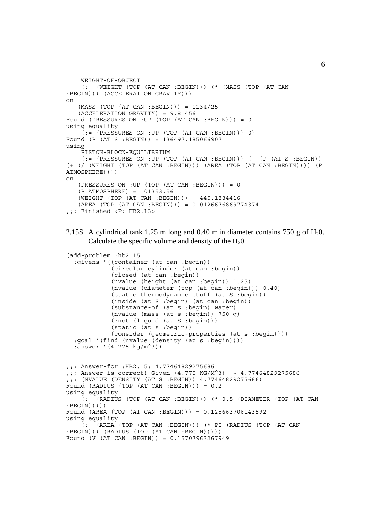```
 WEIGHT-OF-OBJECT
    (:= (WEIGHT (TOP (AT CAN :BEGIN))) (* (MASS (TOP (AT CAN
:BEGIN))) (ACCELERATION GRAVITY)))
on
   (MASS (TOP (AT CAN : BEGIN))) = 1134/25 (ACCELERATION GRAVITY) = 9.81456
Found (PRESSURES-ON :UP (TOP (AT CAN :BEGIN))) = 0
using equality
    (:= (PRESSURES-ON : UP (TOP (AT CAN : BEGIN))) 0)
Found (P (AT S :BEGIN)) = 136497.185066907
using
     PISTON-BLOCK-EQUILIBRIUM
     (:= (PRESSURES-ON :UP (TOP (AT CAN :BEGIN))) (- (P (AT S :BEGIN))
(+ (/ (WEIGHT (TOP (AT CAN :BEGIN))) (AREA (TOP (AT CAN :BEGIN)))) (P
ATMOSPHERE))))
on
    (PRESSURES-ON :UP (TOP (AT CAN :BEGIN))) = 0
    (P ATMOSPHERE) = 101353.56
    (WEIGHT (TOP (AT CAN :BEGIN))) = 445.1884416
    (AREA (TOP (AT CAN :BEGIN))) = 0.0126676869774374
;;; Finished <P: HB2.13>
```
2.15S A cylindrical tank 1.25 m long and 0.40 m in diameter contains 750 g of  $H_2$ 0. Calculate the specific volume and density of the  $H_2O$ .

```
(add-problem :hb2.15
   :givens '((container (at can :begin))
             (circular-cylinder (at can :begin))
              (closed (at can :begin))
             (nvalue (height (at can :begin)) 1.25)
             (nvalue (diameter (top (at can :begin))) 0.40)
             (static-thermodynamic-stuff (at S :begin))
             (inside (at S :begin) (at can :begin))
             (substance-of (at s :begin) water)
             (nvalue (mass (at s :begin)) 750 g)
             (:not (liquid (at S :begin)))
             (static (at s :begin))
             (consider (geometric-properties (at s :begin))))
   :goal '(find (nvalue (density (at s :begin))))
  :answer '(4.775 kg/m<sup>^</sup>3))
```

```
;;; Answer-for :HB2.15: 4.77464829275686
;;; Answer is correct! Given (4.775 \text{ KG/M}^3) = \sim 4.77464829275686;;; (NVALUE (DENSITY (AT S :BEGIN)) 4.77464829275686)
Found (RADIUS (TOP (AT CAN :BEGIN))) = 0.2
using equality
     (:= (RADIUS (TOP (AT CAN :BEGIN))) (* 0.5 (DIAMETER (TOP (AT CAN
:BEGIN)))))
Found (AREA (TOP (AT CAN :BEGIN))) = 0.125663706143592
using equality
     (:= (AREA (TOP (AT CAN :BEGIN))) (* PI (RADIUS (TOP (AT CAN
:BEGIN))) (RADIUS (TOP (AT CAN :BEGIN)))))
Found (V (AT CAN :BEGIN)) = 0.15707963267949
```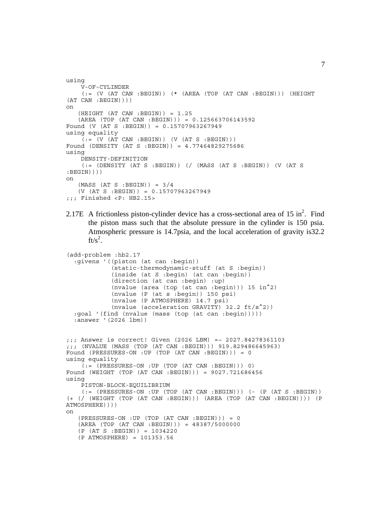```
using
     V-OF-CYLINDER
    (:= (V (AT CAN : BEGIN)) (* (AREA (TOP (AT CAN : BEGIN))) (HEIGHT)(AT CAN :BEGIN))))
on
    (HEIGHT (AT CAN :BEGIN)) = 1.25
    (AREA (TOP (AT CAN :BEGIN))) = 0.125663706143592
Found (V (AT S :BEGIN)) = 0.15707963267949
using equality
    ( := (V (AT CAN : BEGIN)) (V (AT S : BEGIN)))Found (DENSITY (AT S :BEGIN)) = 4.77464829275686
using
     DENSITY-DEFINITION
     (:= (DENSITY (AT S :BEGIN)) (/ (MASS (AT S :BEGIN)) (V (AT S
: BEGIN))))
on
   (MASS (AT S : BEGIN)) = 3/4 (V (AT S :BEGIN)) = 0.15707963267949
;;; Finished <P: HB2.15>
```
2.17E A frictionless piston-cylinder device has a cross-sectional area of  $15 \text{ in}^2$ . Find the piston mass such that the absolute pressure in the cylinder is 150 psia. Atmospheric pressure is 14.7psia, and the local acceleration of gravity is32.2 ft/s<sup>2</sup>.

```
(add-problem :hb2.17
   :givens '((piston (at can :begin))
             (static-thermodynamic-stuff (at S :begin))
             (inside (at S :begin) (at can :begin))
             (direction (at can :begin) :up)
 (nvalue (area (top (at can :begin))) 15 in^2)
 (nvalue (P (at s :begin)) 150 psi)
             (nvalue (P ATMOSPHERE) 14.7 psi)
             (nvalue (acceleration GRAVITY) 32.2 ft/s^2))
   :goal '(find (nvalue (mass (top (at can :begin)))))
  :answer '(2026 lbm))
;;; Answer is correct! Given (2026 LBM) =~ 2027.84278361103
;;; (NVALUE (MASS (TOP (AT CAN :BEGIN))) 919.829486645963)
Found (PRESSURES-ON :UP (TOP (AT CAN :BEGIN))) = 0
using equality
    (:= (PRESSURES-ON : UP (TOP (AT CAN : BEGIN))) 0)
Found (WEIGHT (TOP (AT CAN :BEGIN))) = 9027.721686456
using
     PISTON-BLOCK-EQUILIBRIUM
    (:= (PRESSURES-ON :UP (TOP (AT CAN :BEGIN))) (- (P (AT S :BEGIN))
(+ (/ (WEIGHT (TOP (AT CAN :BEGIN))) (AREA (TOP (AT CAN :BEGIN)))) (P
ATMOSPHERE))))
on
    (PRESSURES-ON :UP (TOP (AT CAN :BEGIN))) = 0
    (AREA (TOP (AT CAN :BEGIN))) = 48387/5000000
    (P (AT S :BEGIN)) = 1034220
    (P ATMOSPHERE) = 101353.56
```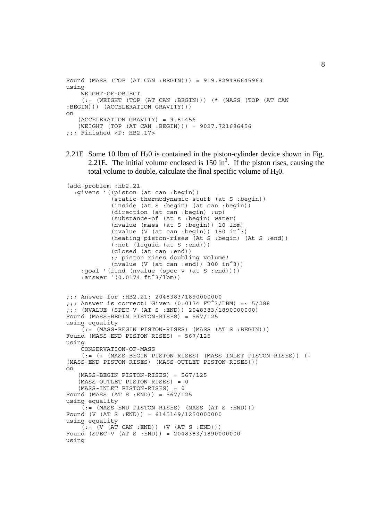```
Found (MASS (TOP (AT CAN :BEGIN))) = 919.829486645963
using
     WEIGHT-OF-OBJECT
     (:= (WEIGHT (TOP (AT CAN :BEGIN))) (* (MASS (TOP (AT CAN
:BEGIN))) (ACCELERATION GRAVITY)))
on
    (ACCELERATION GRAVITY) = 9.81456
    (WEIGHT (TOP (AT CAN :BEGIN))) = 9027.721686456
;;; Finished <P: HB2.17>
```
2.21E Some 10 lbm of  $H<sub>2</sub>0$  is contained in the piston-cylinder device shown in Fig. 2.21E. The initial volume enclosed is  $150 \text{ in}^3$ . If the piston rises, causing the total volume to double, calculate the final specific volume of  $H<sub>2</sub>0$ .

```
(add-problem :hb2.21
   :givens '((piston (at can :begin))
              (static-thermodynamic-stuff (at S :begin))
              (inside (at S :begin) (at can :begin))
              (direction (at can :begin) :up)
              (substance-of (At s :begin) water)
              (nvalue (mass (at S :begin)) 10 lbm)
             (nvalue (V (at can : begin)) 150 in^23)
              (heating piston-rises (At S :begin) (At S :end))
              (:not (liquid (at S :end)))
              (closed (at can :end))
             ;; piston rises doubling volume!
             (nvalue (V (at can end)) 300 in<sup>2</sup>3)) :goal '(find (nvalue (spec-v (at S :end))))
    :answer '(0.0174 ft<sup>^3</sup>/lbm))
;;; Answer-for :HB2.21: 2048383/1890000000
:; Answer is correct! Given (0.0174 \text{ FT}^23/\text{LBM}) =~ 5/288
;;; (NVALUE (SPEC-V (AT S :END)) 2048383/1890000000)
Found (MASS-BEGIN PISTON-RISES) = 567/125
using equality
     (:= (MASS-BEGIN PISTON-RISES) (MASS (AT S :BEGIN)))
Found (MASS-END PISTON-RISES) = 567/125
using
     CONSERVATION-OF-MASS
     (:= (+ (MASS-BEGIN PISTON-RISES) (MASS-INLET PISTON-RISES)) (+
(MASS-END PISTON-RISES) (MASS-OUTLET PISTON-RISES)))
on
    (MASS-BEGIN PISTON-RISES) = 567/125
    (MASS-OUTLET PISTON-RISES) = 0
    (MASS-INLET PISTON-RISES) = 0
Found (MASS (AT S : END)) = 567/125using equality
     (:= (MASS-END PISTON-RISES) (MASS (AT S :END)))
Found (V (AT S :END)) = 6145149/1250000000
using equality
    ( := (V (AT CAN : END)) (V (AT S : END)))Found (SPEC-V (AT S :END)) = 2048383/1890000000
using
```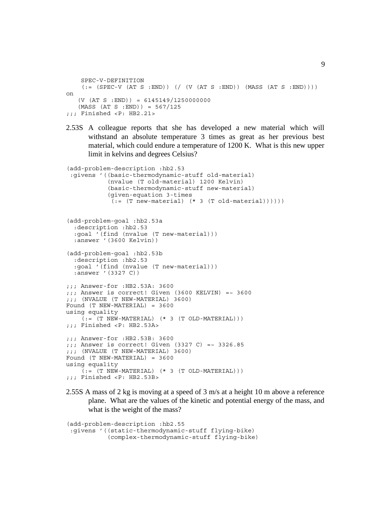```
 SPEC-V-DEFINITION
    (:= (SPEC-V (AT S : END)) ) ( / (V (AT S : END)) (MASS (AT S : END)) ))on
   (V (AT S : END)) = 6145149/1250000000(MASS (AT S : END)) = 567/125;;; Finished <P: HB2.21>
```
2.53S A colleague reports that she has developed a new material which will withstand an absolute temperature 3 times as great as her previous best material, which could endure a temperature of 1200 K. What is this new upper limit in kelvins and degrees Celsius?

```
(add-problem-description :hb2.53
  :givens '((basic-thermodynamic-stuff old-material)
             (nvalue (T old-material) 1200 Kelvin)
             (basic-thermodynamic-stuff new-material)
             (given-equation 3-times
             (:=(T new-material) (* 3 (T old-material))))))
(add-problem-goal :hb2.53a
   :description :hb2.53
   :goal '(find (nvalue (T new-material)))
   :answer '(3600 Kelvin))
(add-problem-goal :hb2.53b
   :description :hb2.53
   :goal '(find (nvalue (T new-material)))
   :answer '(3327 C))
;;; Answer-for :HB2.53A: 3600
j;; Answer is correct! Given (3600 KELVIN) =~ 3600
j;; (NVALUE (T NEW-MATERIAL) 3600)
Found (T NEW-MATERIAL) = 3600
using equality
    (:=(T \nNEW-MATERIAL) (* 3 (T OLD-MATERIAL)));;; Finished <P: HB2.53A>
;;; Answer-for :HB2.53B: 3600
;;; Answer is correct! Given (3327 C) =~ 3326.85
j;; (NVALUE (T NEW-MATERIAL) 3600)
Found (T NEW-MATERIAL) = 3600
using equality
    ( := (T \nvert \nvert NETERIAL) (* 3 (T \nvert \nvert NATERIAL)));;; Finished <P: HB2.53B>
```
2.55S A mass of 2 kg is moving at a speed of 3 m/s at a height 10 m above a reference plane. What are the values of the kinetic and potential energy of the mass, and what is the weight of the mass?

```
(add-problem-description :hb2.55
 :givens '((static-thermodynamic-stuff flying-bike)
            (complex-thermodynamic-stuff flying-bike)
```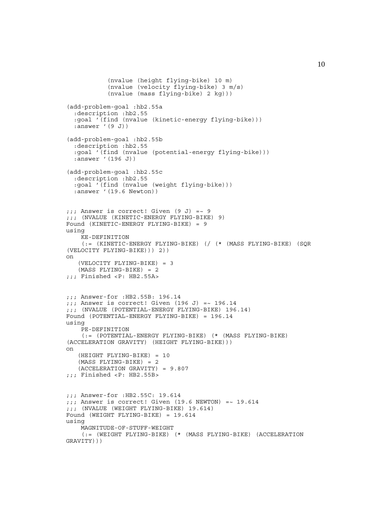```
 (nvalue (height flying-bike) 10 m)
             (nvalue (velocity flying-bike) 3 m/s)
            (nvalue (mass flying-bike) 2 kg)))
(add-problem-goal :hb2.55a
   :description :hb2.55
   :goal '(find (nvalue (kinetic-energy flying-bike)))
   :answer '(9 J))
(add-problem-goal :hb2.55b
   :description :hb2.55
   :goal '(find (nvalue (potential-energy flying-bike)))
   :answer '(196 J))
(add-problem-goal :hb2.55c
   :description :hb2.55
   :goal '(find (nvalue (weight flying-bike)))
   :answer '(19.6 Newton))
j;; Answer is correct! Given (9 J) =~ 9
;;; (NVALUE (KINETIC-ENERGY FLYING-BIKE) 9)
Found (KINETIC-ENERGY FLYING-BIKE) = 9
using
     KE-DEFINITION
     (:= (KINETIC-ENERGY FLYING-BIKE) (/ (* (MASS FLYING-BIKE) (SQR
(VELOCITY FLYING-BIKE))) 2))
on
    (VELOCITY FLYING-BIKE) = 3
    (MASS FLYING-BIKE) = 2
;;; Finished <P: HB2.55A>
;;; Answer-for :HB2.55B: 196.14
;;; Answer is correct! Given (196 J) =~ 196.14
;;; (NVALUE (POTENTIAL-ENERGY FLYING-BIKE) 196.14)
Found (POTENTIAL-ENERGY FLYING-BIKE) = 196.14
using
     PE-DEFINITION
     (:= (POTENTIAL-ENERGY FLYING-BIKE) (* (MASS FLYING-BIKE)
(ACCELERATION GRAVITY) (HEIGHT FLYING-BIKE)))
on
    (HEIGHT FLYING-BIKE) = 10
    (MASS FLYING-BIKE) = 2
    (ACCELERATION GRAVITY) = 9.807
;;; Finished <P: HB2.55B>
;;; Answer-for :HB2.55C: 19.614
j;; Answer is correct! Given (19.6 NEWTON) =~ 19.614
;;; (NVALUE (WEIGHT FLYING-BIKE) 19.614)
Found (WEIGHT FLYING-BIKE) = 19.614
using
     MAGNITUDE-OF-STUFF-WEIGHT
     (:= (WEIGHT FLYING-BIKE) (* (MASS FLYING-BIKE) (ACCELERATION
GRAVITY)))
```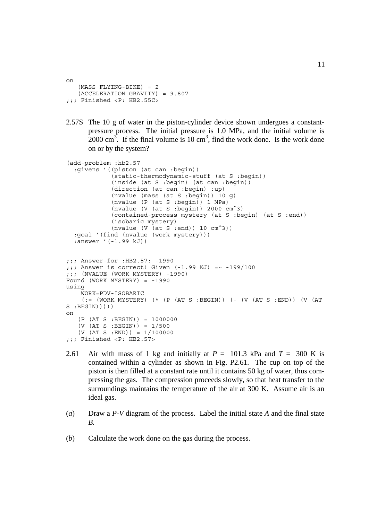```
on
   (MASS FLYING-BIKE) = 2 (ACCELERATION GRAVITY) = 9.807
;;; Finished <P: HB2.55C>
```
2.57S The 10 g of water in the piston-cylinder device shown undergoes a constantpressure process. The initial pressure is 1.0 MPa, and the initial volume is  $2000 \text{ cm}^3$ . If the final volume is 10 cm<sup>3</sup>, find the work done. Is the work done on or by the system?

```
(add-problem :hb2.57
   :givens '((piston (at can :begin))
              (static-thermodynamic-stuff (at S :begin))
              (inside (at S :begin) (at can :begin))
              (direction (at can :begin) :up)
              (nvalue (mass (at S :begin)) 10 g)
              (nvalue (P (at S :begin)) 1 MPa)
              (nvalue (V (at S :begin)) 2000 cm^3)
              (contained-process mystery (at S :begin) (at S :end))
              (isobaric mystery)
             (nvalue (V (at S :end)) 10 cm<sup>2</sup>3)) :goal '(find (nvalue (work mystery)))
   :answer '(-1.99 kJ))
;;; Answer-for :HB2.57: -1990
j;; Answer is correct! Given (-1.99 KJ) =~ -199/100;;; (NVALUE (WORK MYSTERY) -1990)
Found (WORK MYSTERY) = -1990
using
     WORK=PDV-ISOBARIC
    (:= (WORK MYSTERY) (* (P (AT S :BEGIN)) (- (V (AT S :END)) (V (AT
S : BEGIN) ) ) )on
    (P (AT S :BEGIN)) = 1000000
    (V (AT S :BEGIN)) = 1/500
   (V (AT S : END)) = 1/100000;;; Finished <P: HB2.57>
```
- 2.61 Air with mass of 1 kg and initially at  $P = 101.3$  kPa and  $T = 300$  K is contained within a cylinder as shown in Fig. P2.61. The cup on top of the piston is then filled at a constant rate until it contains 50 kg of water, thus compressing the gas. The compression proceeds slowly, so that heat transfer to the surroundings maintains the temperature of the air at 300 K. Assume air is an ideal gas.
- (*a*) Draw a *P*-*V* diagram of the process. Label the initial state *A* and the final state *B.*
- (*b*) Calculate the work done on the gas during the process.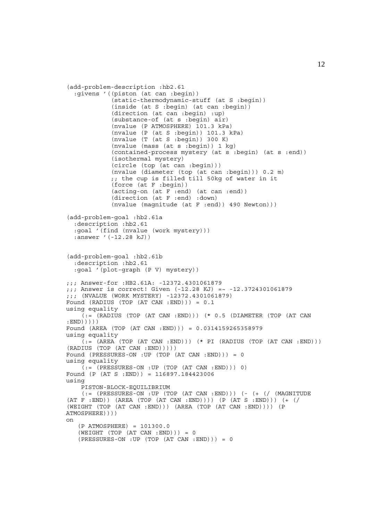```
(add-problem-description :hb2.61
   :givens '((piston (at can :begin))
              (static-thermodynamic-stuff (at S :begin))
             (inside (at S :begin) (at can :begin))
             (direction (at can :begin) :up)
             (substance-of (at s :begin) air)
             (nvalue (P ATMOSPHERE) 101.3 kPa)
              (nvalue (P (at S :begin)) 101.3 kPa)
             (nvalue (T (at S :begin)) 300 K)
              (nvalue (mass (at s :begin)) 1 kg)
              (contained-process mystery (at s :begin) (at s :end))
             (isothermal mystery)
             (circle (top (at can :begin)))
             (nvalue (diameter (top (at can :begin))) 0.2 m)
             ;; the cup is filled till 50kg of water in it
             (force (at F :begin))
             (acting-on (at F :end) (at can :end))
              (direction (at F :end) :down)
             (nvalue (magnitude (at F :end)) 490 Newton)))
(add-problem-goal :hb2.61a
   :description :hb2.61
   :goal '(find (nvalue (work mystery)))
   :answer '(-12.28 kJ))
(add-problem-goal :hb2.61b
   :description :hb2.61
   :goal '(plot-graph (P V) mystery))
;;; Answer-for :HB2.61A: -12372.4301061879
;;; Answer is correct! Given (-12.28 KJ) =~ -12.3724301061879
;;; (NVALUE (WORK MYSTERY) -12372.4301061879)
Found (RADIUS (TOP (AT CAN :END))) = 0.1
using equality
     (:= (RADIUS (TOP (AT CAN :END))) (* 0.5 (DIAMETER (TOP (AT CAN
:END)))))
Found (AREA (TOP (AT CAN :END))) = 0.0314159265358979
using equality
    (:= (AREA (TOP (AT CAN :END))) (* PI (RADIUS (TOP (AT CAN :END)))
(RADIUS (TOP (AT CAN :END)))))
Found (PRESSURES-ON :UP (TOP (AT CAN :END))) = 0
using equality
    (i := (PRESSURES-ON : UP (TOP (AT CAN : END))) 0)Found (P (AT S :END)) = 116897.184423006
using
     PISTON-BLOCK-EQUILIBRIUM
     (:= (PRESSURES-ON :UP (TOP (AT CAN :END))) (- (+ (/ (MAGNITUDE
(AT F :END)) (AREA (TOP (AT CAN :END)))) (P (AT S :END))) (+ (/
(WEIGHT (TOP (AT CAN :END))) (AREA (TOP (AT CAN :END)))) (P
ATMOSPHERE))))
on
    (P ATMOSPHERE) = 101300.0
   (WEIGHT (TOP (AT CAN : END))) = 0 (PRESSURES-ON :UP (TOP (AT CAN :END))) = 0
```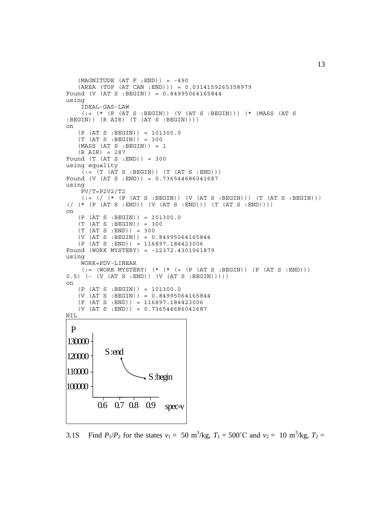```
(MAGNITUDE (AT F : END)) = -490 (AREA (TOP (AT CAN :END))) = 0.0314159265358979
Found (V (AT S :BEGIN)) = 0.84995064165844
using
     IDEAL-GAS-LAW
     (:= (* (P (AT S :BEGIN)) (V (AT S :BEGIN))) (* (MASS (AT S
:BEGIN)) (R AIR) (T (AT S :BEGIN))))
on
    (P (AT S :BEGIN)) = 101300.0
   (T (AT S : BEGIN)) = 300(MASS (AT S : BEGIN)) = 1 (R AIR) = 287
Found (T (AT S : END)) = 300using equality
    (t; = (T (AT S : BEGIN)) (T (AT S : END)))Found (V (AT S :END)) = 0.736544686041687
using
     PV/T=P2V2/T2
     (:= (/ (* (P (AT S :BEGIN)) (V (AT S :BEGIN))) (T (AT S :BEGIN)))
(\, / \, (* \, (P \, (AT \, S \, :END)) \, (V \, (AT \, S \, :END))) \, (T \, (AT \, S \, :END)))on
    (P (AT S :BEGIN)) = 101300.0
    (T (AT S :BEGIN)) = 300
   (T (AT S : END)) = 300 (V (AT S :BEGIN)) = 0.84995064165844
    (P (AT S :END)) = 116897.184423006
Found (WORK MYSTERY) = -12372.4301061879
using
     WORK=PDV-LINEAR
    (:= (WORK MYSTERY) (* (* (* (+) (P (AT S : BEGIN)) (P (AT S : END)))
0.5) (- (V (AT S :END)) (V (AT S :BEGIN)))))
on
   (P (AT S : BEGIN)) = 101300.0 (V (AT S :BEGIN)) = 0.84995064165844
    (P (AT S :END)) = 116897.184423006
   (V (AT S : END)) = 0.736544686041687NIL
           S :end
 P
120000
110000
100000
130000
         0.6 0.7 0.8 0.9 spec-v
                        S :begin
```
3.1S Find  $P_1/P_2$  for the states  $v_1 = 50 \text{ m}^3/\text{kg}$ ,  $T_1 = 500^{\circ} \text{C}$  and  $v_2 = 10 \text{ m}^3/\text{kg}$ ,  $T_2 =$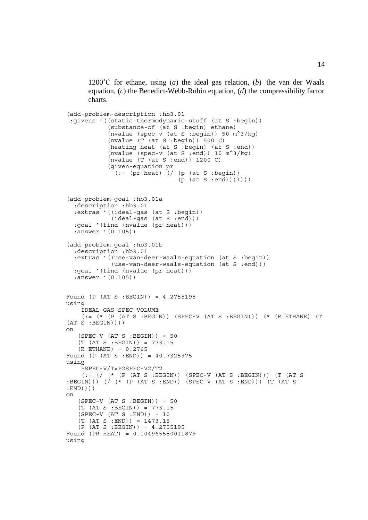1200°C for ethane, using  $(a)$  the ideal gas relation,  $(b)$  the van der Waals equation, (*c*) the Benedict-Webb-Rubin equation, (*d*) the compressibility factor charts.

```
(add-problem-description :hb3.01
  :givens '((static-thermodynamic-stuff (at S :begin))
             (substance-of (at S :begin) ethane)
           (nvalue (spec-v (at S : begin)) 50 m^2/kg)
            (nvalue (T (at S :begin)) 500 C)
            (heating heat (at S :begin) (at S :end))
           (nvalue (spec-v (at S :end)) 10 m^2/kg)
            (nvalue (T (at S :end)) 1200 C)
            (given-equation pr
              (:=(pr heat) // (p (at S : begin))(p \text{ (at S := } p)))))(add-problem-goal :hb3.01a
   :description :hb3.01
   :extras '((ideal-gas (at S :begin))
              (ideal-gas (at S :end)))
   :goal '(find (nvalue (pr heat)))
   :answer '(0.105))
(add-problem-goal :hb3.01b
   :description :hb3.01
   :extras '((use-van-deer-waals-equation (at S :begin))
              (use-van-deer-waals-equation (at S :end)))
   :goal '(find (nvalue (pr heat)))
  :answer '(0.105))
Found (P (AT S :BEGIN)) = 4.2755195
using
     IDEAL-GAS-SPEC-VOLUME
    (:= (* (P (AT S :BEGIN)) (SPEC-V (AT S :BEGIN))) (* (R ETHANE) (T
(AT S : BEGIN))on
   (SPEC-V (AT S : BEGIN)) = 50 (T (AT S :BEGIN)) = 773.15
    (R ETHANE) = 0.2765
Found (P (AT S :END)) = 40.7325975
using
     PSPEC-V/T=P2SPEC-V2/T2
    (:= // (* (P (AT S : BEGIN)) (SPEC-V (AT S : BEGIN)) (T (AT S:BEGIN))) (/ (* (P (AT S :END)) (SPEC-V (AT S :END))) (T (AT S
:END))))
on
   (SPEC-V (AT S : BEGIN)) = 50 (T (AT S :BEGIN)) = 773.15
   (SPEC-V (AT S : END)) = 10 (T (AT S :END)) = 1473.15
    (P (AT S :BEGIN)) = 4.2755195
Found (PR HEAT) = 0.104965550011879
using
```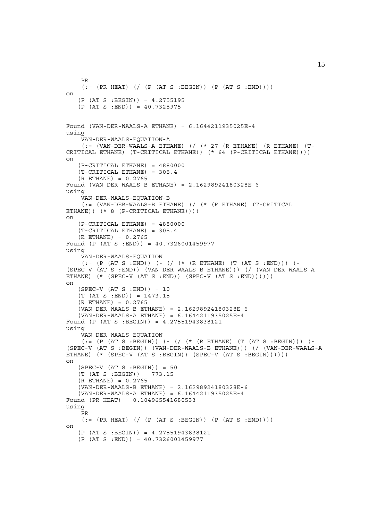```
 PR
    (:= (PR HEAT) (/ (P (AT S :BEGIN)) (P (AT S :END))))
on
   (P (AT S : BEGIN)) = 4.2755195(P (AT S : END)) = 40.7325975Found (VAN-DER-WAALS-A ETHANE) = 6.1644211935025E-4
using
     VAN-DER-WAALS-EQUATION-A
    (:= (VAN-DER-WAALS-A ETHANE) ( ( * 27 (R ETHANE) (R ETHANE) (T -CRITICAL ETHANE) (T-CRITICAL ETHANE)) (* 64 (P-CRITICAL ETHANE))))
on
    (P-CRITICAL ETHANE) = 4880000
   (T-CRITICAL ETHANE) = 305.4 (R ETHANE) = 0.2765
Found (VAN-DER-WAALS-B ETHANE) = 2.16298924180328E-6
using
     VAN-DER-WAALS-EQUATION-B
     (:= (VAN-DER-WAALS-B ETHANE) (/ (* (R ETHANE) (T-CRITICAL
ETHANE)) (* 8 (P-CRITICAL ETHANE))))
on
    (P-CRITICAL ETHANE) = 4880000
    (T-CRITICAL ETHANE) = 305.4
    (R ETHANE) = 0.2765
Found (P (AT S :END)) = 40.7326001459977
using
     VAN-DER-WAALS-EQUATION
    ( := (P (AT S : END)) ) (- { / (* (R ETHANE) (T (AT S : END))) (-(SPEC-V (AT S :END)) (VAN-DER-WAALS-B ETHANE))) (/ (VAN-DER-WAALS-A
ETHANE) (* (SPEC-V (AT S :END)) (SPEC-V (AT S :END))))))
on
   (SPEC-V (AT S : END)) = 10(T (AT S : END)) = 1473.15 (R ETHANE) = 0.2765
    (VAN-DER-WAALS-B ETHANE) = 2.16298924180328E-6
    (VAN-DER-WAALS-A ETHANE) = 6.1644211935025E-4
Found (P (AT S :BEGIN)) = 4.27551943838121
using
     VAN-DER-WAALS-EQUATION
    (:= (P (AT S : BEGIN)) (- { / (* (R ETHANE) (T (AT S : BEGIN))) (-(SPEC-V (AT S :BEGIN)) (VAN-DER-WAALS-B ETHANE))) (/ (VAN-DER-WAALS-A
ETHANE) (* (SPEC-V (AT S :BEGIN)) (SPEC-V (AT S :BEGIN))))))
on
   (SPEC-V (AT S : BEGIN)) = 50 (T (AT S :BEGIN)) = 773.15
    (R ETHANE) = 0.2765
    (VAN-DER-WAALS-B ETHANE) = 2.16298924180328E-6
    (VAN-DER-WAALS-A ETHANE) = 6.1644211935025E-4
Found (PR HEAT) = 0.104965541680533
using
     PR
    (:= (PR HEAT) (/ (P (AT S :BEGIN)) (P (AT S :END))))
on
    (P (AT S :BEGIN)) = 4.27551943838121
    (P (AT S :END)) = 40.7326001459977
```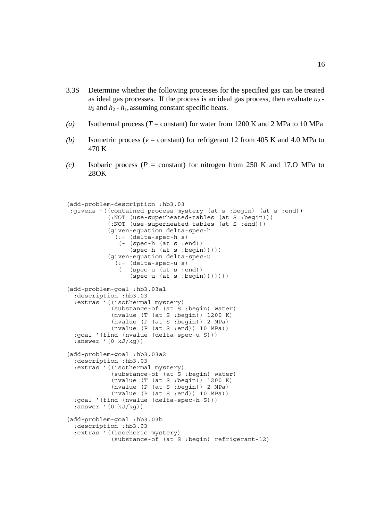- 3.3S Determine whether the following processes for the specified gas can be treated as ideal gas processes. If the process is an ideal gas process, then evaluate  $u_2$   $u_2$  and  $h_2$  -  $h_1$ , assuming constant specific heats.
- *(a)* Isothermal process (*T* = constant) for water from 1200 K and 2 MPa to 10 MPa
- *(b)* Isometric process ( $v = constant$ ) for refrigerant 12 from 405 K and 4.0 MPa to 470 K
- *(c)* Isobaric process (*P* = constant) for nitrogen from 250 K and 17.O MPa to 28OK

```
(add-problem-description :hb3.03
 :givens '((contained-process mystery (at s :begin) (at s :end))
            (:NOT (use-superheated-tables (at S :begin)))
            (:NOT (use-superheated-tables (at S :end)))
            (given-equation delta-spec-h
              (:= (delta-spec-h s)
               (- (spec-h (at s :end))
                  (spec-h (at s :begin)))))
            (given-equation delta-spec-u
              (:= (delta-spec-u s)
              (- \left(spec-u \left(at s :end))
                 (spec-u (at s :begin)))))(add-problem-goal :hb3.03a1
  :description :hb3.03
  :extras '((isothermal mystery)
             (substance-of (at S :begin) water)
             (nvalue (T (at S :begin)) 1200 K)
             (nvalue (P (at S :begin)) 2 MPa)
            (nvalue (P (at S : end)) 10 MPa)) :goal '(find (nvalue (delta-spec-u S)))
 :answer '(0 kJ/kg)(add-problem-goal :hb3.03a2
  :description :hb3.03
  :extras '((isothermal mystery)
             (substance-of (at S :begin) water)
             (nvalue (T (at S :begin)) 1200 K)
             (nvalue (P (at S :begin)) 2 MPa)
             (nvalue (P (at S :end)) 10 MPa))
  :goal '(find (nvalue (delta-spec-h S)))
  :answer '(0 kJ/kg))
(add-problem-goal :hb3.03b
  :description :hb3.03
  :extras '((isochoric mystery)
             (substance-of (at S :begin) refrigerant-12)
```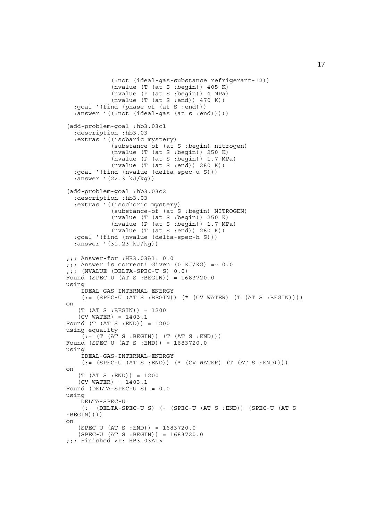```
 (:not (ideal-gas-substance refrigerant-12))
              (nvalue (T (at S :begin)) 405 K)
              (nvalue (P (at S :begin)) 4 MPa)
             (nvalue (T (at S :end)) 470 K)) :goal '(find (phase-of (at S :end)))
  :answer '((:not (ideal-gas (at s :end)))))
(add-problem-goal :hb3.03c1
   :description :hb3.03
   :extras '((isobaric mystery)
              (substance-of (at S :begin) nitrogen)
 (nvalue (T (at S :begin)) 250 K)
 (nvalue (P (at S :begin)) 1.7 MPa)
            (nvalue (T (at S : end)) 280 K)) :goal '(find (nvalue (delta-spec-u S)))
   :answer '(22.3 kJ/kg))
(add-problem-goal :hb3.03c2
   :description :hb3.03
   :extras '((isochoric mystery)
              (substance-of (at S :begin) NITROGEN)
            (nvalue (T (at S :begin)) 250 K) (nvalue (P (at S :begin)) 1.7 MPa)
            (nvalue (T (at S :end)) 280 K)) :goal '(find (nvalue (delta-spec-h S)))
   :answer '(31.23 kJ/kg))
;;; Answer-for :HB3.03A1: 0.0
;;; Answer is correct! Given (0 KJ/KG) =~ 0.0j;; (NVALUE (DELTA-SPEC-U S) 0.0)
Found (SPEC-U (AT S :BEGIN)) = 1683720.0
using
     IDEAL-GAS-INTERNAL-ENERGY
    (:=(SPEC-U (AT S : BEGIN)) (* (CV WATER) (T (AT S : BEGIN))))on
   (T (AT S : BEGIN)) = 1200 (CV WATER) = 1403.1
Found (T (AT S : END)) = 1200using equality
    (:= (T (AT S : BEGIN)) (T (AT S : END)))Found (SPEC-U (AT S :END)) = 1683720.0
using
     IDEAL-GAS-INTERNAL-ENERGY
    (:= (SPEC-U (AT S : END)) ( * (CV WATER) (T (AT S : END)))))on
   (T (AT S : END)) = 1200 (CV WATER) = 1403.1
Found (DELTA-SPEC-U S) = 0.0
using
     DELTA-SPEC-U
     (:= (DELTA-SPEC-U S) (- (SPEC-U (AT S :END)) (SPEC-U (AT S
:BEGIN))))
on
    (SPEC-U (AT S :END)) = 1683720.0
    (SPEC-U (AT S :BEGIN)) = 1683720.0
;;; Finished <P: HB3.03A1>
```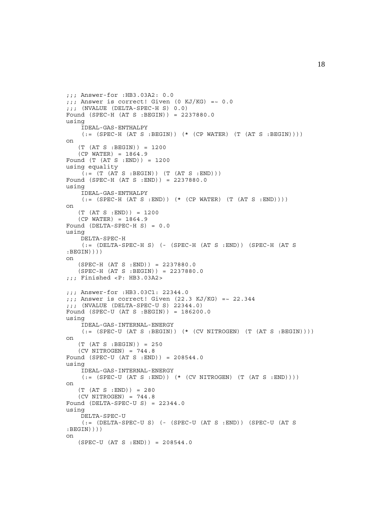```
;;; Answer-for :HB3.03A2: 0.0
;;; Answer is correct! Given (0 KJ/KG) =~ 0.0;;; (NVALUE (DELTA-SPEC-H S) 0.0)
Found (SPEC-H (AT S :BEGIN)) = 2237880.0
using
     IDEAL-GAS-ENTHALPY
    (:=(SPEC-H (AT S : BEGIN)) (* (CP WATER) (T (AT S : BEGIN))))on
    (T (AT S :BEGIN)) = 1200
   (CP WATER) = 1864.9Found (T (AT S : END)) = 1200using equality
    ( := (T (AT S : BEGIN)) (T (AT S : END)))Found (SPEC-H (AT S :END)) = 2237880.0
using
     IDEAL-GAS-ENTHALPY
    (:= (SPEC-H (AT S :END)) (* (CP WATER) (T (AT S :END))))
on
    (T (AT S :END)) = 1200
   (CP WATER) = 1864.9Found (DELTA-SPEC-H S) = 0.0
using
     DELTA-SPEC-H
    (:=[<b>DELTA-SPEC-H</b> S) (- (<b>SPEC-H</b> (AT S : END)) (<b>SPEC-H</b> (AT S:BEGIN))))
on
    (SPEC-H (AT S :END)) = 2237880.0
    (SPEC-H (AT S :BEGIN)) = 2237880.0
;;; Finished <P: HB3.03A2>
;;; Answer-for :HB3.03C1: 22344.0
;;; Answer is correct! Given (22.3 KJ/KG) =~ 22.344
;;; (NVALUE (DELTA-SPEC-U S) 22344.0)
Found (SPEC-U (AT S :BEGIN)) = 186200.0
using
     IDEAL-GAS-INTERNAL-ENERGY
    (:= (SPEC-U (AT S : BEGIN)) (*(CV NITROGEN) (T (AT S : BEGIN))))on
   (T (AT S : BEGIN)) = 250(CV NITROGEN) = 744.8Found (SPEC-U (AT S :END)) = 208544.0
using
     IDEAL-GAS-INTERNAL-ENERGY
    (:=(SPEC-U (AT S : END)) (* (CV NITROGEN) (T (AT S : END)))))on
   (T (AT S : END)) = 280(CV NITROGEN) = 744.8Found (DELTA-SPEC-U S) = 22344.0using
     DELTA-SPEC-U
    (:= (DELTA-SPEC-U S) (- (SPEC-U (AT S :END)) (SPEC-U (AT S
:BEGIN))))
on
   (SPEC-U (AT S : END)) = 208544.0
```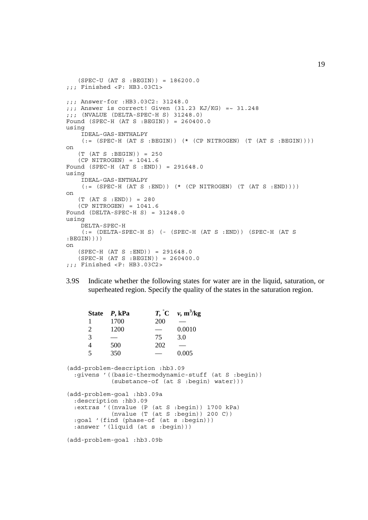```
 (SPEC-U (AT S :BEGIN)) = 186200.0
;;; Finished <P: HB3.03C1>
;;; Answer-for :HB3.03C2: 31248.0
;;; Answer is correct! Given (31.23 KJ/KG) =~ 31.248
;;; (NVALUE (DELTA-SPEC-H S) 31248.0)
Found (SPEC-H (AT S :BEGIN)) = 260400.0
using
     IDEAL-GAS-ENTHALPY
    (:=(SPEC-H (AT S : BEGIN)) (* (CP NITROGEN) (T (AT S : BEGIN))))on
   (T (AT S : BEGIN)) = 250 (CP NITROGEN) = 1041.6
Found (SPEC-H (AT S :END)) = 291648.0
using
     IDEAL-GAS-ENTHALPY
    (:=(SPEC-H (AT S : END)) (*) (CP NITROGEN) (T (AT S : END))on
   (T (AT S : END)) = 280 (CP NITROGEN) = 1041.6
Found (DELTA-SPEC-H S) = 31248.0
using
     DELTA-SPEC-H
    (: (DELTA-SPEC-H S) (- (SPEC-H (AT S : END)) (SPEC-H (AT S:BEGIN))))
on
    (SPEC-H (AT S :END)) = 291648.0
   (SPEC-H (AT S : BEGIN)) = 260400.0;;; Finished <P: HB3.03C2>
```
3.9S Indicate whether the following states for water are in the liquid, saturation, or superheated region. Specify the quality of the states in the saturation region.

| State                                                                                                                            | P, kPa                                                                                                                           |            | $T, \degree C \quad v, m^3/kg$                                                         |  |  |  |
|----------------------------------------------------------------------------------------------------------------------------------|----------------------------------------------------------------------------------------------------------------------------------|------------|----------------------------------------------------------------------------------------|--|--|--|
| 1                                                                                                                                | 1700                                                                                                                             | <b>200</b> |                                                                                        |  |  |  |
| $\overline{2}$                                                                                                                   | 1200                                                                                                                             |            | 0.0010                                                                                 |  |  |  |
| 3                                                                                                                                |                                                                                                                                  | 75         | 3.0                                                                                    |  |  |  |
| $\overline{4}$                                                                                                                   | 500                                                                                                                              | 202        |                                                                                        |  |  |  |
| 5                                                                                                                                | 350                                                                                                                              |            | 0.005                                                                                  |  |  |  |
| (add-problem-description : hb3.09<br>:qivens '((basic-thermodynamic-stuff (at S :begin))<br>(substance-of (at S :begin) water))) |                                                                                                                                  |            |                                                                                        |  |  |  |
|                                                                                                                                  | (add-problem-qoal :hb3.09a<br>:description :hb3.09<br>:goal '(find (phase-of (at s :begin)))<br>:answer '(liquid (at s :begin))) |            | : extras ' ((nvalue (P (at S : begin)) 1700 kPa)<br>(nvalue (T (at S : begin)) 200 C)) |  |  |  |
| (add-problem-goal :hb3.09b                                                                                                       |                                                                                                                                  |            |                                                                                        |  |  |  |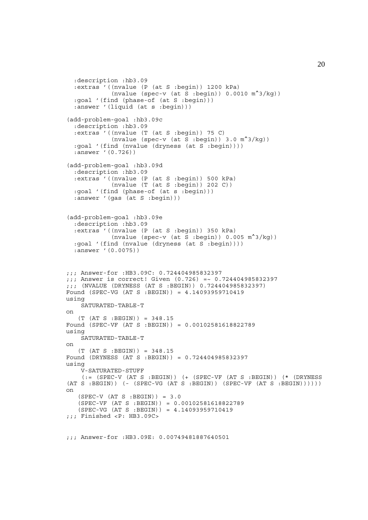```
 :description :hb3.09
   :extras '((nvalue (P (at S :begin)) 1200 kPa)
              (nvalue (spec-v (at S :begin)) 0.0010 m^3/kg))
   :goal '(find (phase-of (at S :begin)))
   :answer '(liquid (at s :begin)))
(add-problem-goal :hb3.09c
   :description :hb3.09
   :extras '((nvalue (T (at S :begin)) 75 C)
             (nvalue (spec-v (at S :begin)) 3.0 m^3/kq) :goal '(find (nvalue (dryness (at S :begin))))
   :answer '(0.726))
(add-problem-goal :hb3.09d
   :description :hb3.09
   :extras '((nvalue (P (at S :begin)) 500 kPa)
              (nvalue (T (at S :begin)) 202 C))
   :goal '(find (phase-of (at s :begin)))
  :answer '(gas (at S :begin)))
(add-problem-goal :hb3.09e
   :description :hb3.09
   :extras '((nvalue (P (at S :begin)) 350 kPa)
             (nvalue (spec-v (at S :begin)) 0.005 \text{ m}^3/\text{kg}))
   :goal '(find (nvalue (dryness (at S :begin))))
   :answer '(0.0075))
;;; Answer-for :HB3.09C: 0.724404985832397
;;; Answer is correct! Given (0.726) =~ 0.724404985832397
;;; (NVALUE (DRYNESS (AT S :BEGIN)) 0.724404985832397)
Found (SPEC-VG (AT S :BEGIN)) = 4.14093959710419
using
     SATURATED-TABLE-T
on
    (T (AT S :BEGIN)) = 348.15
Found (SPEC-VF (AT S :BEGIN)) = 0.00102581618822789
using
     SATURATED-TABLE-T
on
    (T (AT S :BEGIN)) = 348.15
Found (DRYNESS (AT S :BEGIN)) = 0.724404985832397
using
     V-SATURATED-STUFF
     (:= (SPEC-V (AT S :BEGIN)) (+ (SPEC-VF (AT S :BEGIN)) (* (DRYNESS
(AT S : BEGIN)) ( - (SPEC-VG (AT S : BEGIN)) (SPEC-VF (AT S : BEGIN)))))\capn
   (SPEC-V (AT S : BEGIN)) = 3.0 (SPEC-VF (AT S :BEGIN)) = 0.00102581618822789
    (SPEC-VG (AT S :BEGIN)) = 4.14093959710419
;;; Finished <P: HB3.09C>
;;; Answer-for :HB3.09E: 0.00749481887640501
```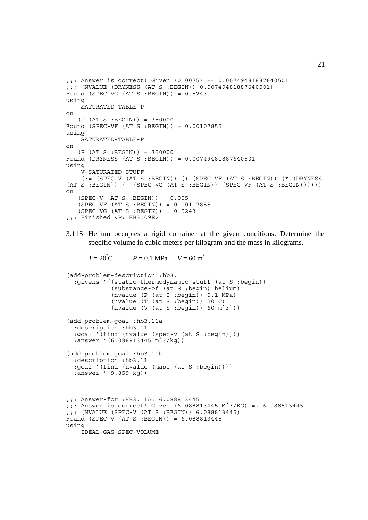```
;;; Answer is correct! Given (0.0075) =~ 0.00749481887640501
;;; (NVALUE (DRYNESS (AT S :BEGIN)) 0.00749481887640501)
Found (SPEC-VG (AT S : BEGIN)) = 0.5243using
     SATURATED-TABLE-P
on
   (P (AT S : BEGIN)) = 350000Found (SPEC-VF (AT S :BEGIN)) = 0.00107855
using
    SATURATED-TABLE-P
on
    (P (AT S :BEGIN)) = 350000
Found (DRYNESS (AT S :BEGIN)) = 0.00749481887640501
using
     V-SATURATED-STUFF
    (:=(SPEC-V (AT S : BEGIN)) (+ (SPEC-VF (AT S : BEGIN)) (* (DRYNESS(AT S : BEGIN)) (- (SPEC-VG (AT S : BEGIN)) (SPEC-VF (AT S : BEGIN)))))on
    (SPEC-V (AT S :BEGIN)) = 0.005
 (SPEC-VF (AT S :BEGIN)) = 0.00107855
 (SPEC-VG (AT S :BEGIN)) = 0.5243
;;; Finished <P: HB3.09E>
```
3.11S Helium occupies a rigid container at the given conditions. Determine the specific volume in cubic meters per kilogram and the mass in kilograms.

 $T = 20^{\circ}$ C  $P = 0.1$  MPa  $V = 60$  m<sup>3</sup>

```
(add-problem-description :hb3.11
   :givens '((static-thermodynamic-stuff (at S :begin))
             (substance-of (at S :begin) helium)
             (nvalue (P (at S :begin)) 0.1 MPa)
 (nvalue (T (at S :begin)) 20 C)
 (nvalue (V (at S :begin)) 60 m^3)))
(add-problem-goal :hb3.11a
   :description :hb3.11
   :goal '(find (nvalue (spec-v (at S :begin))))
   :answer '(6.088813445 m^3/kg))
(add-problem-goal :hb3.11b
   :description :hb3.11
   :goal '(find (nvalue (mass (at S :begin))))
   :answer '(9.859 kg))
;;; Answer-for :HB3.11A: 6.088813445
;;; Answer is correct! Given (6.088813445 \text{ M}^{\bullet}) /KG) =~ 6.088813445;;; (NVALUE (SPEC-V (AT S :BEGIN)) 6.088813445)
Found (SPEC-V (AT S :BEGIN)) = 6.088813445
using
     IDEAL-GAS-SPEC-VOLUME
```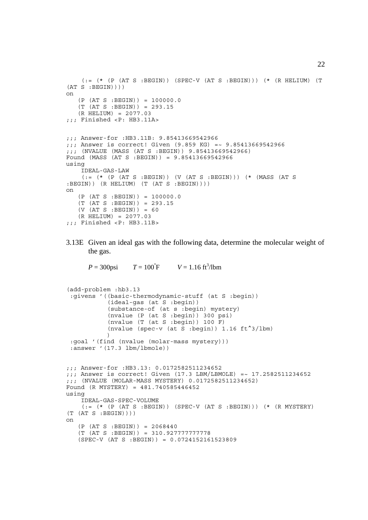```
(:= (* (P (AT S :BEGIN)) (SPEC-V (AT S :BEGIN))) (* (R HELIUM) (T
(AT S : BEGIN))on
   (P (AT S : BEGIN)) = 100000.0(T (AT S : BEGIN)) = 293.15 (R HELIUM) = 2077.03
;;; Finished <P: HB3.11A>
;;; Answer-for :HB3.11B: 9.85413669542966
;;; Answer is correct! Given (9.859 KG) =~ 9.85413669542966
;;; (NVALUE (MASS (AT S :BEGIN)) 9.85413669542966)
Found (MASS (AT S :BEGIN)) = 9.85413669542966
using
     IDEAL-GAS-LAW
     (:= (* (P (AT S :BEGIN)) (V (AT S :BEGIN))) (* (MASS (AT S
:BEGIN)) (R HELIUM) (T (AT S :BEGIN))))
on
    (P (AT S :BEGIN)) = 100000.0
   (T (AT S : BEGIN)) = 293.15(V (AT S : BEGIN)) = 60 (R HELIUM) = 2077.03
;;; Finished <P: HB3.11B>
```
3.13E Given an ideal gas with the following data, determine the molecular weight of the gas.

 $P = 300$ psi F  $V = 1.16 \text{ ft}^3/\text{lbm}$ 

```
(add-problem :hb3.13
  :givens '((basic-thermodynamic-stuff (at S :begin))
             (ideal-gas (at S :begin))
            (substance-of (at s :begin) mystery)
            (nvalue (P (at S :begin)) 300 psi)
             (nvalue (T (at S :begin)) 100 F)
           (nvalue (spec-v (at S :begin)) 1.16 \text{ ft}^3/1 \text{bm})
) :goal '(find (nvalue (molar-mass mystery)))
  :answer '(17.3 lbm/lbmole))
;;; Answer-for :HB3.13: 0.0172582511234652
;;; Answer is correct! Given (17.3 LBM/LBMOLE) =~ 17.2582511234652
;;; (NVALUE (MOLAR-MASS MYSTERY) 0.0172582511234652)
Found (R MYSTERY) = 481.740585446452
using
     IDEAL-GAS-SPEC-VOLUME
    (:= (* (P (AT S :BEGIN)) (SPEC-V (AT S :BEGIN))) (* (R MYSTERY)
(T (AT S : BEGIN))on
   (P (AT S : BEGIN)) = 2068440 (T (AT S :BEGIN)) = 310.927777777778
    (SPEC-V (AT S :BEGIN)) = 0.0724152161523809
```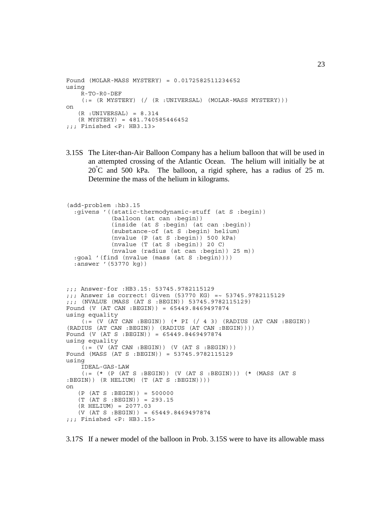```
Found (MOLAR-MASS MYSTERY) = 0.0172582511234652
using
     R-TO-R0-DEF
    (:= (R \text{ MYSTERY}) ((R \text{ :UNIVERSAL}) (MOLAR-MASS MYSTERY)))on
   (R : UNIVERSAL) = 8.314
    (R MYSTERY) = 481.740585446452
;;; Finished <P: HB3.13>
```
3.15S The Liter-than-Air Balloon Company has a helium balloon that will be used in an attempted crossing of the Atlantic Ocean. The helium will initially be at 20**°** C and 500 kPa. The balloon, a rigid sphere, has a radius of 25 m. Determine the mass of the helium in kilograms.

```
(add-problem :hb3.15
   :givens '((static-thermodynamic-stuff (at S :begin))
              (balloon (at can :begin))
              (inside (at S :begin) (at can :begin))
             (substance-of (at S :begin) helium)
             (nvalue (P (at S :begin)) 500 kPa)
             (nvalue (T (at S :begin)) 20 C)
             (nvalue (radius (at can :begin)) 25 m))
   :goal '(find (nvalue (mass (at S :begin))))
   :answer '(53770 kg))
;;; Answer-for :HB3.15: 53745.9782115129
;;; Answer is correct! Given (53770 KG) =~ 53745.9782115129
;;; (NVALUE (MASS (AT S :BEGIN)) 53745.9782115129)
Found (V (AT CAN :BEGIN)) = 65449.8469497874
using equality
    (t) = (V (AT CAN : BEGIN)) (* PI (7 4 3) (RADIUS (AT CAN : BEGIN))(RADIUS (AT CAN :BEGIN)) (RADIUS (AT CAN :BEGIN))))
Found (V (AT S :BEGIN)) = 65449.8469497874
using equality
    (:=(V (AT CAN : BEGIN)) (V (AT S : BEGIN)))Found (MASS (AT S :BEGIN)) = 53745.9782115129
using
     IDEAL-GAS-LAW
     (:= (* (P (AT S :BEGIN)) (V (AT S :BEGIN))) (* (MASS (AT S
:BEGIN)) (R HELIUM) (T (AT S :BEGIN))))
on
    (P (AT S :BEGIN)) = 500000
    (T (AT S :BEGIN)) = 293.15
    (R HELIUM) = 2077.03
    (V (AT S :BEGIN)) = 65449.8469497874
;;; Finished <P: HB3.15>
```
3.17S If a newer model of the balloon in Prob. 3.15S were to have its allowable mass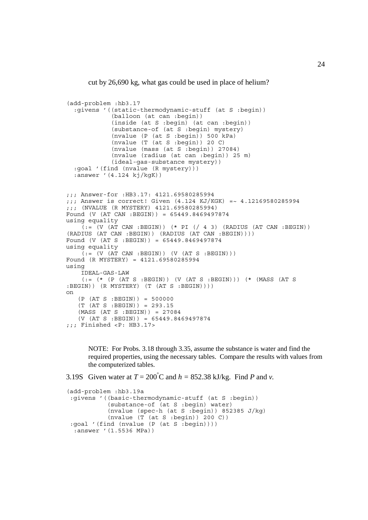cut by 26,690 kg, what gas could be used in place of helium?

```
(add-problem :hb3.17
   :givens '((static-thermodynamic-stuff (at S :begin))
              (balloon (at can :begin))
              (inside (at S :begin) (at can :begin))
              (substance-of (at S :begin) mystery)
              (nvalue (P (at S :begin)) 500 kPa)
              (nvalue (T (at S :begin)) 20 C)
              (nvalue (mass (at S :begin)) 27084)
              (nvalue (radius (at can :begin)) 25 m)
              (ideal-gas-substance mystery))
   :goal '(find (nvalue (R mystery)))
   :answer '(4.124 kj/kgK))
;;; Answer-for :HB3.17: 4121.69580285994
\frac{1}{11}; Answer is correct! Given (4.124 \text{ KJ/KGK}) = 4.12169580285994;;; (NVALUE (R MYSTERY) 4121.69580285994)
Found (V (AT CAN :BEGIN)) = 65449.8469497874
using equality
    \overline{Q}:= (V \text{ (AT CAN : BEGIN)})(* PI (743) (RADIUS (AT CAN : BEGIN))(RADIUS (AT CAN :BEGIN)) (RADIUS (AT CAN :BEGIN))))
Found (V (AT S :BEGIN)) = 65449.8469497874
using equality
    (t = (V (AT CAN : BEGIN)) (V (AT S : BEGIN)))Found (R MYSTERY) = 4121.69580285994
using
     IDEAL-GAS-LAW
    (:= (* (P (AT S :BEGIN)) (V (AT S :BEGIN))) (* (MASS (AT S
:BEGIN)) (R MYSTERY) (T (AT S :BEGIN))))
on
    (P (AT S :BEGIN)) = 500000
    (T (AT S :BEGIN)) = 293.15
    (MASS (AT S :BEGIN)) = 27084
   (V (AT S : BEGIN)) = 65449.8469497874;;; Finished <P: HB3.17>
```
NOTE: For Probs. 3.18 through 3.35, assume the substance is water and find the required properties, using the necessary tables. Compare the results with values from the computerized tables.

3.19S Given water at  $T = 200^{\circ}$ C and  $h = 852.38$  kJ/kg. Find *P* and *v*.

```
(add-problem :hb3.19a
 :givens '((basic-thermodynamic-stuff (at S :begin))
            (substance-of (at S :begin) water)
            (nvalue (spec-h (at S :begin)) 852385 J/kg)
           (nvalue (T (at S : begin)) 200 C)) :goal '(find (nvalue (P (at S :begin))))
  :answer '(1.5536 MPa))
```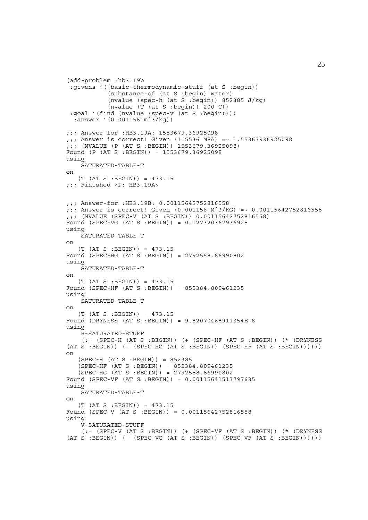```
(add-problem :hb3.19b
  :givens '((basic-thermodynamic-stuff (at S :begin))
             (substance-of (at S :begin) water)
            (nvalue (spec-h (at S :begin)) 852385 J/kg)
            (nvalue (T (at S :begin)) 200 C)) :goal '(find (nvalue (spec-v (at S :begin))))
 :answer '(0.001156 \, \text{m}^3/\text{kg}))
;;; Answer-for :HB3.19A: 1553679.36925098
;;; Answer is correct! Given (1.5536 MPA) =~ 1.55367936925098
;;; (NVALUE (P (AT S :BEGIN)) 1553679.36925098)
Found (P (AT S :BEGIN)) = 1553679.36925098
using
     SATURATED-TABLE-T
on
    (T (AT S :BEGIN)) = 473.15
;;; Finished <P: HB3.19A>
;;; Answer-for :HB3.19B: 0.00115642752816558
;;; Answer is correct! Given (0.001156 M^2/KG) = ~ 0.00115642752816558
;;; (NVALUE (SPEC-V (AT S :BEGIN)) 0.00115642752816558)
Found (SPEC-VG (AT S :BEGIN)) = 0.127320367936925
using
     SATURATED-TABLE-T
on
   (T (AT S : BEGIN)) = 473.15Found (SPEC-HG (AT S :BEGIN)) = 2792558.86990802
using
     SATURATED-TABLE-T
on
   (T (AT S : BEGIN)) = 473.15Found (SPEC-HF (AT S :BEGIN)) = 852384.809461235
using
     SATURATED-TABLE-T
on
   (T (AT S : BEGIN)) = 473.15Found (DRYNESS (AT S :BEGIN)) = 9.82070468911354E-8
using
     H-SATURATED-STUFF
    (:= (SPEC-H (AT S :BEGIN)) ( + (SPEC-HF (AT S :BEGIN)) (* (DRYNESS
(AT S : BEGIN) (- (SPEC-HG (AT S : BEGIN)) (SPEC-HF (AT S : BEGIN)))))on
    (SPEC-H (AT S :BEGIN)) = 852385
    (SPEC-HF (AT S :BEGIN)) = 852384.809461235
    (SPEC-HG (AT S :BEGIN)) = 2792558.86990802
Found (SPEC-VF (AT S :BEGIN)) = 0.00115641513797635
using
     SATURATED-TABLE-T
on
    (T (AT S :BEGIN)) = 473.15
Found (SPEC-V (AT S :BEGIN)) = 0.00115642752816558
using
     V-SATURATED-STUFF
    (:= (SPEC-V (AT S :BEGIN)) ( + (SPEC-VF (AT S :BEGIN)) (* (DRYNESS
(AT S : BEGIN)) (- (SPEC-VG (AT S : BEGIN)) (SPEC-VF (AT S : BEGIN)))))
```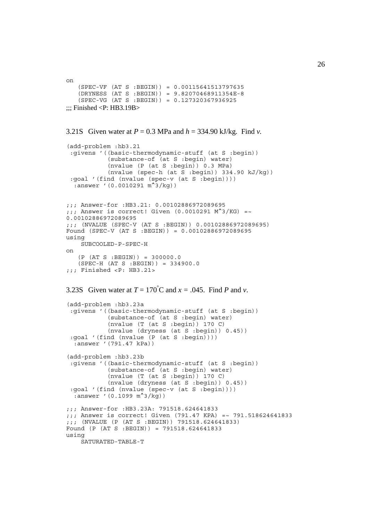```
on
    (SPEC-VF (AT S :BEGIN)) = 0.00115641513797635
 (DRYNESS (AT S :BEGIN)) = 9.82070468911354E-8
 (SPEC-VG (AT S :BEGIN)) = 0.127320367936925
\ldots: Finished <P: HB3.19B>
```

```
3.21S Given water at P = 0.3 MPa and h = 334.90 kJ/kg. Find v.
(add-problem :hb3.21
  :givens '((basic-thermodynamic-stuff (at S :begin))
             (substance-of (at S :begin) water)
             (nvalue (P (at S :begin)) 0.3 MPa)
            (nvalue (spec-h (at S :begin)) 334.90 kJ/kg) :goal '(find (nvalue (spec-v (at S :begin))))
  :answer '(0.0010291 \text{ m}^3/\text{kg});;; Answer-for :HB3.21: 0.00102886972089695
;;; Answer is correct! Given (0.0010291 \text{ M}^{\wedge}3/\text{KG}) =~
0.00102886972089695
;;; (NVALUE (SPEC-V (AT S :BEGIN)) 0.00102886972089695)
Found (SPEC-V (AT S :BEGIN)) = 0.00102886972089695
using
     SUBCOOLED-P-SPEC-H
on
    (P (AT S :BEGIN)) = 300000.0
    (SPEC-H (AT S :BEGIN)) = 334900.0
;;; Finished <P: HB3.21>
3.23S Given water at T = 170^{\circ}C and x = .045. Find P and v.
(add-problem :hb3.23a
  :givens '((basic-thermodynamic-stuff (at S :begin))
             (substance-of (at S :begin) water)
             (nvalue (T (at S :begin)) 170 C)
             (nvalue (dryness (at S :begin)) 0.45))
  :goal '(find (nvalue (P (at S :begin))))
   :answer '(791.47 kPa))
(add-problem :hb3.23b
  :givens '((basic-thermodynamic-stuff (at S :begin))
             (substance-of (at S :begin) water)
             (nvalue (T (at S :begin)) 170 C)
             (nvalue (dryness (at S :begin)) 0.45))
  :goal '(find (nvalue (spec-v (at S :begin))))
  :answer '(0.1099 m<sup>^</sup>3/kg))
```

```
;;; Answer-for :HB3.23A: 791518.624641833
;;; Answer is correct! Given (791.47 KPA) =~ 791.518624641833
;;; (NVALUE (P (AT S :BEGIN)) 791518.624641833)
Found (P (AT S :BEGIN)) = 791518.624641833
using
     SATURATED-TABLE-T
```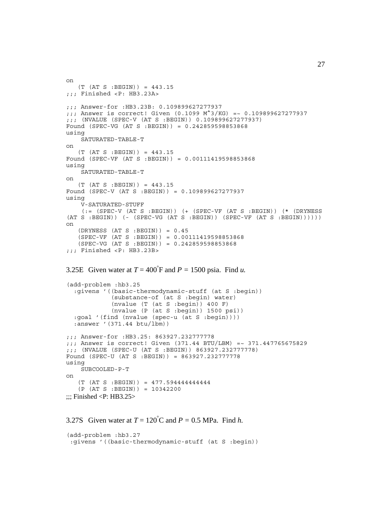```
on
    (T (AT S :BEGIN)) = 443.15
;;; Finished <P: HB3.23A>
;;; Answer-for :HB3.23B: 0.109899627277937
;;; Answer is correct! Given (0.1099 M^3/KG) =~ 0.109899627277937
;;; (NVALUE (SPEC-V (AT S :BEGIN)) 0.109899627277937)
Found (SPEC-VG (AT S :BEGIN)) = 0.242859598853868
using
     SATURATED-TABLE-T
on
    (T (AT S :BEGIN)) = 443.15
Found (SPEC-VF (AT S :BEGIN)) = 0.00111419598853868
using
     SATURATED-TABLE-T
on
   (T (AT S : BEGIN)) = 443.15Found (SPEC-V (AT S :BEGIN)) = 0.109899627277937
using
     V-SATURATED-STUFF
     (:= (SPEC-V (AT S :BEGIN)) (+ (SPEC-VF (AT S :BEGIN)) (* (DRYNESS
(AT S : BEGIN)) (- (SPEC-VG (AT S : BEGIN)) (SPEC-VF (AT S : BEGIN)))))on
   (DRYNESS (AT S : BEGIN)) = 0.45 (SPEC-VF (AT S :BEGIN)) = 0.00111419598853868
    (SPEC-VG (AT S :BEGIN)) = 0.242859598853868
;;; Finished <P: HB3.23B>
```

```
3.25E Given water at T = 400^\circ F and P = 1500 psia. Find u.
```

```
(add-problem :hb3.25
   :givens '((basic-thermodynamic-stuff (at S :begin))
              (substance-of (at S :begin) water)
             (nvalue (T (at S :begin)) 400 F)(nvalue (P (at S :begin)) 1500 psi) :goal '(find (nvalue (spec-u (at S :begin))))
   :answer '(371.44 btu/lbm))
;;; Answer-for :HB3.25: 863927.232777778
;;; Answer is correct! Given (371.44 BTU/LBM) =~ 371.447765675829
;;; (NVALUE (SPEC-U (AT S :BEGIN)) 863927.232777778)
Found (SPEC-U (AT S :BEGIN)) = 863927.232777778
using
     SUBCOOLED-P-T
on
    (T (AT S :BEGIN)) = 477.594444444444
    (P (AT S :BEGIN)) = 10342200
\ldots Finished \langle P: HB3.25>
```

```
3.27S Given water at T = 120^{\circ}C and P = 0.5 MPa. Find h.
```

```
(add-problem :hb3.27
  :givens '((basic-thermodynamic-stuff (at S :begin))
```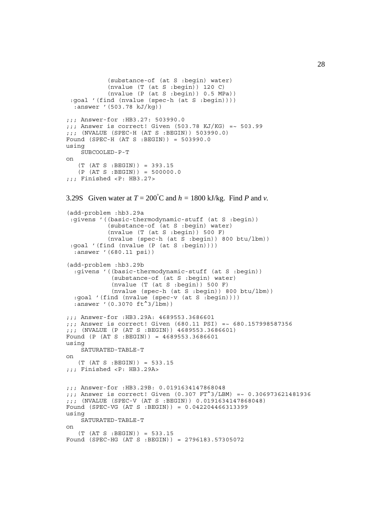```
 (substance-of (at S :begin) water)
             (nvalue (T (at S :begin)) 120 C)
             (nvalue (P (at S :begin)) 0.5 MPa))
  :goal '(find (nvalue (spec-h (at S :begin))))
  \frac{1}{2}: answer '(503.78 kJ/kg))
;;; Answer-for :HB3.27: 503990.0
j;; Answer is correct! Given (503.78 KJ/KG) = \sim 503.99
;;; (NVALUE (SPEC-H (AT S :BEGIN)) 503990.0)
Found (SPEC-H (AT S :BEGIN)) = 503990.0
using
     SUBCOOLED-P-T
on
    (T (AT S :BEGIN)) = 393.15
   (P (AT S : BEGIN)) = 500000.0;;; Finished <P: HB3.27>
3.29S Given water at T = 200^{\circ}C and h = 1800 kJ/kg. Find P and v.
(add-problem :hb3.29a
  :givens '((basic-thermodynamic-stuff (at S :begin))
             (substance-of (at S :begin) water)
            (nvalue (T (at S :begin)) 500 F) (nvalue (spec-h (at S :begin)) 800 btu/lbm))
  :goal '(find (nvalue (P (at S :begin))))
   :answer '(680.11 psi))
(add-problem :hb3.29b
   :givens '((basic-thermodynamic-stuff (at S :begin))
              (substance-of (at S :begin) water)
              (nvalue (T (at S :begin)) 500 F)
              (nvalue (spec-h (at S :begin)) 800 btu/lbm))
   :goal '(find (nvalue (spec-v (at S :begin))))
  :answer '(0.3070 \text{ ft}^2/1 \text{bm}));;; Answer-for :HB3.29A: 4689553.3686601
;;; Answer is correct! Given (680.11 PSI) =~ 680.157998587356
;;; (NVALUE (P (AT S :BEGIN)) 4689553.3686601)
Found (P (AT S :BEGIN)) = 4689553.3686601
using
     SATURATED-TABLE-T
on
   (T (AT S : BEGIN)) = 533.15;;; Finished <P: HB3.29A>
;;; Answer-for :HB3.29B: 0.0191634147868048
;;; Answer is correct! Given (0.307 FT^3/LBM) =~ 0.306973621481936
;;; (NVALUE (SPEC-V (AT S :BEGIN)) 0.0191634147868048)
Found (SPEC-VG (AT S :BEGIN)) = 0.042204466313399
using
     SATURATED-TABLE-T
on
    (T (AT S :BEGIN)) = 533.15
Found (SPEC-HG (AT S :BEGIN)) = 2796183.57305072
```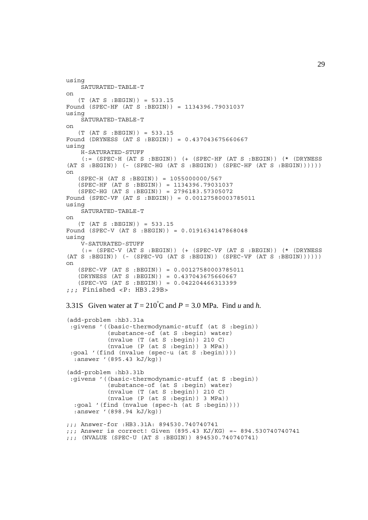```
using
     SATURATED-TABLE-T
on
   (T (AT S : BEGIN)) = 533.15Found (SPEC-HF (AT S :BEGIN)) = 1134396.79031037
using
     SATURATED-TABLE-T
on
    (T (AT S :BEGIN)) = 533.15
Found (DRYNESS (AT S :BEGIN)) = 0.437043675660667
using
     H-SATURATED-STUFF
     (:= (SPEC-H (AT S :BEGIN)) (+ (SPEC-HF (AT S :BEGIN)) (* (DRYNESS
(AT S : BEGIN) ( - (SPEC-HG (AT S : BEGIN)) (SPEC-HF (AT S : BEGIN)))))on
    (SPEC-H (AT S :BEGIN)) = 1055000000/567
    (SPEC-HF (AT S :BEGIN)) = 1134396.79031037
    (SPEC-HG (AT S :BEGIN)) = 2796183.57305072
Found (SPEC-VF (AT S :BEGIN)) = 0.00127580003785011
using
     SATURATED-TABLE-T
on
    (T (AT S :BEGIN)) = 533.15
Found (SPEC-V (AT S :BEGIN)) = 0.0191634147868048
using
     V-SATURATED-STUFF
    (:=(SPEC-V (AT S : BEGIN)) (+ (SPEC-VF (AT S : BEGIN)) (* (DRYNESS(AT S : BEGIN)) ( - (SPEC-VG (AT S : BEGIN)) (SPEC-VF (AT S : BEGIN)))))on
    (SPEC-VF (AT S :BEGIN)) = 0.00127580003785011
    (DRYNESS (AT S :BEGIN)) = 0.437043675660667
    (SPEC-VG (AT S :BEGIN)) = 0.042204466313399
;;; Finished <P: HB3.29B>
3.31S Given water at T = 210^{\circ}C and P = 3.0 MPa. Find u and h.
(add-problem :hb3.31a
  :givens '((basic-thermodynamic-stuff (at S :begin))
             (substance-of (at S :begin) water)
             (nvalue (T (at S :begin)) 210 C)
             (nvalue (P (at S :begin)) 3 MPa))
  :goal '(find (nvalue (spec-u (at S :begin))))
   :answer '(895.43 kJ/kg))
(add-problem :hb3.31b
  :givens '((basic-thermodynamic-stuff (at S :begin))
             (substance-of (at S :begin) water)
             (nvalue (T (at S :begin)) 210 C)
             (nvalue (P (at S :begin)) 3 MPa))
   :goal '(find (nvalue (spec-h (at S :begin))))
   :answer '(898.94 kJ/kg))
;;; Answer-for :HB3.31A: 894530.740740741
;;; Answer is correct! Given (895.43 KJ/KG) =~ 894.530740740741
;;; (NVALUE (SPEC-U (AT S :BEGIN)) 894530.740740741)
```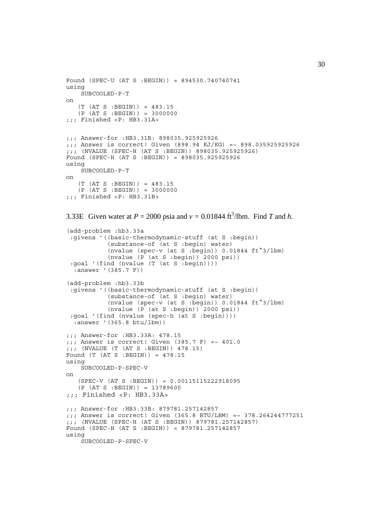```
Found (SPEC-U (AT S :BEGIN)) = 894530.740740741
using
     SUBCOOLED-P-T
on
    (T (AT S :BEGIN)) = 483.15
   (P (AT S : BEGIN)) = 3000000;;; Finished <P: HB3.31A>
;;; Answer-for :HB3.31B: 898035.925925926
;;; Answer is correct! Given (898.94 KJ/KG) =~ 898.035925925926
;;; (NVALUE (SPEC-H (AT S :BEGIN)) 898035.925925926)
Found (SPEC-H (AT S :BEGIN)) = 898035.925925926
using
     SUBCOOLED-P-T
on
    (T (AT S :BEGIN)) = 483.15
    (P (AT S :BEGIN)) = 3000000
;;; Finished <P: HB3.31B>
3.33E Given water at P = 2000 psia and v = 0.01844 ft<sup>3</sup>/lbm. Find T and h.
(add-problem :hb3.33a
  :givens '((basic-thermodynamic-stuff (at S :begin))
             (substance-of (at S :begin) water)
             (nvalue (spec-v (at S :begin)) 0.01844 ft^3/lbm)
            (nvalue (P (at S :begin)) 2000 psi) :goal '(find (nvalue (T (at S :begin))))
   :answer '(385.7 F))
(add-problem :hb3.33b
  :givens '((basic-thermodynamic-stuff (at S :begin))
             (substance-of (at S :begin) water)
             (nvalue (spec-v (at S :begin)) 0.01844 ft^3/lbm)
             (nvalue (P (at S :begin)) 2000 psi))
  :goal '(find (nvalue (spec-h (at S :begin))))
   :answer '(365.8 btu/lbm))
;;; Answer-for :HB3.33A: 478.15
::: Answer is correct! Given (385.7 \text{ F}) = ~ 401.0
;;; (NVALUE (T (AT S :BEGIN)) 478.15)
Found (T (AT S :BEGIN)) = 478.15
using
     SUBCOOLED-P-SPEC-V
on
    (SPEC-V (AT S :BEGIN)) = 0.00115115222918095
    (P (AT S :BEGIN)) = 13789600
;;; Finished <P: HB3.33A>
;;; Answer-for :HB3.33B: 879781.257142857
;;; Answer is correct! Given (365.8 BTU/LBM) =~ 378.264244777251
;;; (NVALUE (SPEC-H (AT S :BEGIN)) 879781.257142857)
Found (SPEC-H (AT S :BEGIN)) = 879781.257142857
using
     SUBCOOLED-P-SPEC-V
```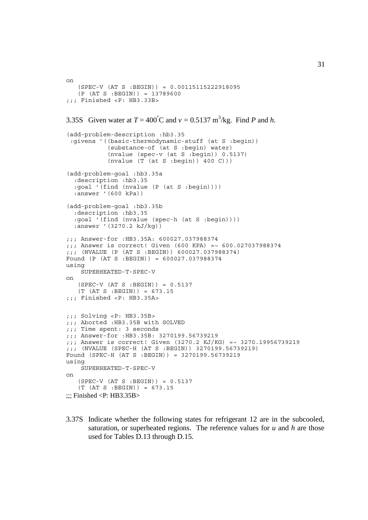```
on
    (SPEC-V (AT S :BEGIN)) = 0.00115115222918095
    (P (AT S :BEGIN)) = 13789600
;;; Finished <P: HB3.33B>
3.35S Given water at T = 400^{\circ}C and v = 0.5137 m<sup>3</sup>/kg. Find P and h.
(add-problem-description :hb3.35
  :givens '((basic-thermodynamic-stuff (at S :begin))
             (substance-of (at S :begin) water)
             (nvalue (spec-v (at S :begin)) 0.5137)
            (nvalue (T (at S :begin)) 400 C)))(add-problem-goal :hb3.35a
   :description :hb3.35
   :goal '(find (nvalue (P (at S :begin))))
   :answer '(600 kPa))
(add-problem-goal :hb3.35b
   :description :hb3.35
   :goal '(find (nvalue (spec-h (at S :begin))))
   :answer '(3270.2 kJ/kg))
;;; Answer-for :HB3.35A: 600027.037988374
;;; Answer is correct! Given (600 KPA) =~ 600.027037988374
;;; (NVALUE (P (AT S :BEGIN)) 600027.037988374)
Found (P (AT S :BEGIN)) = 600027.037988374
using
     SUPERHEATED-T-SPEC-V
on
    (SPEC-V (AT S :BEGIN)) = 0.5137
    (T (AT S :BEGIN)) = 673.15
;;; Finished <P: HB3.35A>
;;; Solving <P: HB3.35B>
;;; Aborted :HB3.35B with SOLVED
;;; Time spent: 3 seconds
;;; Answer-for :HB3.35B: 3270199.56739219
;;; Answer is correct! Given (3270.2 KJ/KG) =~ 3270.19956739219
;;; (NVALUE (SPEC-H (AT S :BEGIN)) 3270199.56739219)
Found (SPEC-H (AT S :BEGIN)) = 3270199.56739219
using
     SUPERHEATED-T-SPEC-V
on
   (SPEC-V (AT S : BEGIN)) = 0.5137(T (AT S : BEGIN)) = 673.15\ldots Finished <P: HB3.35B>
```
3.37S Indicate whether the following states for refrigerant 12 are in the subcooled, saturation, or superheated regions. The reference values for *u* and *h* are those used for Tables D.13 through D.15.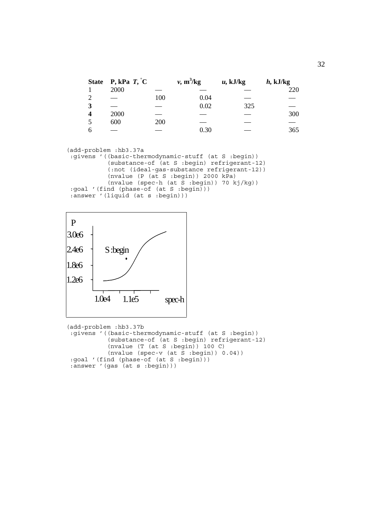| <b>State</b> | <b>P</b> , kPa $T, C$ |     | $v, m^3/kg$ | $u$ , kJ/kg | $h$ , kJ/kg |
|--------------|-----------------------|-----|-------------|-------------|-------------|
|              | 2000                  |     |             |             | 220         |
|              |                       | 100 | 0.04        |             |             |
|              |                       |     | 0.02        | 325         |             |
|              | 2000                  |     |             |             | 300         |
|              | 600                   | 200 |             |             |             |
|              |                       |     | 0.30        |             | 365         |

(add-problem :hb3.37a :givens '((basic-thermodynamic-stuff (at S :begin)) (substance-of (at S :begin) refrigerant-12) (:not (ideal-gas-substance refrigerant-12)) (nvalue (P (at S :begin)) 2000 kPa) (nvalue (spec-h (at S :begin)) 70 kj/kg)) :goal '(find (phase-of (at S :begin))) :answer '(liquid (at s :begin)))



(add-problem :hb3.37b :givens '((basic-thermodynamic-stuff (at S :begin)) (substance-of (at S :begin) refrigerant-12) (nvalue (T (at S :begin)) 100 C) (nvalue (spec-v (at S :begin)) 0.04)) :goal '(find (phase-of (at S :begin))) :answer '(gas (at s :begin)))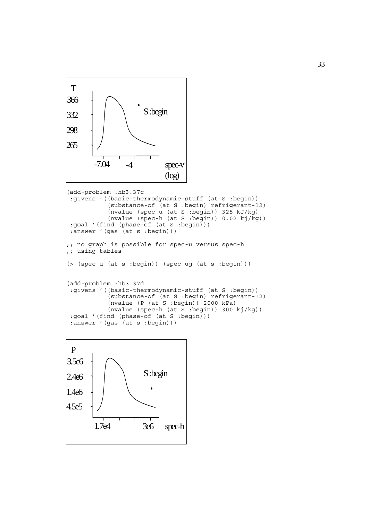

```
(add-problem :hb3.37c
  :givens '((basic-thermodynamic-stuff (at S :begin))
            (substance-of (at S :begin) refrigerant-12)
            (nvalue (spec-u (at S :begin)) 325 kJ/kg)
            (nvalue (spec-h (at S :begin)) 0.02 kj/kg))
  :goal '(find (phase-of (at S :begin)))
:answer '(gas (at s :begin)))
;; no graph is possible for spec-u versus spec-h
;; using tables
(> (spec-u (at s :begin)) (spec-ug (at s :begin)))
(add-problem :hb3.37d
 :givens '((basic-thermodynamic-stuff (at S :begin))
            (substance-of (at S :begin) refrigerant-12)
            (nvalue (P (at S :begin)) 2000 kPa)
           (nvalue (spec-h (at S :begin)) 300 kj/kg) :goal '(find (phase-of (at S :begin)))
  :answer '(gas (at s :begin)))
```
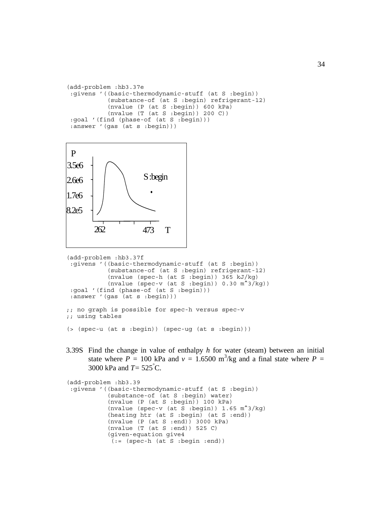```
(add-problem :hb3.37e
 :givens '((basic-thermodynamic-stuff (at S :begin))
 (substance-of (at S :begin) refrigerant-12)
           (nvalue (P (at S :begin)) 600 kPa)
          (nvalue (T (at S :begin)) 200 C)) :goal '(find (phase-of (at S :begin)))
:answer '(gas (at s :begin)))
```


```
(add-problem :hb3.37f
 :givens '((basic-thermodynamic-stuff (at S :begin))
 (substance-of (at S :begin) refrigerant-12)
 (nvalue (spec-h (at S :begin)) 365 kJ/kg)
          (nvalue (spec-v (at S :begin)) 0.30 m^3/kg) :goal '(find (phase-of (at S :begin)))
 :answer '(gas (at s :begin)))
;; no graph is possible for spec-h versus spec-v
```

```
;; using tables
```

```
(> (spec-u (at s :begin)) (spec-ug (at s :begin)))
```
3.39S Find the change in value of enthalpy *h* for water (steam) between an initial state where  $P = 100$  kPa and  $v = 1.6500$  m<sup>3</sup>/kg and a final state where  $P =$ 3000 kPa and *T=* 525° C.

```
(add-problem :hb3.39
 :givens '((basic-thermodynamic-stuff (at S :begin))
             (substance-of (at S :begin) water)
             (nvalue (P (at S :begin)) 100 kPa)
            (nvalue (spec-v (at S :begin)) 1.65 \text{ m}^3/\text{kg})
             (heating htr (at S :begin) (at S :end))
            (nvalue (P (at S :end)) 3000 kPa) (nvalue (T (at S :end)) 525 C)
             (given-equation give4
             (:= (spec-h (at S :begin :end))
```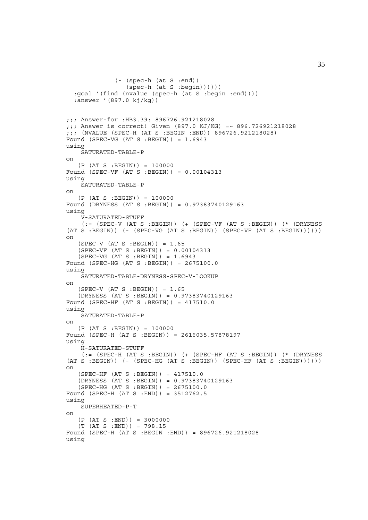```
 (- (spec-h (at S :end))
                  (spec-h (at S :begin))))))
   :goal '(find (nvalue (spec-h (at S :begin :end))))
   :answer '(897.0 kj/kg))
;;; Answer-for :HB3.39: 896726.921218028
;;; Answer is correct! Given (897.0 KJ/KG) =~ 896.726921218028
;;; (NVALUE (SPEC-H (AT S :BEGIN :END)) 896726.921218028)
Found (SPEC-VG (AT S : BEGIN)) = 1.6943using
     SATURATED-TABLE-P
on
    (P (AT S :BEGIN)) = 100000
Found (SPEC-VF (AT S :BEGIN)) = 0.00104313
using
     SATURATED-TABLE-P
on
    (P (AT S :BEGIN)) = 100000
Found (DRYNESS (AT S :BEGIN)) = 0.97383740129163
using
     V-SATURATED-STUFF
     (:= (SPEC-V (AT S :BEGIN)) (+ (SPEC-VF (AT S :BEGIN)) (* (DRYNESS
(AT S : BEGIN)) (- (SPEC-VG (AT S : BEGIN)) (SPEC-VF (AT S : BEGIN)))))on
    (SPEC-V (AT S :BEGIN)) = 1.65
    (SPEC-VF (AT S :BEGIN)) = 0.00104313
   (SPEC-VG (AT S : BEGIN)) = 1.6943Found (SPEC-HG (AT S :BEGIN)) = 2675100.0
using
     SATURATED-TABLE-DRYNESS-SPEC-V-LOOKUP
on
   (SPEC-V (AT S : BEGIN)) = 1.65 (DRYNESS (AT S :BEGIN)) = 0.97383740129163
Found (SPEC-HF (AT S :BEGIN)) = 417510.0
using
     SATURATED-TABLE-P
on
   (P (AT S : BEGIN)) = 100000Found (SPEC-H (AT S :BEGIN)) = 2616035.57878197
using
     H-SATURATED-STUFF
    (: (SPEC-H (AT S :BEGIN)) (+ (SPEC-HF (AT S :BEGIN)) (* (DRYNESS
(AT S : BEGIN)) (- (SPEC-HG (AT S : BEGIN)) (SPEC-HF (AT S : BEGIN)))))on
    (SPEC-HF (AT S :BEGIN)) = 417510.0
    (DRYNESS (AT S :BEGIN)) = 0.97383740129163
    (SPEC-HG (AT S :BEGIN)) = 2675100.0
Found (SPEC-H (AT S :END)) = 3512762.5
using
     SUPERHEATED-P-T
on
   (P (AT S : END)) = 3000000 (T (AT S :END)) = 798.15
Found (SPEC-H (AT S :BEGIN :END)) = 896726.921218028
using
```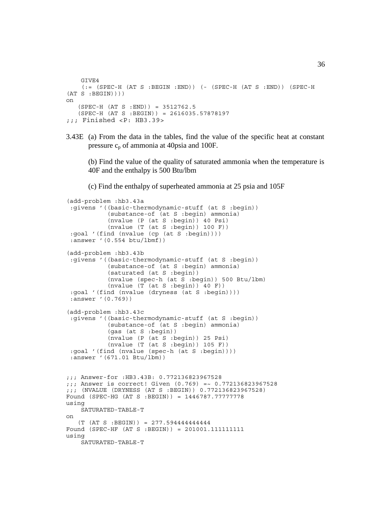```
 GIVE4
    (:= (SPEC-H (AT S :BEGIN :END)) (- (SPEC-H (AT S :END)) (SPEC-H
(AT S : BEGIN))on
    (SPEC-H (AT S :END)) = 3512762.5
    (SPEC-H (AT S :BEGIN)) = 2616035.57878197
;;; Finished <P: HB3.39>
```

```
3.43E (a) From the data in the tables, find the value of the specific heat at constant
       pressure c_n of ammonia at 40psia and 100F.
```
(b) Find the value of the quality of saturated ammonia when the temperature is 40F and the enthalpy is 500 Btu/lbm

(c) Find the enthalpy of superheated ammonia at 25 psia and 105F

```
(add-problem :hb3.43a
  :givens '((basic-thermodynamic-stuff (at S :begin))
             (substance-of (at S :begin) ammonia)
             (nvalue (P (at S :begin)) 40 Psi)
            (nvalue (T (at S :begin)) 100 F)) :goal '(find (nvalue (cp (at S :begin))))
  :answer '(0.554 btu/lbmf))
(add-problem :hb3.43b
  :givens '((basic-thermodynamic-stuff (at S :begin))
             (substance-of (at S :begin) ammonia)
            (saturated (at S :begin))
             (nvalue (spec-h (at S :begin)) 500 Btu/lbm)
           (nvalue (T (at S : begin)) 40 F)) :goal '(find (nvalue (dryness (at S :begin))))
  :answer '(0.769))
(add-problem :hb3.43c
  :givens '((basic-thermodynamic-stuff (at S :begin))
             (substance-of (at S :begin) ammonia)
             (gas (at S :begin))
             (nvalue (P (at S :begin)) 25 Psi)
            (nvalue (T (at S :begin)) 105 F)) :goal '(find (nvalue (spec-h (at S :begin))))
  :answer '(671.01 Btu/lbm))
;;; Answer-for :HB3.43B: 0.772136823967528
;;; Answer is correct! Given (0.769) =~ 0.772136823967528
;;; (NVALUE (DRYNESS (AT S :BEGIN)) 0.772136823967528)
Found (SPEC-HG (AT S :BEGIN)) = 1446787.77777778
using
     SATURATED-TABLE-T
on
    (T (AT S :BEGIN)) = 277.594444444444
Found (SPEC-HF (AT S :BEGIN)) = 201001.111111111
using
     SATURATED-TABLE-T
```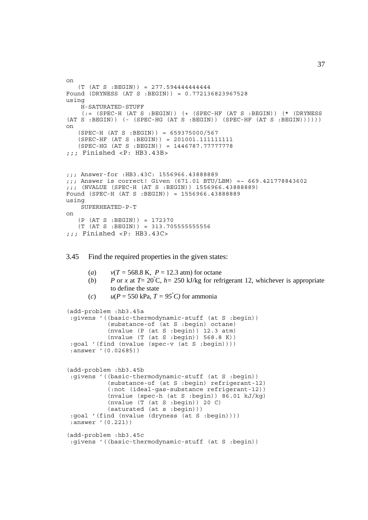```
on
    (T (AT S :BEGIN)) = 277.594444444444
Found (DRYNESS (AT S :BEGIN)) = 0.772136823967528
using
    H-SATURATED-STUFF
     (:= (SPEC-H (AT S :BEGIN)) (+ (SPEC-HF (AT S :BEGIN)) (* (DRYNESS
(AT S : BEGIN)) (- (SPEC-HG (AT S : BEGIN)) (SPEC-HF (AT S : BEGIN)))))on
    (SPEC-H (AT S :BEGIN)) = 659375000/567
    (SPEC-HF (AT S :BEGIN)) = 201001.111111111
    (SPEC-HG (AT S :BEGIN)) = 1446787.77777778
;;; Finished <P: HB3.43B>
;;; Answer-for :HB3.43C: 1556966.43888889
;;; Answer is correct! Given (671.01 BTU/LBM) =~ 669.421778843602
;;; (NVALUE (SPEC-H (AT S :BEGIN)) 1556966.43888889)
Found (SPEC-H (AT S :BEGIN)) = 1556966.43888889
using
     SUPERHEATED-P-T
on
    (P (AT S :BEGIN)) = 172370
   (T (AT S : BEGIN)) = 313.705555555556;;; Finished <P: HB3.43C>
```
3.45 Find the required properties in the given states:

```
(a) v(T = 568.8 \text{ K}, P = 12.3 \text{ atm}) \text{ for octane}(b) P or x at T= 20<sup>°</sup>C, h= 250 kJ/kg for refrigerant 12, whichever is appropriate
         to define the state
```
(*c*)  $u(P = 550 \text{ kPa}, T = 95^{\circ}C)$  for ammonia

```
(add-problem :hb3.45a
 :givens '((basic-thermodynamic-stuff (at S :begin))
            (substance-of (at S :begin) octane)
            (nvalue (P (at S :begin)) 12.3 atm)
            (nvalue (T (at S :begin)) 568.8 K))
 :goal '(find (nvalue (spec-v (at S :begin))))
 :answer '(0.02685))
(add-problem :hb3.45b
 :givens '((basic-thermodynamic-stuff (at S :begin))
            (substance-of (at S :begin) refrigerant-12)
            (:not (ideal-gas-substance refrigerant-12))
            (nvalue (spec-h (at S :begin)) 86.01 kJ/kg)
            (nvalue (T (at S :begin)) 20 C)
            (saturated (at s :begin)))
 :goal '(find (nvalue (dryness (at S :begin))))
 :answer '(0.221))
(add-problem :hb3.45c
 :givens '((basic-thermodynamic-stuff (at S :begin))
```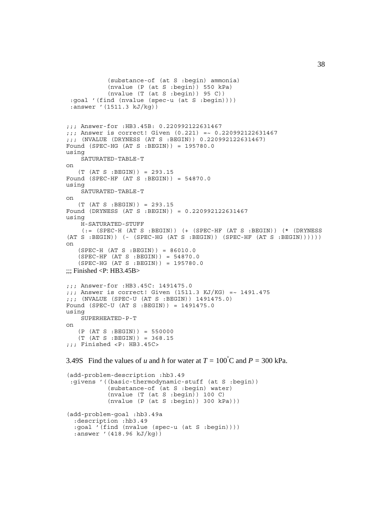```
 (substance-of (at S :begin) ammonia)
             (nvalue (P (at S :begin)) 550 kPa)
            (nvalue (T (at S : begin)) 95 C)) :goal '(find (nvalue (spec-u (at S :begin))))
  :answer '(1511.3 kJ/kg))
;;; Answer-for :HB3.45B: 0.220992122631467
;;; Answer is correct! Given (0.221) =~ 0.220992122631467
;;; (NVALUE (DRYNESS (AT S :BEGIN)) 0.220992122631467)
Found (SPEC-HG (AT S :BEGIN)) = 195780.0
using
     SATURATED-TABLE-T
on
   (T (AT S : BEGIN)) = 293.15Found (SPEC-HF (AT S :BEGIN)) = 54870.0
using
     SATURATED-TABLE-T
on
    (T (AT S :BEGIN)) = 293.15
Found (DRYNESS (AT S :BEGIN)) = 0.220992122631467
using
     H-SATURATED-STUFF
    (:= (SPEC-H (AT S :BEGIN)) ( + (SPEC-HF (AT S :BEGIN)) (* (DRYNESS
(AT S : BEGIN) ( - (SPEC-HG (AT S : BEGIN)) (SPEC-HF (AT S : BEGIN)))))on
   (SPEC-H (AT S : BEGIN)) = 86010.0 (SPEC-HF (AT S :BEGIN)) = 54870.0
 (SPEC-HG (AT S :BEGIN)) = 195780.0
\ldots: Finished <P: HB3.45B>
;;; Answer-for :HB3.45C: 1491475.0
;;; Answer is correct! Given (1511.3 \text{ KJ/KG}) = ~1491.475;;; (NVALUE (SPEC-U (AT S :BEGIN)) 1491475.0)
Found (SPEC-U (AT S :BEGIN)) = 1491475.0
using
     SUPERHEATED-P-T
on
    (P (AT S :BEGIN)) = 550000
    (T (AT S :BEGIN)) = 368.15
;;; Finished <P: HB3.45C>
3.49S Find the values of u and h for water at T = 100^{\circ}C and P = 300 kPa.
```

```
(add-problem-description :hb3.49
  :givens '((basic-thermodynamic-stuff (at S :begin))
            (substance-of (at S :begin) water)
           (nvalue (T (at S :begin)) 100 C) (nvalue (P (at S :begin)) 300 kPa)))
(add-problem-goal :hb3.49a
   :description :hb3.49
   :goal '(find (nvalue (spec-u (at S :begin))))
   :answer '(418.96 kJ/kg))
```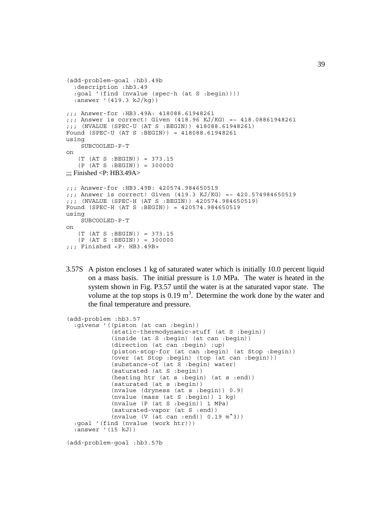```
(add-problem-goal :hb3.49b
   :description :hb3.49
   :goal '(find (nvalue (spec-h (at S :begin))))
   :answer '(419.3 kJ/kg))
;;; Answer-for :HB3.49A: 418088.61948261
;;; Answer is correct! Given (418.96 KJ/KG) =~ 418.08861948261
;;; (NVALUE (SPEC-U (AT S :BEGIN)) 418088.61948261)
Found (SPEC-U (AT S :BEGIN)) = 418088.61948261
using
     SUBCOOLED-P-T
on
    (T (AT S :BEGIN)) = 373.15
    (P (AT S :BEGIN)) = 300000
\ldots Finished <P: HB3.49A>
;;; Answer-for :HB3.49B: 420574.984650519
;;; Answer is correct! Given (419.3 KJ/KG) =~ 420.574984650519
;;; (NVALUE (SPEC-H (AT S :BEGIN)) 420574.984650519)
Found (SPEC-H (AT S :BEGIN)) = 420574.984650519
using
     SUBCOOLED-P-T
on
   (T (AT S : BEGIN)) = 373.15 (P (AT S :BEGIN)) = 300000
;;; Finished <P: HB3.49B>
```
3.57S A piston encloses 1 kg of saturated water which is initially 10.0 percent liquid on a mass basis. The initial pressure is 1.0 MPa. The water is heated in the system shown in Fig. P3.57 until the water is at the saturated vapor state. The volume at the top stops is  $0.19 \text{ m}^3$ . Determine the work done by the water and the final temperature and pressure.

```
(add-problem :hb3.57
  :givens '((piston (at can :begin))
             (static-thermodynamic-stuff (at S :begin))
             (inside (at S :begin) (at can :begin))
             (direction (at can :begin) :up)
             (piston-stop-for (at can :begin) (at Stop :begin))
             (over (at Stop :begin) (top (at can :begin)))
             (substance-of (at S :begin) water)
             (saturated (at S :begin))
             (heating htr (at s :begin) (at s :end))
             (saturated (at s :begin))
             (nvalue (dryness (at s :begin)) 0.9)
             (nvalue (mass (at S :begin)) 1 kg)
             (nvalue (P (at S :begin)) 1 MPa)
             (saturated-vapor (at S :end))
             (nvalue (V (at can :end)) 0.19 m^3))
  :goal '(find (nvalue (work htr)))
  :answer '(15 kJ))
```
(add-problem-goal :hb3.57b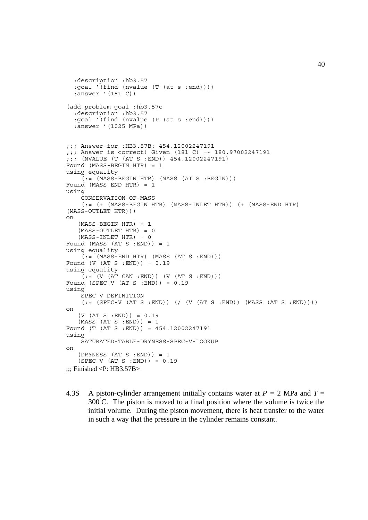```
 :description :hb3.57
   :goal '(find (nvalue (T (at s :end))))
   :answer '(181 C))
(add-problem-goal :hb3.57c
   :description :hb3.57
   :goal '(find (nvalue (P (at s :end))))
   :answer '(1025 MPa))
;;; Answer-for :HB3.57B: 454.12002247191
;;; Answer is correct! Given (181 C) =~ 180.97002247191
;;; (NVALUE (T (AT S :END)) 454.12002247191)
Found (MASS-BEGIN HTR) = 1
using equality
    (i = (MASS-BEGIN HTR) (MASS (AT S : BEGIN)))Found (MASS-END HTR) = 1
using
     CONSERVATION-OF-MASS
     (:= (+ (MASS-BEGIN HTR) (MASS-INLET HTR)) (+ (MASS-END HTR)
(MASS-OUTLET HTR)))
on
   (MASS-BEGIN HTR) = 1 (MASS-OUTLET HTR) = 0
   (MASS-INLET HTR) = 0Found (MASS (AT S : END)) = 1
using equality
    (:= (MASS-END HTR) (MASS (AT S : END)))Found (V (AT S :END)) = 0.19
using equality
    (i = (V (AT CAN : END)) (V (AT S : END)))Found (SPEC-V (AT S :END)) = 0.19
using
     SPEC-V-DEFINITION
    (:= (SPEC-V (AT S : END)) ) ( ( ( (AT S : END)) ) ( (MASS (AT S : END)) ))on
   (V (AT S : END)) = 0.19(MASS (AT S : END)) = 1Found (T (AT S :END)) = 454.12002247191
using
     SATURATED-TABLE-DRYNESS-SPEC-V-LOOKUP
on
   (DRYNESS (AT S : END)) = 1 (SPEC-V (AT S :END)) = 0.19
\ldots Finished <P: HB3.57B>
```
4.3S A piston-cylinder arrangement initially contains water at  $P = 2$  MPa and  $T =$  $300^{\circ}$ C. The piston is moved to a final position where the volume is twice the initial volume. During the piston movement, there is heat transfer to the water in such a way that the pressure in the cylinder remains constant.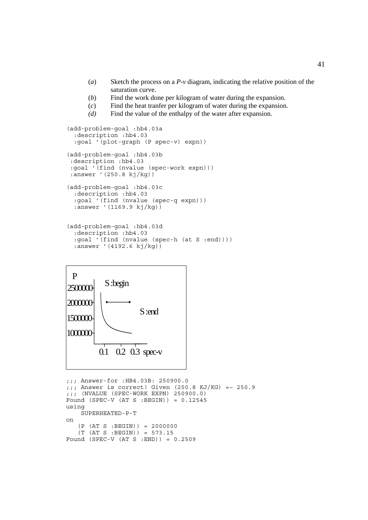- (*a*) Sketch the process on a *P*-*v* diagram, indicating the relative position of the saturation curve.
- (*b*) Find the work done per kilogram of water during the expansion.
- (*c*) Find the heat tranfer per kilogram of water during the expansion.
- *(d)* Find the value of the enthalpy of the water after expansion.

```
(add-problem-goal :hb4.03a
   :description :hb4.03
  :goal '(plot-graph (P spec-v) expn))
(add-problem-goal :hb4.03b
 :description :hb4.03
 :goal '(find (nvalue (spec-work expn)))
 :answer '(250.8 kj/kg))
(add-problem-goal :hb4.03c
  :description :hb4.03
  :goal '(find (nvalue (spec-q expn)))
  :answer '(1169.9 kj/kg))
(add-problem-goal :hb4.03d
  :description :hb4.03
  :goal '(find (nvalue (spec-h (at S :end))))
  :answer '(4192.6 kj/kg))
```


```
;;; Answer-for :HB4.03B: 250900.0
;;; Answer is correct! Given (250.8 KJ/KG) =~ 250.9
;;; (NVALUE (SPEC-WORK EXPN) 250900.0)
Found (SPEC-V (AT S :BEGIN)) = 0.12545
using
     SUPERHEATED-P-T
on
    (P (AT S :BEGIN)) = 2000000
    (T (AT S :BEGIN)) = 573.15
Found (SPEC-V (AT S :END)) = 0.2509
```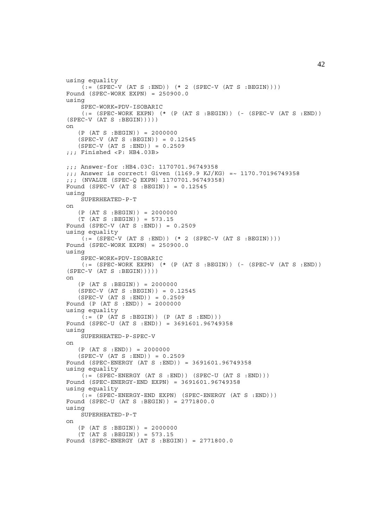```
using equality
    (i = (SPEC-V (AT S : END)) (* 2 (SPEC-V (AT S : BEGIN))))Found (SPEC-WORK EXPN) = 250900.0using
     SPEC-WORK=PDV-ISOBARIC
    (:= (SPEC-WORK EXPN) (* (P (AT S :BEGIN)) (- (SPEC-V (AT S :END))
(SPEC-V (AT S : BEGIN))))on
   (P (AT S : BEGIN)) = 2000000(SPEC-V (AT S : BEGIN)) = 0.12545(SPEC-V (AT S : END)) = 0.2509;;; Finished <P: HB4.03B>
;;; Answer-for :HB4.03C: 1170701.96749358
;;; Answer is correct! Given (1169.9 KJ/KG) =~ 1170.70196749358
;;; (NVALUE (SPEC-Q EXPN) 1170701.96749358)
Found (SPEC-V (AT S :BEGIN)) = 0.12545
using
     SUPERHEATED-P-T
on
    (P (AT S :BEGIN)) = 2000000
    (T (AT S :BEGIN)) = 573.15
Found (SPEC-V (AT S : END)) = 0.2509using equality
    (i = (SPEC-V (AT S : END)) (* 2 (SPEC-V (AT S : BEGIN))))Found (SPEC-WORK EXPN) = 250900.0
using
     SPEC-WORK=PDV-ISOBARIC
    (:= (SPEC-WORK EXPN) (*) (P (AT S : BEGIN)) (- (SPEC-V (AT S : END))(SPEC-V (AT S : BEGIN)))
on
   (P (AT S : BEGIN)) = 2000000 (SPEC-V (AT S :BEGIN)) = 0.12545
    (SPEC-V (AT S :END)) = 0.2509
Found (P (AT S :END)) = 2000000
using equality
    ( := (P (AT S : BEGIN)) (P (AT S : END)))Found (SPEC-U (AT S :END)) = 3691601.96749358
using
     SUPERHEATED-P-SPEC-V
on
   (P (AT S : END)) = 2000000(SPEC-V (AT S : END)) = 0.2509Found (SPEC-ENERGY (AT S :END)) = 3691601.96749358
using equality
    (:= (SPEC-ENERGY (AT S :END)) (SPEC-U (AT S :END)))
Found (SPEC-ENERGY-END EXPN) = 3691601.96749358
using equality
    (i = (SPEC - ENERGY - END EXPN) (SPEC-ENERGY (AT S :END)))
Found (SPEC-U (AT S :BEGIN)) = 2771800.0
using
    SUPERHEATED-P-T
on
    (P (AT S :BEGIN)) = 2000000
    (T (AT S :BEGIN)) = 573.15
Found (SPEC-ENERGY (AT S :BEGIN)) = 2771800.0
```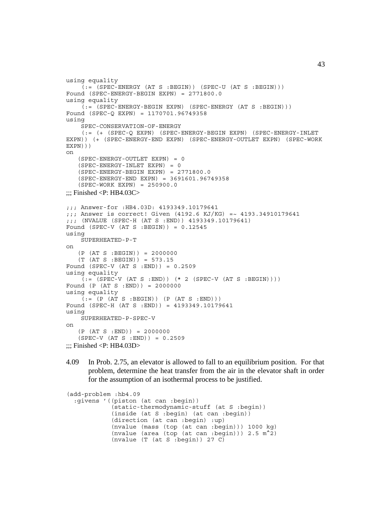```
using equality
    (t, t) = (SPEC - ENERGY (AT S : BEGIN)) (SPEC - U (AT S : BEGIN)))Found (SPEC-ENERGY-BEGIN EXPN) = 2771800.0
using equality
    \tilde{C} := \tilde{C}(SPEC-ENERGY-BEGIN EXPN) (SPEC-ENERGY (AT S :BEGIN)))
Found (SPEC-Q EXPN) = 1170701.96749358
using
     SPEC-CONSERVATION-OF-ENERGY
     (:= (+ (SPEC-Q EXPN) (SPEC-ENERGY-BEGIN EXPN) (SPEC-ENERGY-INLET
EXPN)) (+ (SPEC-ENERGY-END EXPN) (SPEC-ENERGY-OUTLET EXPN) (SPEC-WORK
EXPN)))
on
    (SPEC-ENERGY-OUTLET EXPN) = 0
    (SPEC-ENERGY-INLET EXPN) = 0
   (SPEC-ENERGY-BEGIN EXPN) = 2771800.0 (SPEC-ENERGY-END EXPN) = 3691601.96749358
    (SPEC-WORK EXPN) = 250900.0
\ldots: Finished <P: HB4.03C>
;;; Answer-for :HB4.03D: 4193349.10179641
;;; Answer is correct! Given (4192.6 KJ/KG) =~ 4193.34910179641
;;; (NVALUE (SPEC-H (AT S :END)) 4193349.10179641)
Found (SPEC-V (AT S : BEGIN)) = 0.12545using
     SUPERHEATED-P-T
on
    (P (AT S :BEGIN)) = 2000000
    (T (AT S :BEGIN)) = 573.15
Found (SPEC-V (AT S :END)) = 0.2509
using equality
    ( := (SPEC-V (AT S : END)) ( * 2 (SPEC-V (AT S : BEGIN))))Found (P (AT S :END)) = 2000000
using equality
    (i := (P (AT S : BEGIN)) (P (AT S : END)))Found (SPEC-H (AT S :END)) = 4193349.10179641
using
     SUPERHEATED-P-SPEC-V
on
    (P (AT S :END)) = 2000000
   (SPEC-V (AT S : END)) = 0.2509\ldots;;; Finished <P: HB4.03D>
```
4.09 In Prob. 2.75, an elevator is allowed to fall to an equilibrium position. For that problem, determine the heat transfer from the air in the elevator shaft in order for the assumption of an isothermal process to be justified.

```
(add-problem :hb4.09
  :givens '((piston (at can :begin))
             (static-thermodynamic-stuff (at S :begin))
             (inside (at S :begin) (at can :begin))
             (direction (at can :begin) :up)
             (nvalue (mass (top (at can :begin))) 1000 kg)
             (nvalue (area (top (at can :begin))) 2.5 m^2)
             (nvalue (T (at S :begin)) 27 C)
```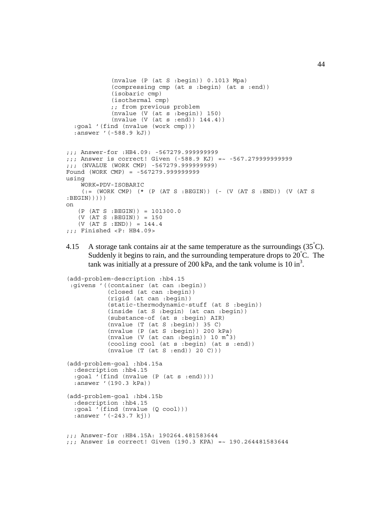```
 (nvalue (P (at S :begin)) 0.1013 Mpa)
              (compressing cmp (at s :begin) (at s :end))
              (isobaric cmp)
             (isothermal cmp)
             ;; from previous problem
              (nvalue (V (at s :begin)) 150)
              (nvalue (V (at s :end)) 144.4))
   :goal '(find (nvalue (work cmp)))
   :answer '(-588.9 kJ))
;;; Answer-for :HB4.09: -567279.999999999
;;; Answer is correct! Given (-588.9 KJ) =~ -567.279999999999
;;; (NVALUE (WORK CMP) -567279.999999999)
Found (WORK CMP) = -567279.999999999
using
     WORK=PDV-ISOBARIC
     (:= (WORK CMP) (* (P (AT S :BEGIN)) (- (V (AT S :END)) (V (AT S
:BEGIN)))))
on
    (P (AT S :BEGIN)) = 101300.0
    (V (AT S :BEGIN)) = 150
   (V (AT S : END)) = 144.4;;; Finished <P: HB4.09>
```
4.15 A storage tank contains air at the same temperature as the surroundings  $(35^{\circ}C)$ . Suddenly it begins to rain, and the surrounding temperature drops to  $20^{\circ}$ C. The tank was initially at a pressure of 200 kPa, and the tank volume is 10 in<sup>3</sup>.

```
(add-problem-description :hb4.15
  :givens '((container (at can :begin))
            (closed (at can :begin))
            (rigid (at can :begin))
            (static-thermodynamic-stuff (at S :begin))
            (inside (at S :begin) (at can :begin))
            (substance-of (at s :begin) AIR)
            (nvalue (T (at S :begin)) 35 C)
            (nvalue (P (at S :begin)) 200 kPa)
            (nvalue (V (at can :begin)) 10 m^3)
            (cooling cool (at s :begin) (at s :end))
            (nvalue (T (at S :end)) 20 C)))
(add-problem-goal :hb4.15a
   :description :hb4.15
   :goal '(find (nvalue (P (at s :end))))
   :answer '(190.3 kPa))
(add-problem-goal :hb4.15b
  :description :hb4.15
   :goal '(find (nvalue (Q cool)))
   :answer '(-243.7 kj))
;;; Answer-for :HB4.15A: 190264.481583644
;;; Answer is correct! Given (190.3 KPA) =~ 190.264481583644
```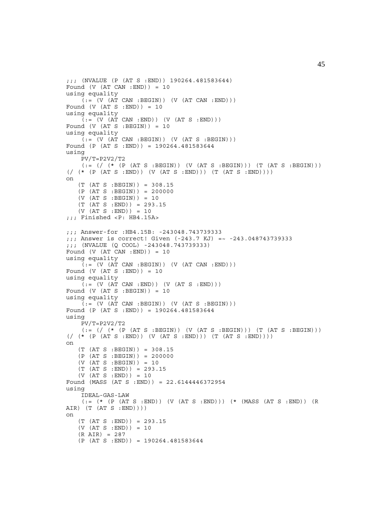```
;;; (NVALUE (P (AT S :END)) 190264.481583644)
Found (V (AT CAN : END)) = 10using equality
    \left(\begin{matrix} 0 & -1 \end{matrix}\right) (V (AT CAN : BEGIN)) (V (AT CAN : END)))
Found (V (AT S : END)) = 10using equality
    ( := (V (AT CAN : END)) (V (AT S : END)))Found (V (AT S : BEGIN)) = 10using equality
    (:=(V (AT CAN : BEGIN)) (V (AT S : BEGIN)))Found (P (AT S :END)) = 190264.481583644
using
     PV/T=P2V2/T2
    (:= // (* (P (AT S : BEGIN)) (V (AT S : BEGIN))) (T (AT S : BEGIN)))(( / (* (P (AT S : END)) (V (AT S : END))) (T (AT S : END))))on
    (T (AT S :BEGIN)) = 308.15
    (P (AT S :BEGIN)) = 200000
    (V (AT S :BEGIN)) = 10
    (T (AT S :END)) = 293.15
   (V (AT S : END)) = 10;;; Finished <P: HB4.15A>
;;; Answer-for :HB4.15B: -243048.743739333
;;; Answer is correct! Given (-243.7 KJ) =~ -243.048743739333
;;; (NVALUE (Q COOL) -243048.743739333)
Found (V (AT CAN :END)) = 10
using equality
    (:=(V (AT CAN : BEGIN)) (V (AT CAN : END)))Found (V (AT S : END)) = 10using equality
    ( := (V (AT CAN : END)) (V (AT S : END)))Found (V (AT S : BEGIN)) = 10using equality
    (t; = (V (AT CAN : BEGIN)) (V (AT S : BEGIN)))Found (P (AT S : END)) = 190264.481583644using
     PV/T=P2V2/T2
    (:= // (* (P (AT S : BEGIN)) (V (AT S : BEGIN))) (T (AT S : BEGIN)))(\frac{\times}{\times} (P (AT S : END)) (V (AT S : END))) (T (AT S : END)))on
   (T (AT S : BEGIN)) = 308.15(P (AT S : BEGIN)) = 200000(V (AT S : BEGIN)) = 10(T (AT S : END)) = 293.15(V (AT S : END)) = 10Found (MASS (AT S :END)) = 22.6144446372954
using
     IDEAL-GAS-LAW
    (:= (* (P (AT S :END)) (V (AT S :END))) (* (MASS (AT S :END)) (R
AIR) (T (AT S :END))))
on
   (T (AT S : END)) = 293.15 (V (AT S :END)) = 10
    (R AIR) = 287
   (P (AT S : END)) = 190264.481583644
```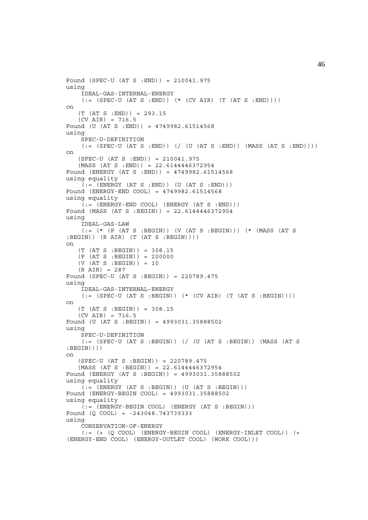```
Found (SPEC-U (AT S :END)) = 210041.975
using
     IDEAL-GAS-INTERNAL-ENERGY
    (:=(SPEC-U (AT S : END)) (*(CV AIR) (T (AT S : END)))))on
    (T (AT S :END)) = 293.15
   (CV AIR) = 716.5Found (U (AT S :END)) = 4749982.61514568
using
    SPEC-U-DEFINITION
    (:=[SPEC-U (AT S : END)) // (U (AT S :END)) (MASS (AT S :END))))on
    (SPEC-U (AT S :END)) = 210041.975
   (MASS (AT S : END)) = 22.6144446372954Found (ENERGY (AT S :END)) = 4749982.61514568
using equality
    ( := (ENTERGY (AT S : END)) (U (AT S : END)))Found (ENERGY-END COOL) = 4749982.61514568
using equality
    (i = (ENERGY - END COOL) (ENERGY (AT S : END)))
Found (MASS (AT S :BEGIN)) = 22.6144446372954
using
     IDEAL-GAS-LAW
     (:= (* (P (AT S :BEGIN)) (V (AT S :BEGIN))) (* (MASS (AT S
: BEGIN) (R AIR) (T (AT S : BEGIN)))on
   (T (AT S : BEGIN)) = 308.15(P (AT S : BEGIN)) = 200000(V (AT S : BEGIN)) = 10 (R AIR) = 287
Found (SPEC-U (AT S :BEGIN)) = 220789.475
using
     IDEAL-GAS-INTERNAL-ENERGY
    (:=(SPEC-U (AT S : BEGIN)) (* (CV AIR) (T (AT S : BEGIN))on
    (T (AT S :BEGIN)) = 308.15
   (CV AIR) = 716.5Found (U (AT S :BEGIN)) = 4993031.35888502
using
     SPEC-U-DEFINITION
     (:= (SPEC-U (AT S :BEGIN)) (/ (U (AT S :BEGIN)) (MASS (AT S
:BEGIN))))
on
    (SPEC-U (AT S :BEGIN)) = 220789.475
   (MASS (AT S : BEGIN)) = 22.6144446372954Found (ENERGY (AT S :BEGIN)) = 4993031.35888502
using equality
    ( := (ENERGY (AT S : BEGIN)) (U (AT S : BEGIN)))Found (ENERGY-BEGIN COOL) = 4993031.35888502
using equality
    (:=(ENERGY-BEGIN COOL) (ENERGY (AT S : BEGIN)))Found (Q COOL) = -243048.743739333
using
     CONSERVATION-OF-ENERGY
    (:=~(+~(\texttt{Q COOL})~(\texttt{ENERGY-BEGIN COOL})~(\texttt{ENERGY-INLET COOL}))~(\texttt{+}(ENERGY-END COOL) (ENERGY-OUTLET COOL) (WORK COOL)))
```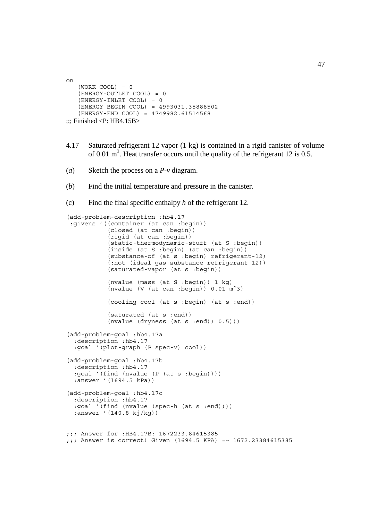```
on
   (WORK COOL) = 0 (ENERGY-OUTLET COOL) = 0
    (ENERGY-INLET COOL) = 0
    (ENERGY-BEGIN COOL) = 4993031.35888502
    (ENERGY-END COOL) = 4749982.61514568
\ldots: Finished <P: HB4.15B>
```
- 4.17 Saturated refrigerant 12 vapor (1 kg) is contained in a rigid canister of volume of 0.01  $m<sup>3</sup>$ . Heat transfer occurs until the quality of the refrigerant 12 is 0.5.
- (*a*) Sketch the process on a *P*-*v* diagram.
- (*b*) Find the initial temperature and pressure in the canister.
- (c) Find the final specific enthalpy *h* of the refrigerant 12.

```
(add-problem-description :hb4.17
 :givens '((container (at can :begin))
            (closed (at can :begin))
            (rigid (at can :begin))
            (static-thermodynamic-stuff (at S :begin))
 (inside (at S :begin) (at can :begin))
 (substance-of (at s :begin) refrigerant-12)
            (:not (ideal-gas-substance refrigerant-12))
            (saturated-vapor (at s :begin))
            (nvalue (mass (at S :begin)) 1 kg)
           (nvalue (V (at can :begin)) 0.01 \text{ m}^3)
            (cooling cool (at s :begin) (at s :end))
            (saturated (at s :end))
           (nvalue (dryness (at s :end)) 0.5)))(add-problem-goal :hb4.17a
   :description :hb4.17
   :goal '(plot-graph (P spec-v) cool))
(add-problem-goal :hb4.17b
   :description :hb4.17
   :goal '(find (nvalue (P (at s :begin))))
   :answer '(1694.5 kPa))
(add-problem-goal :hb4.17c
   :description :hb4.17
   :goal '(find (nvalue (spec-h (at s :end))))
   :answer '(140.8 kj/kg))
;;; Answer-for :HB4.17B: 1672233.84615385
;;; Answer is correct! Given (1694.5 KPA) =~ 1672.23384615385
```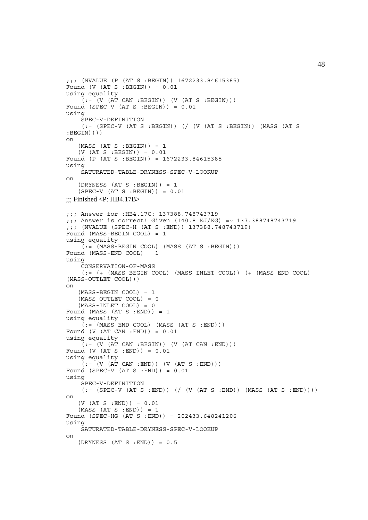```
;;; (NVALUE (P (AT S :BEGIN)) 1672233.84615385)
Found (V (AT S : BEGIN)) = 0.01using equality
    ( := (V (AT CAN : BEGIN)) (V (AT S : BEGIN)))Found (SPEC-V (AT S : BEGIN)) = 0.01using
     SPEC-V-DEFINITION
    (:= (SPEC-V (AT S :BEGIN)) (/ (V (AT S :BEGIN)) (MASS (AT S
: BEGIN) ) ) )
on
   (MASS (AT S : BEGIN)) = 1 (V (AT S :BEGIN)) = 0.01
Found (P (AT S :BEGIN)) = 1672233.84615385
using
     SATURATED-TABLE-DRYNESS-SPEC-V-LOOKUP
on
   (DRYNESS (AT S : BEGIN)) = 1 (SPEC-V (AT S :BEGIN)) = 0.01
\ldots: Finished <P: HB4.17B>
;;; Answer-for :HB4.17C: 137388.748743719
;;; Answer is correct! Given (140.8 KJ/KG) =~ 137.388748743719
;;; (NVALUE (SPEC-H (AT S :END)) 137388.748743719)
Found (MASS-BEGIN COOL) = 1
using equality
    (i := (MASS-BEGIN COOL) (MASS (AT S : BEGIN)))Found (MASS-END COOL) = 1
using
     CONSERVATION-OF-MASS
     (:= (+ (MASS-BEGIN COOL) (MASS-INLET COOL)) (+ (MASS-END COOL)
(MASS-OUTLET COOL)))
on
    (MASS-BEGIN COOL) = 1
    (MASS-OUTLET COOL) = 0
   (MASS-INLET COOL) = 0Found (MASS (AT S : END)) = 1
using equality
    (:=(MASS-END COOL) (MASS (AT S :END)))Found (V (AT CAN :END)) = 0.01
using equality
    ( := (V (AT CAN : BEGIN)) (V (AT CAN : END)))Found (V (AT S : END)) = 0.01using equality
    ( := (V (AT CAN : END)) (V (AT S : END)))Found (SPEC-V (AT S : END)) = 0.01using
     SPEC-V-DEFINITION
    (:= (SPEC-V (AT S : END)) ( / (V (AT S : END)) (MAS (AT S : END)))))on
   (V (AT S : END)) = 0.01 (MASS (AT S :END)) = 1
Found (SPEC-HG (AT S :END)) = 202433.648241206
using
     SATURATED-TABLE-DRYNESS-SPEC-V-LOOKUP
on
   (DRYNESS (AT S : END)) = 0.5
```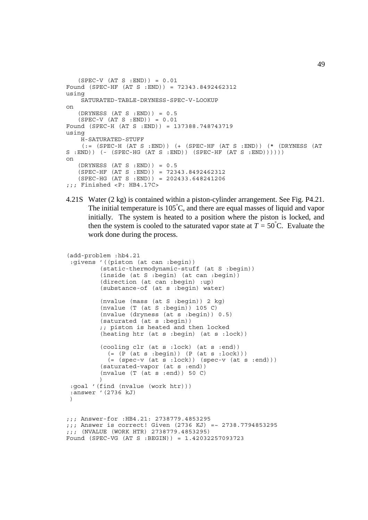```
(SPEC-V (AT S : END)) = 0.01Found (SPEC-HF (AT S :END)) = 72343.8492462312
using
     SATURATED-TABLE-DRYNESS-SPEC-V-LOOKUP
on
   (DRYNESS (AT S :END)) = 0.5(SPEC-V (AT S : END)) = 0.01Found (SPEC-H (AT S :END)) = 137388.748743719
using
    H-SATURATED-STUFF
    (:= (SPEC-H (AT S :END)) (+ (SPEC-HF (AT S :END)) (* (DRYNESS (AT
S : END) ) (- (SPEC-HG (AT S :END)) (SPEC-HF (AT S :END)))))
on
   (DRYNESS (AT S :END)) = 0.5 (SPEC-HF (AT S :END)) = 72343.8492462312
    (SPEC-HG (AT S :END)) = 202433.648241206
;;; Finished <P: HB4.17C>
```

```
4.21S Water (2 kg) is contained within a piston-cylinder arrangement. See Fig. P4.21.
        The initial temperature is 105^{\circ}C, and there are equal masses of liquid and vapor
       initially. The system is heated to a position where the piston is locked, and
        then the system is cooled to the saturated vapor state at T = 50^{\circ}C. Evaluate the
       work done during the process.
```

```
(add-problem :hb4.21
  :givens '((piston (at can :begin))
           (static-thermodynamic-stuff (at S :begin))
           (inside (at S :begin) (at can :begin))
           (direction (at can :begin) :up)
           (substance-of (at s :begin) water)
           (nvalue (mass (at S :begin)) 2 kg)
           (nvalue (T (at S :begin)) 105 C)
           (nvalue (dryness (at s :begin)) 0.5)
           (saturated (at s :begin))
           ;; piston is heated and then locked
           (heating htr (at s :begin) (at s :lock))
           (cooling clr (at s :lock) (at s :end))
            (=(P (at s :begin)) (P (at s :lock))) (= (spec-v (at s :lock)) (spec-v (at s :end)))
           (saturated-vapor (at s :end))
          (nvalue (T (a\bar{t} s :end)) 50 C)\left( \begin{array}{c} \end{array} \right) :goal '(find (nvalue (work htr)))
  :answer '(2736 kJ)
\lambda;;; Answer-for :HB4.21: 2738779.4853295
;;; Answer is correct! Given (2736 KJ) =~ 2738.7794853295
```

```
Found (SPEC-VG (AT S :BEGIN)) = 1.42032257093723
```
;;; (NVALUE (WORK HTR) 2738779.4853295)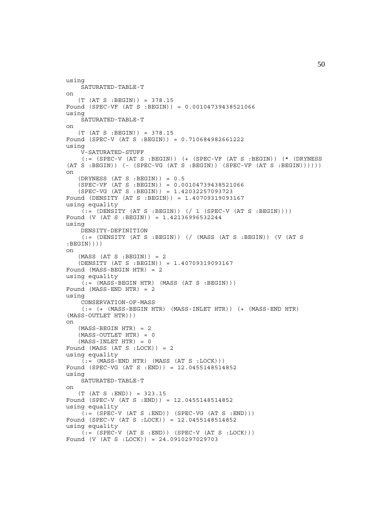```
using
     SATURATED-TABLE-T
on
    (T (AT S :BEGIN)) = 378.15
Found (SPEC-VF (AT S :BEGIN)) = 0.00104739438521066
using
     SATURATED-TABLE-T
on
    (T (AT S :BEGIN)) = 378.15
Found (SPEC-V (AT S :BEGIN)) = 0.710684982661222
using
     V-SATURATED-STUFF
    (: (SPEC-V (AT S :BEGIN)) ( (SPEC-VF (AT S :BEGIN)) (* (DRYNESS
(AT S : BEGIN) ( - (SPEC-VG (AT S : BEGIN)) (SPEC-VF (AT S : BEGIN)))))on
   (DRYNESS (AT S : BEGIN)) = 0.5 (SPEC-VF (AT S :BEGIN)) = 0.00104739438521066
    (SPEC-VG (AT S :BEGIN)) = 1.42032257093723
Found (DENSITY (AT S :BEGIN)) = 1.40709319093167
using equality
    (:=[<b>IDENTY</b> (AT S : BEGIN)) ( / 1 (SPEC-V (AT S : BEGIN))))Found (V (AT S :BEGIN)) = 1.42136996532244
using
     DENSITY-DEFINITION
     (:= (DENSITY (AT S :BEGIN)) (/ (MASS (AT S :BEGIN)) (V (AT S
: BEGIN) ) ) )
on
   (MASS (AT S : BEGIN)) = 2 (DENSITY (AT S :BEGIN)) = 1.40709319093167
Found (MASS-BEGIN HTR) = 2
using equality
    ( := (MASS-BEGIN HTR) (MASS (AT S : BEGIN)))Found (MASS-END HTR) = 2
using
     CONSERVATION-OF-MASS
    (:= (+) (MASS-BEGIN HTR) (MASS-INLET HTR)) (+) (MASS-END HTR)
(MASS-OUTLET HTR)))
on
   (MASS-BEGIN HTR) = 2 (MASS-OUTLET HTR) = 0
   (MASS-INLET HTR) = 0Found (MASS (AT S :LOCK)) = 2
using equality
    (:=(MASS-END HTR) (MASS (AT S : LOCK)))Found (SPEC-VG (AT S :END)) = 12.0455148514852
using
    SATURATED-TABLE-T
on
   (T (AT S : END)) = 323.15Found (SPEC-V (AT S :END)) = 12.0455148514852
using equality
    (i = (SPEC-V (AT S : END)) (SPEC-VG (AT S : END)))Found (SPEC-V (AT S :LOCK)) = 12.0455148514852
using equality
    (:= (SPEC-V (AT S : END)) (SPEC-V (AT S :LOCK)))Found (V (AT S :LOCK)) = 24.0910297029703
```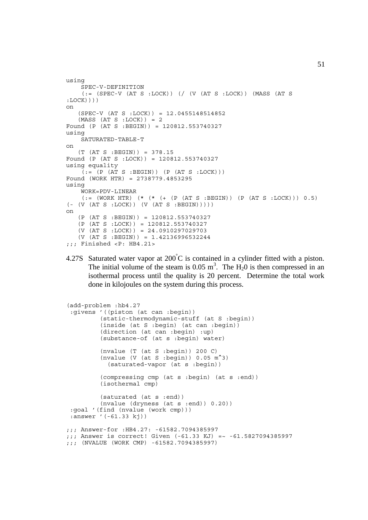```
using
     SPEC-V-DEFINITION
    (:= (SPEC-V (AT S :LOCK)) (/ (V (AT S :LOCK)) (MASS (AT S
:LOCK))))
on
    (SPEC-V (AT S :LOCK)) = 12.0455148514852
   (MASS (AT S : LOCK)) = 2Found (P (AT S :BEGIN)) = 120812.553740327
using
    SATURATED-TABLE-T
on
    (T (AT S :BEGIN)) = 378.15
Found (P (AT S :LOCK)) = 120812.553740327
using equality
    ( := (P (AT S : BEGIN)) (P (AT S : LOCK)))Found (WORK HTR) = 2738779.4853295
using
     WORK=PDV-LINEAR
    (:= (WORK HTR) (* (* (* (P (AT S :BEGIN)) (P (AT S :LOCK))) 0.5)
(- (V (AT S :LOCK)) (V (AT S :BEGIN)))))
on
    (P (AT S :BEGIN)) = 120812.553740327
    (P (AT S :LOCK)) = 120812.553740327
    (V (AT S :LOCK)) = 24.0910297029703
    (V (AT S :BEGIN)) = 1.42136996532244
;;; Finished <P: HB4.21>
```
4.27S Saturated water vapor at  $200^{\circ}$ C is contained in a cylinder fitted with a piston. The initial volume of the steam is 0.05 m<sup>3</sup>. The  $H_2$ 0 is then compressed in an isothermal process until the quality is 20 percent. Determine the total work done in kilojoules on the system during this process.

```
(add-problem :hb4.27
  :givens '((piston (at can :begin))
          (static-thermodynamic-stuff (at S :begin))
          (inside (at S :begin) (at can :begin))
          (direction (at can :begin) :up)
          (substance-of (at s :begin) water)
          (nvalue (T (at S :begin)) 200 C)
          (nvalue (V (at S :begin)) 0.05 m^3)
            (saturated-vapor (at s :begin))
          (compressing cmp (at s :begin) (at s :end))
          (isothermal cmp)
          (saturated (at s :end))
          (nvalue (dryness (at s :end)) 0.20))
  :goal '(find (nvalue (work cmp)))
  :answer '(-61.33 kj))
;;; Answer-for :HB4.27: -61582.7094385997
;;; Answer is correct! Given (-61.33 KJ) =~ -61.5827094385997
;;; (NVALUE (WORK CMP) -61582.7094385997)
```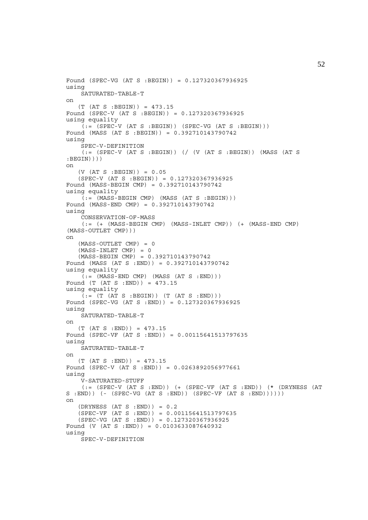```
Found (SPEC-VG (AT S :BEGIN)) = 0.127320367936925
using
     SATURATED-TABLE-T
on
   (T (AT S : BEGIN)) = 473.15Found (SPEC-V (AT S :BEGIN)) = 0.127320367936925
using equality
    (:=(SPEC-V (AT S : BEGIN)) (SPEC-VG (AT S : BEGIN)))Found (MASS (AT S :BEGIN)) = 0.392710143790742
using
     SPEC-V-DEFINITION
     (:= (SPEC-V (AT S :BEGIN)) (/ (V (AT S :BEGIN)) (MASS (AT S
:BEGIN))))
on
   (V (AT S : BEGIN)) = 0.05 (SPEC-V (AT S :BEGIN)) = 0.127320367936925
Found (MASS-BEGIN CMP) = 0.392710143790742
using equality
    (:=(MASS-BEGIN~CMP) (MASS~(AT S : BEGIN)))Found (MASS-END CMP) = 0.392710143790742
using
     CONSERVATION-OF-MASS
    (:= (+ (MASS-BEGIN CMP) (MASS-INLET CMP)) (+ (MASS-END CMP))(MASS-OUTLET CMP)))
on
    (MASS-OUTLET CMP) = 0
    (MASS-INLET CMP) = 0
    (MASS-BEGIN CMP) = 0.392710143790742
Found (MASS (AT S :END)) = 0.392710143790742
using equality
    (i; = (MASS-END~CMP) (MASS ~ (AT S : END))Found (T (AT S :END)) = 473.15
using equality
    ( := (T (AT S : BEGIN)) (T (AT S : END)))Found (SPEC-VG (AT S :END)) = 0.127320367936925
using
     SATURATED-TABLE-T
on
   (T (AT S : END)) = 473.15Found (SPEC-VF (AT S :END)) = 0.00115641513797635
using
    SATURATED-TABLE-T
on
   (T (AT S :END)) = 473.15
Found (SPEC-V (AT S :END)) = 0.0263892056977661
using
     V-SATURATED-STUFF
    (:= (SPEC-V (AT S :END)) ( + (SPEC-VF (AT S :END)) (* (DRYNESS (AT
S : END) (- (SPEC-VG (AT S :END)) (SPEC-VF (AT S :END)))))
on
   (DRYNESS (AT S : END)) = 0.2 (SPEC-VF (AT S :END)) = 0.00115641513797635
   (SPEC-VG (AT S : END)) = 0.127320367936925Found (V (AT S :END)) = 0.0103633087640932
using
     SPEC-V-DEFINITION
```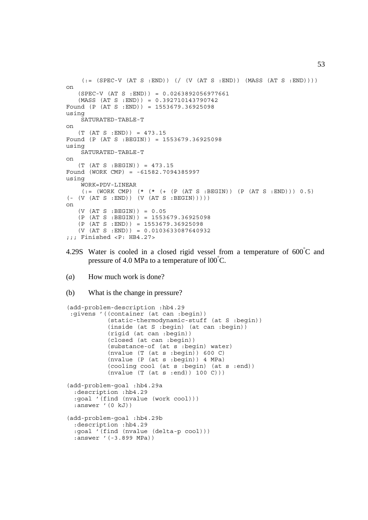```
(:= (SPEC-V (AT S : END)) ) ( / (V (AT S : END)) (MASS (AT S : END)))))on
   (SPEC-V (AT S : END)) = 0.0263892056977661 (MASS (AT S :END)) = 0.392710143790742
Found (P (AT S : END)) = 1553679.36925098)using
     SATURATED-TABLE-T
on
   (T (AT S : END)) = 473.15Found (P (AT S :BEGIN)) = 1553679.36925098
using
     SATURATED-TABLE-T
on
    (T (AT S :BEGIN)) = 473.15
Found (WORK CMP) = -61582.7094385997
using
     WORK=PDV-LINEAR
    (:= (WORK CMP) (* (* (+ (P (AT S :BEGIN)) (P (AT S :END))) 0.5)
( (V (AT S : END)) (V (AT S : BEGIN)))
on
    (V (AT S :BEGIN)) = 0.05
    (P (AT S :BEGIN)) = 1553679.36925098
   (P (AT S : END)) = 1553679.36925098(V (AT S : END)) = 0.0103633087640932;;; Finished <P: HB4.27>
```
- 4.29S Water is cooled in a closed rigid vessel from a temperature of  $600^{\circ}$ C and pressure of 4.0 MPa to a temperature of  $100^{\degree}$ C.
- (*a*) How much work is done?
- (b) What is the change in pressure?

```
(add-problem-description :hb4.29
 :givens '((container (at can :begin))
            (static-thermodynamic-stuff (at S :begin))
            (inside (at S :begin) (at can :begin))
            (rigid (at can :begin))
            (closed (at can :begin))
            (substance-of (at s :begin) water)
            (nvalue (T (at s :begin)) 600 C)
            (nvalue (P (at s :begin)) 4 MPa)
            (cooling cool (at s :begin) (at s :end))
            (nvalue (T (at s :end)) 100 C)))
(add-problem-goal :hb4.29a
  :description :hb4.29
  :goal '(find (nvalue (work cool)))
 :answer '(0 kJ))
(add-problem-goal :hb4.29b
  :description :hb4.29
  :goal '(find (nvalue (delta-p cool)))
  :answer '(-3.899 MPa))
```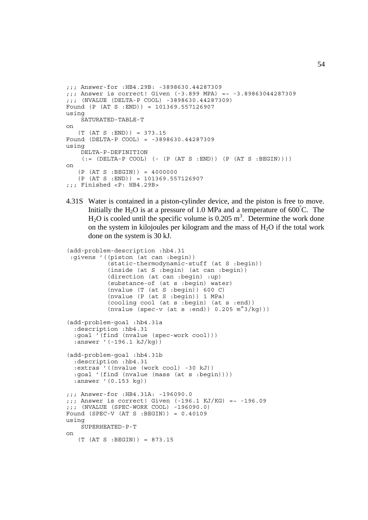```
;;; Answer-for :HB4.29B: -3898630.44287309
;;; Answer is correct! Given (-3.899 MPA) =~ -3.89863044287309
;;; (NVALUE (DELTA-P COOL) -3898630.44287309)
Found (P (AT S :END)) = 101369.557126907
using
     SATURATED-TABLE-T
on
   (T (AT S : END)) = 373.15Found (DELTA-P COOL) = -3898630.44287309
using
     DELTA-P-DEFINITION
    (:=[[[[L]T A-P COOL] (-(P (AT S :END)) (P (AT S : BEGIN)))))on
   (P (AT S : BEGIN)) = 4000000(P (AT S : END)) = 101369.557126907;;; Finished <P: HB4.29B>
```
4.31S Water is contained in a piston-cylinder device, and the piston is free to move. Initially the H<sub>2</sub>O is at a pressure of 1.0 MPa and a temperature of 600°C. The  $H_2O$  is cooled until the specific volume is 0.205 m<sup>3</sup>. Determine the work done on the system in kilojoules per kilogram and the mass of  $H_2O$  if the total work done on the system is 30 kJ.

```
(add-problem-description :hb4.31
  :givens '((piston (at can :begin))
             (static-thermodynamic-stuff (at S :begin))
             (inside (at S :begin) (at can :begin))
             (direction (at can :begin) :up)
             (substance-of (at s :begin) water)
             (nvalue (T (at S :begin)) 600 C)
             (nvalue (P (at S :begin)) 1 MPa)
             (cooling cool (at s :begin) (at s :end))
            (nvalue (spec-v (at s :end)) 0.205 m^3/kg))(add-problem-goal :hb4.31a
   :description :hb4.31
   :goal '(find (nvalue (spec-work cool)))
   :answer '(-196.1 kJ/kg))
(add-problem-goal :hb4.31b
   :description :hb4.31
   :extras '((nvalue (work cool) -30 kJ))
   :goal '(find (nvalue (mass (at s :begin))))
   :answer '(0.153 kg))
;;; Answer-for :HB4.31A: -196090.0
j;; Answer is correct! Given (-196.1 KJ/KG) = ~ -196.09
;;; (NVALUE (SPEC-WORK COOL) -196090.0)
Found (SPEC-V (AT S :BEGIN)) = 0.40109
using
     SUPERHEATED-P-T
on
    (T (AT S :BEGIN)) = 873.15
```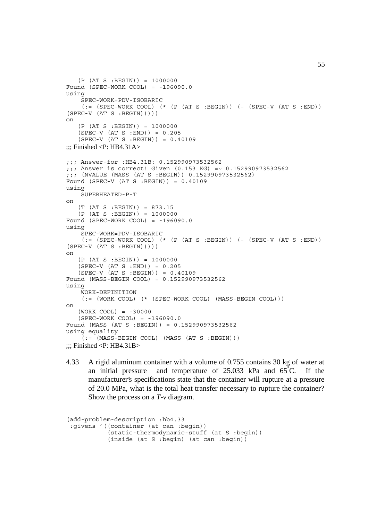```
 (P (AT S :BEGIN)) = 1000000
Found (SPEC-WORK COOL) = -196090.0using
     SPEC-WORK=PDV-ISOBARIC
    (:= (SPEC-WORK COOL) (* (P (AT S :BEGIN)) (- (SPEC-V (AT S :END))
(SPEC-V (AT S : BEGIN))))on
    (P (AT S :BEGIN)) = 1000000
    (SPEC-V (AT S :END)) = 0.205
    (SPEC-V (AT S :BEGIN)) = 0.40109
\ldots Finished \langle P: HB4.31A>;;; Answer-for :HB4.31B: 0.152990973532562
;;; Answer is correct! Given (0.153 KG) =~ 0.152990973532562
;;; (NVALUE (MASS (AT S :BEGIN)) 0.152990973532562)
Found (SPEC-V (AT S :BEGIN)) = 0.40109
using
     SUPERHEATED-P-T
on
    (T (AT S :BEGIN)) = 873.15
   (P (AT S : BEGIN)) = 1000000Found (SPEC-WORK COOL) = -196090.0
using
     SPEC-WORK=PDV-ISOBARIC
    (:= (SPEC-WORK COOL) (* (P (AT S :BEGIN)) (- (SPEC-V (AT S :END))
(SPEC-V (AT S : BEGIN)))))on
   (P (AT S : BEGIN)) = 1000000 (SPEC-V (AT S :END)) = 0.205
    (SPEC-V (AT S :BEGIN)) = 0.40109
Found (MASS-BEGIN COOL) = 0.152990973532562
using
     WORK-DEFINITION
    (:= (WORK COOL) (* (SPEC-WORK COOL) (MASS-BEGIN COOL)))
on
    (WORK COOL) = -30000
    (SPEC-WORK COOL) = -196090.0
Found (MASS (AT S :BEGIN)) = 0.152990973532562
using equality
    ( := (MASS-BEGIN COOL) (MASS (AT S : BEGIN)))\ldots: Finished <P: HB4.31B>
```
4.33 A rigid aluminum container with a volume of 0.755 contains 30 kg of water at an initial pressure and temperature of 25.033 kPa and 65°C. If the manufacturer's specifications state that the container will rupture at a pressure of 20.0 MPa, what is the total heat transfer necessary to rupture the container? Show the process on a *T*-*v* diagram.

```
(add-problem-description :hb4.33
 :givens '((container (at can :begin))
            (static-thermodynamic-stuff (at S :begin))
            (inside (at S :begin) (at can :begin))
```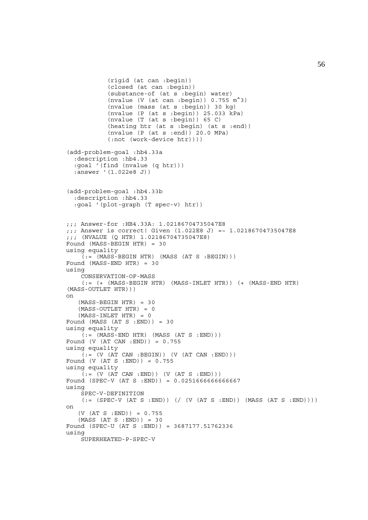```
 (rigid (at can :begin))
             (closed (at can :begin))
             (substance-of (at s :begin) water)
            (nvalue (V (at can : begin)) 0.755 \text{ m}^3)
             (nvalue (mass (at s :begin)) 30 kg)
             (nvalue (P (at s :begin)) 25.033 kPa)
             (nvalue (T (at s :begin)) 65 C)
             (heating htr (at s :begin) (at s :end))
             (nvalue (P (at s :end)) 20.0 MPa)
            (:not (work-device htr))))
(add-problem-goal :hb4.33a
   :description :hb4.33
   :goal '(find (nvalue (q htr)))
   :answer '(1.022e8 J))
(add-problem-goal :hb4.33b
   :description :hb4.33
   :goal '(plot-graph (T spec-v) htr))
;;; Answer-for :HB4.33A: 1.02186704735047E8
;;; Answer is correct! Given (1.022E8 J) =~ 1.02186704735047E8
;;; (NVALUE (Q HTR) 1.02186704735047E8)
Found (MASS-BEGIN HTR) = 30
using equality
    ( := (MASS-BEGIN HTR) (MASS (AT S : BEGIN)))Found (MASS-END HTR) = 30
using
     CONSERVATION-OF-MASS
     (:= (+ (MASS-BEGIN HTR) (MASS-INLET HTR)) (+ (MASS-END HTR)
(MASS-OUTLET HTR)))
on
    (MASS-BEGIN HTR) = 30
   (MASS-OUTLET HTR) = 0(MASS-INLET HTR) = 0Found (MASS (AT S : END)) = 30
using equality
    \tilde{I} := (MASS-END HTR) (MASS (AT S : END)))
Found (V (AT CAN :END)) = 0.755
using equality
    (i = (V (AT CAN : BEGIN)) (V (AT CAN :END)))Found (V (AT S :END)) = 0.755
using equality
    ( := (V (AT CAN : END)) (V (AT S : END)))Found (SPEC-V (AT S :END)) = 0.0251666666666667
using
     SPEC-V-DEFINITION
    (:= (SPEC-V (AT S : END)) ) (/ (V (AT S : END))) (MASS (AT S : END))))
on
   (V (AT S : END)) = 0.755(MASS (AT S : END)) = 30Found (SPEC-U (AT S :END)) = 3687177.51762336
using
     SUPERHEATED-P-SPEC-V
```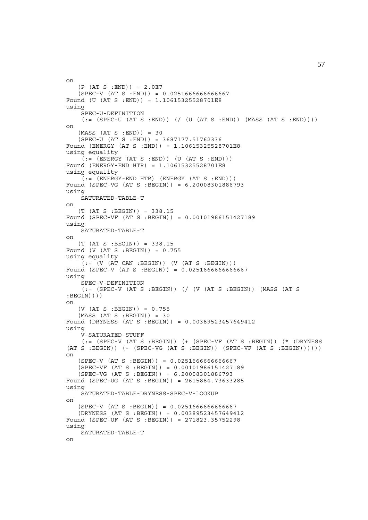```
on
   (P (AT S : END)) = 2.0E7(SPEC-V (AT S : END)) = 0.025166666666667Found (U (AT S :END)) = 1.10615325528701E8
using
     SPEC-U-DEFINITION
    (:= (SPEC-U (AT S : END)) ( / (U (AT S : END)) (MAS (AT S : END)))))on
   (MASS (AT S : END)) = 30 (SPEC-U (AT S :END)) = 3687177.51762336
Found (ENERGY (AT S :END)) = 1.10615325528701E8
using equality
    (i = (ENTERGY (AT S : END)) (U (AT S : END)))Found (ENERGY-END HTR) = 1.10615325528701E8
using equality
    (i; = (ENERGY-FND HTR) (ENERGY (AT S :END)))Found (SPEC-VG (AT S :BEGIN)) = 6.20008301886793
using
     SATURATED-TABLE-T
on
    (T (AT S :BEGIN)) = 338.15
Found (SPEC-VF (AT S :BEGIN)) = 0.00101986151427189
using
     SATURATED-TABLE-T
on
    (T (AT S :BEGIN)) = 338.15
Found (V (AT S :BEGIN)) = 0.755
using equality
    \tilde{I} := (V (AT CAN : BEGIN)) (V (AT S : BEGIN)))Found (SPEC-V (AT S :BEGIN)) = 0.0251666666666667
using
     SPEC-V-DEFINITION
    (:= (SPEC-V (AT S :BEGIN)) (/ (V (AT S :BEGIN)) (MASS (AT S
: BEGIN) ) ) )
on
   (V (AT S : BEGIN)) = 0.755(MASS (AT S : BEGIN)) = 30Found (DRYNESS (AT S :BEGIN)) = 0.00389523457649412
using
     V-SATURATED-STUFF
    (:=(SPEC-V (AT S : BEGIN)) (+ (SPEC-VF (AT S : BEGIN)) (* (DRYNESS(AT S : BEGIN)) (- (SPEC-VG (AT S : BEGIN)) (SPEC-VF (AT S : BEGIN)))))on
    (SPEC-V (AT S :BEGIN)) = 0.0251666666666667
    (SPEC-VF (AT S :BEGIN)) = 0.00101986151427189
    (SPEC-VG (AT S :BEGIN)) = 6.20008301886793
Found (SPEC-UG (AT S :BEGIN)) = 2615884.73633285
using
     SATURATED-TABLE-DRYNESS-SPEC-V-LOOKUP
on
    (SPEC-V (AT S :BEGIN)) = 0.0251666666666667
    (DRYNESS (AT S :BEGIN)) = 0.00389523457649412
Found (SPEC-UF (AT S :BEGIN)) = 271823.35752298
using
     SATURATED-TABLE-T
on
```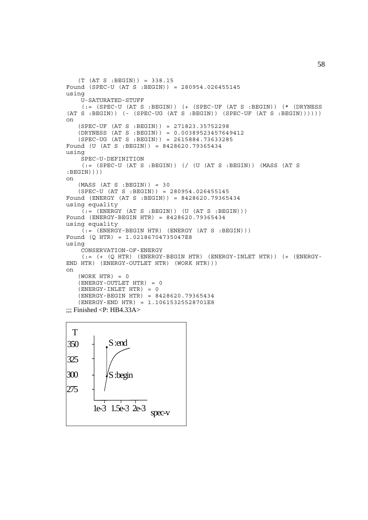```
 (T (AT S :BEGIN)) = 338.15
Found (SPEC-U (AT S :BEGIN)) = 280954.026455145
using
     U-SATURATED-STUFF
     (:= (SPEC-U (AT S :BEGIN)) (+ (SPEC-UF (AT S :BEGIN)) (* (DRYNESS
(AT S : BEGIN)) (- (SPEC-UG (AT S : BEGIN)) (SPEC-UF (AT S : BEGIN)))))on
    (SPEC-UF (AT S :BEGIN)) = 271823.35752298
    (DRYNESS (AT S :BEGIN)) = 0.00389523457649412
    (SPEC-UG (AT S :BEGIN)) = 2615884.73633285
Found (U (AT S :BEGIN)) = 8428620.79365434
using
     SPEC-U-DEFINITION
     (:= (SPEC-U (AT S :BEGIN)) (/ (U (AT S :BEGIN)) (MASS (AT S
: BEGIN))))
on
   (MASS (AT S : BEGIN)) = 30 (SPEC-U (AT S :BEGIN)) = 280954.026455145
Found (ENERGY (AT S :BEGIN)) = 8428620.79365434
using equality
    (:=[ENERGY (AT S : BEGIN)) (U (AT S : BEGIN)))Found (ENERGY-BEGIN HTR) = 8428620.79365434
using equality
    ( := (ENERGY-BEGIN HTR) (ENERGY (AT S : BEGIN)))Found (Q HTR) = 1.02186704735047E8
using
     CONSERVATION-OF-ENERGY
     (:= (+ (Q HTR) (ENERGY-BEGIN HTR) (ENERGY-INLET HTR)) (+ (ENERGY-
END HTR) (ENERGY-OUTLET HTR) (WORK HTR)))
on
   (WORK HTR) = 0 (ENERGY-OUTLET HTR) = 0
   (ENERGY-INLET HTR) = 0 (ENERGY-BEGIN HTR) = 8428620.79365434
    (ENERGY-END HTR) = 1.10615325528701E8
\ldots Finished <P: HB4.33A>
```
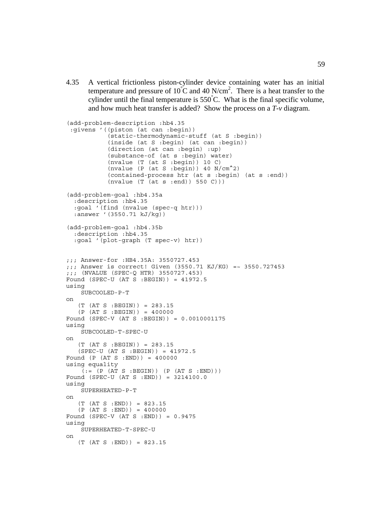4.35 A vertical frictionless piston-cylinder device containing water has an initial temperature and pressure of 10<sup>°</sup>C and 40 N/cm<sup>2</sup>. There is a heat transfer to the cylinder until the final temperature is  $550^{\circ}$ C. What is the final specific volume, and how much heat transfer is added? Show the process on a *T*-*v* diagram.

```
(add-problem-description :hb4.35
  :givens '((piston (at can :begin))
            (static-thermodynamic-stuff (at S :begin))
            (inside (at S :begin) (at can :begin))
 (direction (at can :begin) :up)
 (substance-of (at s :begin) water)
           (nvalue (T (at S :begin)) 10 C)(nvalue (P (at S :begin)) 40 N/cm^2) (contained-process htr (at s :begin) (at s :end))
           (nvalue (T (at s :end)) 550 C)))(add-problem-goal :hb4.35a
   :description :hb4.35
   :goal '(find (nvalue (spec-q htr)))
   :answer '(3550.71 kJ/kg))
(add-problem-goal :hb4.35b
   :description :hb4.35
   :goal '(plot-graph (T spec-v) htr))
;;; Answer-for :HB4.35A: 3550727.453
;;; Answer is correct! Given (3550.71 KJ/KG) =~ 3550.727453
;;; (NVALUE (SPEC-Q HTR) 3550727.453)
Found (SPEC-U (AT S :BEGIN)) = 41972.5
using
     SUBCOOLED-P-T
on
    (T (AT S :BEGIN)) = 283.15
    (P (AT S :BEGIN)) = 400000
Found (SPEC-V (AT S :BEGIN)) = 0.0010001175
using
     SUBCOOLED-T-SPEC-U
on
    (T (AT S :BEGIN)) = 283.15
    (SPEC-U (AT S :BEGIN)) = 41972.5
Found (P (AT S :END)) = 400000
using equality
    ( := (P (AT S : BEGIN)) (P (AT S : END)))Found (SPEC-U (AT S :END)) = 3214100.0
using
    SUPERHEATED-P-T
on
   (T (AT S : END)) = 823.15(P (AT S : END)) = 400000Found (SPEC-V (AT S : END)) = 0.9475
using
     SUPERHEATED-T-SPEC-U
on
    (T (AT S :END)) = 823.15
```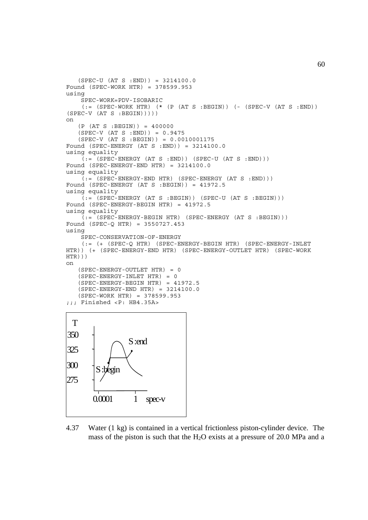```
 (SPEC-U (AT S :END)) = 3214100.0
Found (SPEC-WORK HTR) = 378599.953
using
     SPEC-WORK=PDV-ISOBARIC
    (:= (SPEC-WORK HTR) (* (P (AT S : BEGIN)) (- (SPEC-V (AT S : END)))(SPEC-V (AT S : BEGIN))))on
    (P (AT S :BEGIN)) = 400000
    (SPEC-V (AT S :END)) = 0.9475
    (SPEC-V (AT S :BEGIN)) = 0.0010001175
Found (SPEC-ENERGY (AT S :END)) = 3214100.0
using equality
    (:= (SPEC-ENERGY (AT S : END)) (SPEC-U (AT S : END)))Found (SPEC-ENERGY-END HTR) = 3214100.0
using equality
    (:= (SPEC-ENERGY-END HTR) (SPEC-ENERGY (AT S :END)))
Found (SPEC-ENERGY (AT S :BEGIN)) = 41972.5
using equality
    (:=(SPEC-ENERGY (AT S : BEGIN)) (SPEC-U (AT S : BEGIN)))Found (SPEC-ENERGY-BEGIN HTR) = 41972.5
using equality
     (:= (SPEC-ENERGY-BEGIN HTR) (SPEC-ENERGY (AT S :BEGIN)))
Found (SPEC-Q HTR) = 3550727.453
using
     SPEC-CONSERVATION-OF-ENERGY
     (:= (+ (SPEC-Q HTR) (SPEC-ENERGY-BEGIN HTR) (SPEC-ENERGY-INLET
HTR)) (+ (SPEC-ENERGY-END HTR) (SPEC-ENERGY-OUTLET HTR) (SPEC-WORK
HTR)))
on
    (SPEC-ENERGY-OUTLET HTR) = 0
   (SPEC-ENERGY-INLET HTR) = 0 (SPEC-ENERGY-BEGIN HTR) = 41972.5
    (SPEC-ENERGY-END HTR) = 3214100.0
    (SPEC-WORK HTR) = 378599.953
;;; Finished <P: HB4.35A>
 T
325
300
275
350
       0.0001 1 spec-v
                 S :end
            oin.
```
4.37 Water (1 kg) is contained in a vertical frictionless piston-cylinder device. The mass of the piston is such that the  $H_2O$  exists at a pressure of 20.0 MPa and a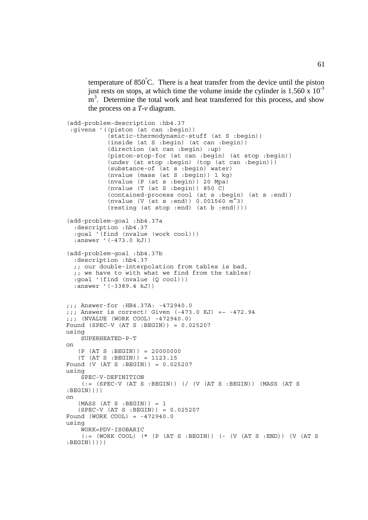temperature of 850° C. There is a heat transfer from the device until the piston just rests on stops, at which time the volume inside the cylinder is  $1.560 \times 10^{-3}$ m<sup>3</sup>. Determine the total work and heat transferred for this process, and show the process on a *T*-*v* diagram.

```
(add-problem-description :hb4.37
  :givens '((piston (at can :begin))
             (static-thermodynamic-stuff (at S :begin))
             (inside (at S :begin) (at can :begin))
             (direction (at can :begin) :up)
             (piston-stop-for (at can :begin) (at stop :begin))
             (under (at stop :begin) (top (at can :begin)))
             (substance-of (at s :begin) water)
             (nvalue (mass (at S :begin)) 1 kg)
             (nvalue (P (at s :begin)) 20 Mpa)
             (nvalue (T (at S :begin)) 850 C)
             (contained-process cool (at s :begin) (at s :end))
             (nvalue (V (at s :end)) 0.001560 m^3)
           (resting (at stop :end) (at b :end)))(add-problem-goal :hb4.37a
   :description :hb4.37
   :goal '(find (nvalue (work cool)))
   :answer '(-473.0 kJ))
(add-problem-goal :hb4.37b
   :description :hb4.37
   ;; our double-interpolation from tables is bad,
   ;; we have to with what we find from the tables!
   :goal '(find (nvalue (Q cool)))
   :answer '(-3389.4 kJ))
;;; Answer-for :HB4.37A: -472940.0
;;; Answer is correct! Given (-473.0 KJ) =~ -472.94
;;; (NVALUE (WORK COOL) -472940.0)
Found (SPEC-V (AT S :BEGIN)) = 0.025207
using
     SUPERHEATED-P-T
on
    (P (AT S :BEGIN)) = 20000000
    (T (AT S :BEGIN)) = 1123.15
Found (V (AT S :BEGIN)) = 0.025207
using
     SPEC-V-DEFINITION
    (: (SPEC-V (AT S :BEGIN)) (/ (V (AT S :BEGIN)) (MASS (AT S
: BEGIN) ) ) )
on
   (MASS (AT S : BEGIN)) = 1 (SPEC-V (AT S :BEGIN)) = 0.025207
Found (WORK COOL) = -472940.0using
     WORK=PDV-ISOBARIC
     (:= (WORK COOL) (* (P (AT S :BEGIN)) (- (V (AT S :END)) (V (AT S
: BEGIN)))))
```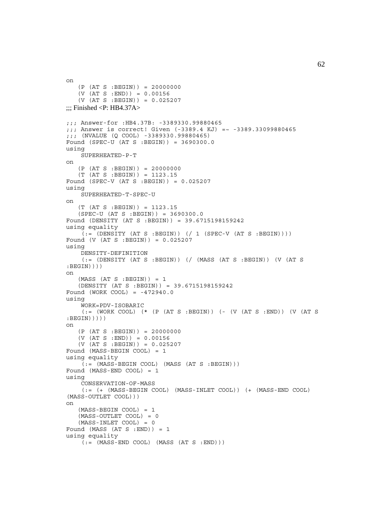```
on
   (P (AT S : BEGIN)) = 20000000(V (AT S : END)) = 0.00156(V \text{ (AT S : BEGIN)}) = 0.025207\ldots Finished <P: HB4.37A>
;;; Answer-for :HB4.37B: -3389330.99880465
;;; Answer is correct! Given (-3389.4 KJ) =~ -3389.33099880465
;;; (NVALUE (Q COOL) -3389330.99880465)
Found (SPEC-U (AT S :BEGIN)) = 3690300.0
using
    SUPERHEATED-P-T
on
   (P (AT S : BEGIN)) = 20000000 (T (AT S :BEGIN)) = 1123.15
Found (SPEC-V (AT S :BEGIN)) = 0.025207
using
     SUPERHEATED-T-SPEC-U
on
    (T (AT S :BEGIN)) = 1123.15
    (SPEC-U (AT S :BEGIN)) = 3690300.0
Found (DENSITY (AT S :BEGIN)) = 39.6715198159242
using equality
    (i = \text{?}}(DEFed) \cup (AT S : BEGIN)) (/ 1 (SPEC-V (AT S :BEGIN))))
Found (V (AT S :BEGIN)) = 0.025207
using
     DENSITY-DEFINITION
     (:= (DENSITY (AT S :BEGIN)) (/ (MASS (AT S :BEGIN)) (V (AT S
:BEGIN))))
on
   (MASS (AT S : BEGIN)) = 1 (DENSITY (AT S :BEGIN)) = 39.6715198159242
Found (WORK COOL) = -472940.0using
     WORK=PDV-ISOBARIC
     (:= (WORK COOL) (* (P (AT S :BEGIN)) (- (V (AT S :END)) (V (AT S
:BEGIN)))))
on
   (P (AT S : BEGIN)) = 20000000(V (AT S : END)) = 0.00156 (V (AT S :BEGIN)) = 0.025207
Found (MASS-BEGIN COOL) = 1
using equality
    ( := (MASS-BEGIN COOL) (MASS (AT S : BEGIN)))Found (MASS-END COOL) = 1
using
     CONSERVATION-OF-MASS
     (:= (+ (MASS-BEGIN COOL) (MASS-INLET COOL)) (+ (MASS-END COOL)
(MASS-OUTLET COOL)))
on
    (MASS-BEGIN COOL) = 1
    (MASS-OUTLET COOL) = 0
    (MASS-INLET COOL) = 0
Found (MASS (AT S :END)) = 1
using equality
    (i = (MASS-END COOL) (MASS (AT S : END)))
```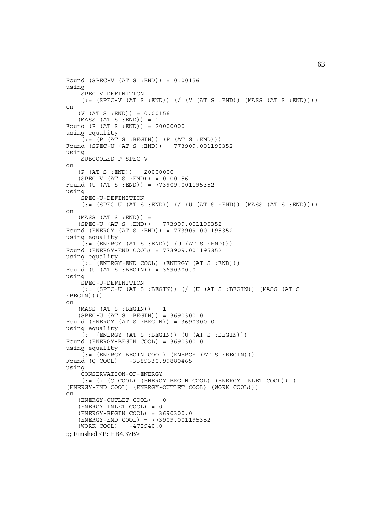```
Found (SPEC-V (AT S :END)) = 0.00156
using
     SPEC-V-DEFINITION
    (:= (SPEC-V (AT S : END)) ) ( / (V (AT S : END)) (MAS S (AT S : END)) ))on
   (V (AT S : END)) = 0.00156(MASS (AT S : END)) = 1Found (P (AT S :END)) = 20000000
using equality
   (i = (P (AT S : BEGIN)) (P (AT S : END)))Found (SPEC-U (AT S :END)) = 773909.001195352
using
    SUBCOOLED-P-SPEC-V
on
   (P (AT S : END)) = 20000000(SPEC-V (AT S : END)) = 0.00156Found (U (AT S :END)) = 773909.001195352
using
     SPEC-U-DEFINITION
    (:=[SPEC-U (AT S : END)) // (U (AT S : END)) (MASS (AT S :END))on
   (MASS (AT S : END)) = 1 (SPEC-U (AT S :END)) = 773909.001195352
Found (ENERGY (AT S :END)) = 773909.001195352
using equality
    (:=(ENERGY (AT S : END)) (U (AT S : END)))Found (ENERGY-END COOL) = 773909.001195352
using equality
    (i = (ENERCY-END COOL) (ENERGY (AT S : END)))
Found (U (AT S :BEGIN)) = 3690300.0
using
    SPEC-U-DEFINITION
    (:= (SPEC-U (AT S :BEGIN)) (/ (U (AT S :BEGIN)) (MASS (AT S
: BEGIN) ) ) )
on
   (MASS (AT S : BEGIN)) = 1(SPEC-U (AT S : BEGIN)) = 3690300.0Found (ENERGY (AT S :BEGIN)) = 3690300.0
using equality
    \tilde{f}: (ENERGY (AT S : BEGIN)) (U (AT S : BEGIN)))
Found (ENERGY-BEGIN COOL) = 3690300.0
using equality
     (:= (ENERGY-BEGIN COOL) (ENERGY (AT S :BEGIN)))
Found (Q COOL) = -3389330.99880465
using
     CONSERVATION-OF-ENERGY
    (:= (+) (Q COOL) (BERGY-BEGIN COOL) (BNERGY-INLET COOL) (+)(ENERGY-END COOL) (ENERGY-OUTLET COOL) (WORK COOL)))
on
    (ENERGY-OUTLET COOL) = 0
    (ENERGY-INLET COOL) = 0
    (ENERGY-BEGIN COOL) = 3690300.0
    (ENERGY-END COOL) = 773909.001195352
    (WORK COOL) = -472940.0
\ldots: Finished <P: HB4.37B>
```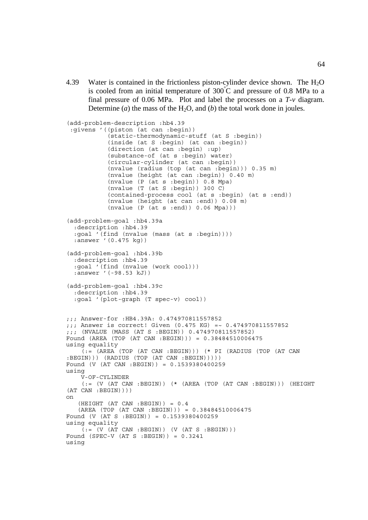4.39 Water is contained in the frictionless piston-cylinder device shown. The  $H_2O$ is cooled from an initial temperature of  $300^{\circ}$ C and pressure of 0.8 MPa to a final pressure of 0.06 MPa. Plot and label the processes on a *T*-*v* diagram. Determine (*a*) the mass of the H<sub>2</sub>O, and (*b*) the total work done in joules.

```
(add-problem-description :hb4.39
  :givens '((piston (at can :begin))
            (static-thermodynamic-stuff (at S :begin))
            (inside (at S :begin) (at can :begin))
 (direction (at can :begin) :up)
 (substance-of (at s :begin) water)
            (circular-cylinder (at can :begin))
            (nvalue (radius (top (at can :begin))) 0.35 m)
            (nvalue (height (at can :begin)) 0.40 m)
            (nvalue (P (at s :begin)) 0.8 Mpa)
            (nvalue (T (at S :begin)) 300 C)
            (contained-process cool (at s :begin) (at s :end))
            (nvalue (height (at can :end)) 0.08 m)
            (nvalue (P (at s :end)) 0.06 Mpa)))
(add-problem-goal :hb4.39a
   :description :hb4.39
   :goal '(find (nvalue (mass (at s :begin))))
   :answer '(0.475 kg))
(add-problem-goal :hb4.39b
   :description :hb4.39
   :goal '(find (nvalue (work cool)))
   :answer '(-98.53 kJ))
(add-problem-goal :hb4.39c
   :description :hb4.39
   :goal '(plot-graph (T spec-v) cool))
;;; Answer-for :HB4.39A: 0.474970811557852
;;; Answer is correct! Given (0.475 KG) =~ 0.474970811557852
;;; (NVALUE (MASS (AT S :BEGIN)) 0.474970811557852)
Found (AREA (TOP (AT CAN :BEGIN))) = 0.38484510006475
using equality
     (:= (AREA (TOP (AT CAN :BEGIN))) (* PI (RADIUS (TOP (AT CAN
:BEGIN))) (RADIUS (TOP (AT CAN :BEGIN)))))
Found (V (AT CAN :BEGIN)) = 0.1539380400259
using
     V-OF-CYLINDER
     (:= (V (AT CAN :BEGIN)) (* (AREA (TOP (AT CAN :BEGIN))) (HEIGHT
(AT CAN :BEGIN))))
on
   (HEIGHT (AT CAN : BEGIN)) = 0.4 (AREA (TOP (AT CAN :BEGIN))) = 0.38484510006475
Found (V (AT S :BEGIN)) = 0.1539380400259
using equality
    ( := (V (AT CAN : BEGIN)) (V (AT S : BEGIN)))Found (SPEC-V (AT S : BEGIN)) = 0.3241using
```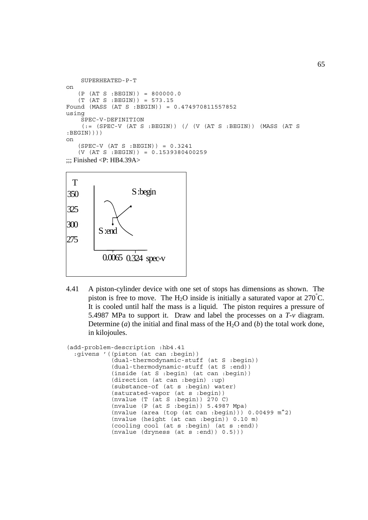```
 SUPERHEATED-P-T
on
   (P (AT S : BEGIN)) = 800000.0 (T (AT S :BEGIN)) = 573.15
Found (MASS (AT S :BEGIN)) = 0.474970811557852
using
     SPEC-V-DEFINITION
    (:= (SPEC-V (AT S :BEGIN)) (/ (V (AT S :BEGIN)) (MASS (AT S
:BEGIN))))
on
   (SPEC-V (AT S : BEGIN)) = 0.3241 (V (AT S :BEGIN)) = 0.1539380400259
\ldots: Finished <P: HB4.39A>
```


4.41 A piston-cylinder device with one set of stops has dimensions as shown. The piston is free to move. The H<sub>2</sub>O inside is initially a saturated vapor at 270<sup>°</sup>C. It is cooled until half the mass is a liquid. The piston requires a pressure of 5.4987 MPa to support it. Draw and label the processes on a *T*-*v* diagram. Determine (*a*) the initial and final mass of the  $H_2O$  and (*b*) the total work done, in kilojoules.

```
(add-problem-description :hb4.41
  :givens '((piston (at can :begin))
             (dual-thermodynamic-stuff (at S :begin))
             (dual-thermodynamic-stuff (at S :end))
             (inside (at S :begin) (at can :begin))
             (direction (at can :begin) :up)
             (substance-of (at s :begin) water)
             (saturated-vapor (at s :begin))
             (nvalue (T (at S :begin)) 270 C)
             (nvalue (P (at S :begin)) 5.4987 Mpa)
             (nvalue (area (top (at can :begin))) 0.00499 m^2)
             (nvalue (height (at can :begin)) 0.10 m)
             (cooling cool (at s :begin) (at s :end))
             (nvalue (dryness (at s :end)) 0.5)))
```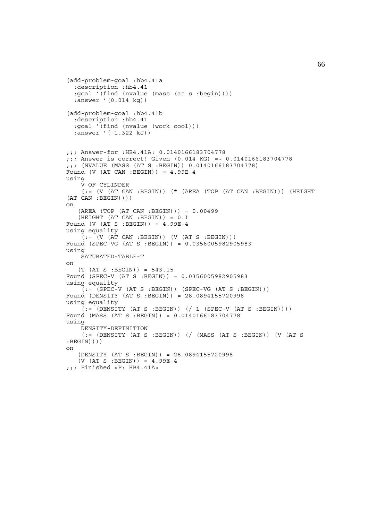```
(add-problem-goal :hb4.41a
   :description :hb4.41
   :goal '(find (nvalue (mass (at s :begin))))
   :answer '(0.014 kg))
(add-problem-goal :hb4.41b
   :description :hb4.41
   :goal '(find (nvalue (work cool)))
   :answer '(-1.322 kJ))
;;; Answer-for :HB4.41A: 0.0140166183704778
;;; Answer is correct! Given (0.014 KG) =~ 0.0140166183704778
;;; (NVALUE (MASS (AT S :BEGIN)) 0.0140166183704778)
Found (V (AT CAN : BEGIN)) = 4.99E-4
using
     V-OF-CYLINDER
     (:= (V (AT CAN :BEGIN)) (* (AREA (TOP (AT CAN :BEGIN))) (HEIGHT
(AT CAN :BEGIN))))
on
    (AREA (TOP (AT CAN :BEGIN))) = 0.00499
    (HEIGHT (AT CAN :BEGIN)) = 0.1
Found (V (AT S : BEGIN)) = 4.99E-4
using equality
    (:=(V (AT CAN : BEGIN)) (V (AT S : BEGIN)))Found (SPEC-VG (AT S :BEGIN)) = 0.0356005982905983
using
     SATURATED-TABLE-T
on
    (T (AT S :BEGIN)) = 543.15
Found (SPEC-V (AT S :BEGIN)) = 0.0356005982905983
using equality
    ( := (SPEC-V (AT S : BEGIN)) (SPEC-VG (AT S : BEGIN)))Found (DENSITY (AT S :BEGIN)) = 28.0894155720998
using equality
    (i = \text{[IDENTY (AT S : BEGIN)}) ((1 \text{ (SPEC-V (AT S : BEGIN)})))Found (MASS (AT S :BEGIN)) = 0.0140166183704778
using
     DENSITY-DEFINITION
     (:= (DENSITY (AT S :BEGIN)) (/ (MASS (AT S :BEGIN)) (V (AT S
:BEGIN))))
on
    (DENSITY (AT S :BEGIN)) = 28.0894155720998
    (V (AT S :BEGIN)) = 4.99E-4
;;; Finished <P: HB4.41A>
```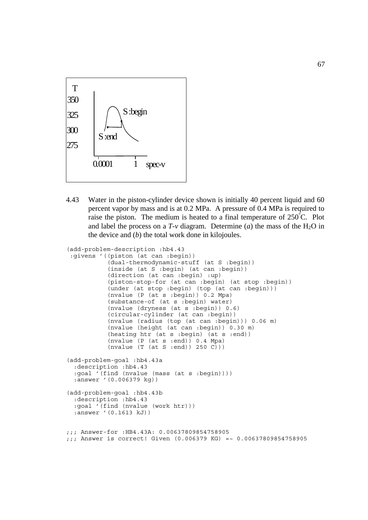

4.43 Water in the piston-cylinder device shown is initially 40 percent liquid and 60 percent vapor by mass and is at 0.2 MPa. A pressure of 0.4 MPa is required to raise the piston. The medium is heated to a final temperature of  $250^{\circ}$ C. Plot and label the process on a  $T$ - $\nu$  diagram. Determine (*a*) the mass of the H<sub>2</sub>O in the device and (*b*) the total work done in kilojoules.

```
(add-problem-description :hb4.43
  :givens '((piston (at can :begin))
            (dual-thermodynamic-stuff (at S :begin))
            (inside (at S :begin) (at can :begin))
            (direction (at can :begin) :up)
            (piston-stop-for (at can :begin) (at stop :begin))
            (under (at stop :begin) (top (at can :begin)))
            (nvalue (P (at s :begin)) 0.2 Mpa)
 (substance-of (at s :begin) water)
 (nvalue (dryness (at s :begin)) 0.6)
            (circular-cylinder (at can :begin))
            (nvalue (radius (top (at can :begin))) 0.06 m)
            (nvalue (height (at can :begin)) 0.30 m)
            (heating htr (at s :begin) (at s :end))
            (nvalue (P (at s :end)) 0.4 Mpa)
            (nvalue (T (at S :end)) 250 C)))
(add-problem-goal :hb4.43a
   :description :hb4.43
   :goal '(find (nvalue (mass (at s :begin))))
   :answer '(0.006379 kg))
(add-problem-goal :hb4.43b
   :description :hb4.43
   :goal '(find (nvalue (work htr)))
   :answer '(0.1613 kJ))
;;; Answer-for :HB4.43A: 0.00637809854758905
;;; Answer is correct! Given (0.006379 KG) =~ 0.00637809854758905
```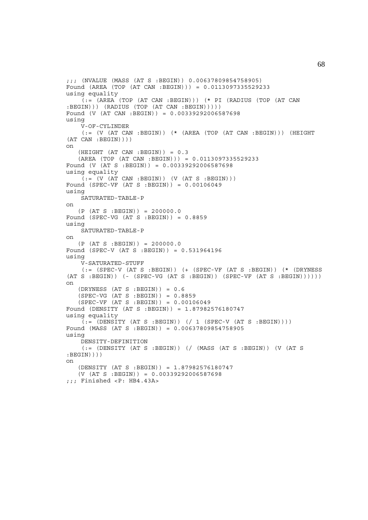```
;;; (NVALUE (MASS (AT S :BEGIN)) 0.00637809854758905)
Found (AREA (TOP (AT CAN :BEGIN))) = 0.0113097335529233
using equality
     \vec{a} := (AREA (TOP (AT CAN :BEGIN))) (* PI (RADIUS (TOP (AT CAN
:BEGIN))) (RADIUS (TOP (AT CAN :BEGIN)))))
Found (V (AT CAN :BEGIN)) = 0.00339292006587698
using
      V-OF-CYLINDER
     (:= (V (AT CAN : BEGIN)) ( * (AREA (TOP (AT CAN : BEGIN))) (HEIGHT)(AT CAN :BEGIN))))
on
     (HEIGHT (AT CAN :BEGIN)) = 0.3
     (AREA (TOP (AT CAN :BEGIN))) = 0.0113097335529233
Found (V (AT S :BEGIN)) = 0.00339292006587698
using equality
     (i = (V (AT CAN : BEGIN)) (V (AT S : BEGIN)))Found (SPEC-VF (AT S :BEGIN)) = 0.00106049
using
     SATURATED-TABLE-P
on
    (P (AT S : BEGIN)) = 200000.0Found (SPEC-VG (AT S : BEGIN)) = 0.8859using
     SATURATED-TABLE-P
on
     (P (AT S :BEGIN)) = 200000.0
Found (SPEC-V (AT S :BEGIN)) = 0.531964196
using
      V-SATURATED-STUFF
      (:= (SPEC-V (AT S :BEGIN)) (+ (SPEC-VF (AT S :BEGIN)) (* (DRYNESS
(AT S : BEGIN) ( - (SPEC-VG (AT S : BEGIN)) (SPEC-VF (AT S : BEGIN)))))on
    (DRYNESS (AT S : BEGIN)) = 0.6 (SPEC-VG (AT S :BEGIN)) = 0.8859
     (SPEC-VF (AT S :BEGIN)) = 0.00106049
Found (DENSITY (AT S :BEGIN)) = 1.87982576180747
using equality
     (i = \text{?}}(DEFedian) \cup (1 \text{?}}(F \text{ or } 1 \text{?}) \cup (1 \text{?}}(F \text{ or } 1 \text{?}) \cup (1 \text{?}}(F \text{ or } 1 \text{?}) \cup (1 \text{?}}(F \text{ or } 1 \text{?}) \cup (1 \text{?}}(F \text{ or } 1 \text{?}) \cup (1 \text{?}}(F \text{ or } 1 \text{?}) \cup (1 \text{?}}(F \text{ or } 1 \text{?}) \cup (1 \text{?}}(F \text{ or } 1 \text{?}) \cup (1 \text{?}}(F \text{ or } 1 \text{?}) \Found (MASS (AT S :BEGIN)) = 0.00637809854758905
using
      DENSITY-DEFINITION
      (:= (DENSITY (AT S :BEGIN)) (/ (MASS (AT S :BEGIN)) (V (AT S
:BEGIN))))
on
     (DENSITY (AT S :BEGIN)) = 1.87982576180747
     (V (AT S :BEGIN)) = 0.00339292006587698
;;; Finished <P: HB4.43A>
```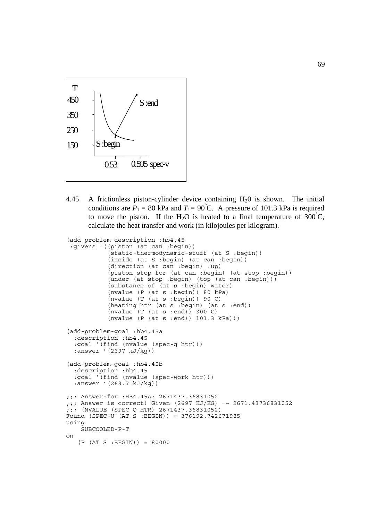

4.45 A frictionless piston-cylinder device containing H20 is shown. The initial conditions are  $P_1 = 80$  kPa and  $T_1 = 90$ °C. A pressure of 101.3 kPa is required to move the piston. If the H<sub>2</sub>O is heated to a final temperature of  $300^{\circ}$ C, calculate the heat transfer and work (in kilojoules per kilogram).

```
(add-problem-description :hb4.45
  :givens '((piston (at can :begin))
             (static-thermodynamic-stuff (at S :begin))
             (inside (at S :begin) (at can :begin))
            (direction (at can :begin) :up)
            (piston-stop-for (at can :begin) (at stop :begin))
            (under (at stop :begin) (top (at can :begin)))
            (substance-of (at s :begin) water)
            (nvalue (P (at s :begin)) 80 kPa)
             (nvalue (T (at s :begin)) 90 C)
             (heating htr (at s :begin) (at s :end))
             (nvalue (T (at s :end)) 300 C)
            (nvalue (P (at s :end)) 101.3 kPa)))
(add-problem-goal :hb4.45a
   :description :hb4.45
   :goal '(find (nvalue (spec-q htr)))
   :answer '(2697 kJ/kg))
(add-problem-goal :hb4.45b
   :description :hb4.45
   :goal '(find (nvalue (spec-work htr)))
   :answer '(263.7 kJ/kg))
;;; Answer-for :HB4.45A: 2671437.36831052
;;; Answer is correct! Given (2697 KJ/KG) =~ 2671.43736831052
;;; (NVALUE (SPEC-Q HTR) 2671437.36831052)
Found (SPEC-U (AT S :BEGIN)) = 376192.742671985
using
     SUBCOOLED-P-T
on
    (P (AT S :BEGIN)) = 80000
```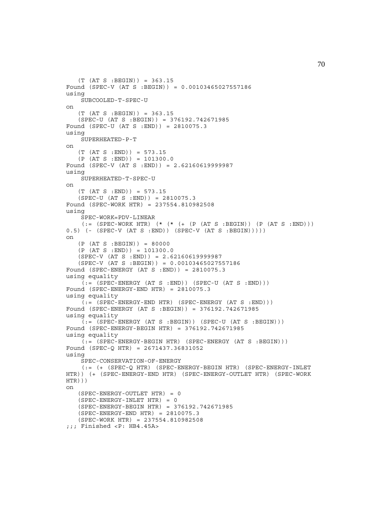```
 (T (AT S :BEGIN)) = 363.15
Found (SPEC-V (AT S :BEGIN)) = 0.00103465027557186
using
     SUBCOOLED-T-SPEC-U
on
    (T (AT S :BEGIN)) = 363.15
    (SPEC-U (AT S :BEGIN)) = 376192.742671985
Found (SPEC-U (AT S :END)) = 2810075.3
using
    SUPERHEATED-P-T
on
    (T (AT S :END)) = 573.15
   (P (AT S : END)) = 101300.0Found (SPEC-V (AT S :END)) = 2.62160619999987
using
     SUPERHEATED-T-SPEC-U
\capn
    (T (AT S :END)) = 573.15
    (SPEC-U (AT S :END)) = 2810075.3
Found (SPEC-WORK HTR) = 237554.810982508
using
     SPEC-WORK=PDV-LINEAR
    (:= (SPEC-WORK HTR) (* (* (+ (P (AT S :BEGIN)) (P (AT S :END)))
0.5) (- (SPEC-V (AT S :END)) (SPEC-V (AT S :BEGIN)))))
on
    (P (AT S :BEGIN)) = 80000
   (P (AT S : END)) = 101300.0(SPEC-V (AT S : END)) = 2.62160619999987(SPEC-V (AT S :BEGIN)) = 0.00103465027557186
Found (SPEC-ENERGY (AT S :END)) = 2810075.3
using equality
    (:= (SPEC-ENERGY (AT S : END)) (SPEC-U (AT S : END)))Found (SPEC-ENERGY-END HTR) = 2810075.3
using equality
    (i = (SPEC - ENERGY - END HTR) (SPEC-ENERGY (AT S :END)))
Found (SPEC-ENERGY (AT S :BEGIN)) = 376192.742671985
using equality
    ( := (SPEC - ENERGY (AT S : BEGIN)) (SPEC - U (AT S : BEGIN)))Found (SPEC-ENERGY-BEGIN HTR) = 376192.742671985
using equality
    (:= (SPEC-ENERGY-BEGIN HTR) (SPEC-ENERGY (AT S :BEGIN)))
Found (SPEC-Q HTR) = 2671437.36831052
using
     SPEC-CONSERVATION-OF-ENERGY
     (:= (+ (SPEC-Q HTR) (SPEC-ENERGY-BEGIN HTR) (SPEC-ENERGY-INLET
HTR)) (+ (SPEC-ENERGY-END HTR) (SPEC-ENERGY-OUTLET HTR) (SPEC-WORK
HTR)))
on
    (SPEC-ENERGY-OUTLET HTR) = 0
    (SPEC-ENERGY-INLET HTR) = 0
    (SPEC-ENERGY-BEGIN HTR) = 376192.742671985
    (SPEC-ENERGY-END HTR) = 2810075.3
    (SPEC-WORK HTR) = 237554.810982508
;;; Finished <P: HB4.45A>
```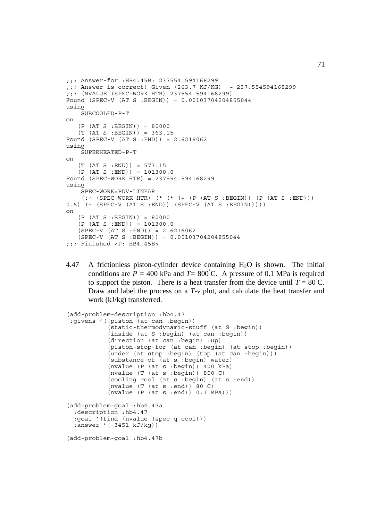```
;;; Answer-for :HB4.45B: 237554.594168299
;;; Answer is correct! Given (263.7 KJ/KG) =~ 237.554594168299
;;; (NVALUE (SPEC-WORK HTR) 237554.594168299)
Found (SPEC-V (AT S :BEGIN)) = 0.00103704204855044
using
     SUBCOOLED-P-T
on
    (P (AT S :BEGIN)) = 80000
   (T (AT S : BEGIN)) = 363.15Found (SPEC-V (AT S :END)) = 2.6216062
using
     SUPERHEATED-P-T
on
   (T (AT S : END)) = 573.15(P (AT S : END)) = 101300.0Found (SPEC-WORK HTR) = 237554.594168299
using
     SPEC-WORK=PDV-LINEAR
    (:= (SPEC-WORK HTR) (* (* (+ (P (AT S :BEGIN)) (P (AT S :END)))
0.5) (- (SPEC-V (AT S :END)) (SPEC-V (AT S :BEGIN)))))
on
    (P (AT S :BEGIN)) = 80000
   (P (AT S : END)) = 101300.0(SPEC-V (AT S : END)) = 2.6216062 (SPEC-V (AT S :BEGIN)) = 0.00103704204855044
;;; Finished <P: HB4.45B>
```
4.47 A frictionless piston-cylinder device containing  $H_2O$  is shown. The initial conditions are  $P = 400$  kPa and  $T = 800^{\circ}$ C. A pressure of 0.1 MPa is required to support the piston. There is a heat transfer from the device until  $T = 80^{\circ}$ C. Draw and label the process on a *T*-*v* plot, and calculate the heat transfer and work (kJ/kg) transferred.

```
(add-problem-description :hb4.47
 :givens '((piston (at can :begin))
            (static-thermodynamic-stuff (at S :begin))
            (inside (at S :begin) (at can :begin))
            (direction (at can :begin) :up)
            (piston-stop-for (at can :begin) (at stop :begin))
            (under (at stop :begin) (top (at can :begin)))
            (substance-of (at s :begin) water)
            (nvalue (P (at s :begin)) 400 kPa)
            (nvalue (T (at s :begin)) 800 C)
            (cooling cool (at s :begin) (at s :end))
            (nvalue (T (at s :end)) 80 C)
            (nvalue (P (at s :end)) 0.1 MPa)))
(add-problem-goal :hb4.47a
  :description :hb4.47
  :goal '(find (nvalue (spec-q cool)))
  :answer '(-3451 kJ/kg))
(add-problem-goal :hb4.47b
```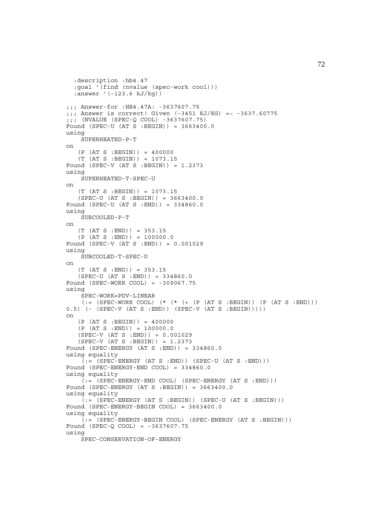```
 :description :hb4.47
   :goal '(find (nvalue (spec-work cool)))
   :answer '(-123.6 kJ/kg))
;;; Answer-for :HB4.47A: -3637607.75
;;; Answer is correct! Given (-3451 KJ/KG) =~ -3637.60775
;;; (NVALUE (SPEC-Q COOL) -3637607.75)
Found (SPEC-U (AT S :BEGIN)) = 3663400.0
using
     SUPERHEATED-P-T
on
    (P (AT S :BEGIN)) = 400000
    (T (AT S :BEGIN)) = 1073.15
Found (SPEC-V (AT S :BEGIN)) = 1.2373
using
     SUPERHEATED-T-SPEC-U
\capn
    (T (AT S :BEGIN)) = 1073.15
    (SPEC-U (AT S :BEGIN)) = 3663400.0
Found (SPEC-U (AT S :END)) = 334860.0
using
     SUBCOOLED-P-T
on
   (T (AT S : END)) = 353.15(P (AT S : END)) = 100000.0Found (SPEC-V (AT S :END)) = 0.001029
using
     SUBCOOLED-T-SPEC-U
on
    (T (AT S :END)) = 353.15
   (SPEC-U (AT S : END)) = 334860.0Found (SPEC-WORK COOL) = -309067.75
using
     SPEC-WORK=PDV-LINEAR
    (:= (SPEC-WORK COOL) (* (* (+ (P (AT S : BEGIN)) (P (AT S : END)))0.5) (- (SPEC-V (AT S :END)) (SPEC-V (AT S :BEGIN)))))
on
   (P (AT S : BEGIN)) = 400000(P (AT S : END)) = 100000.0(SPEC-V (AT S : END)) = 0.001029 (SPEC-V (AT S :BEGIN)) = 1.2373
Found (SPEC-ENERGY (AT S :END)) = 334860.0
using equality
    (:=(SPEC-ENERGY (AT S : END)) (SPEC-U (AT S : END)))Found (SPEC-ENERGY-END COOL) = 334860.0
using equality
    (:= (SPEC-ENERGY-END COOL) (SPEC-ENERGY (AT S :END)))
Found (SPEC-ENERGY (AT S :BEGIN)) = 3663400.0
using equality
    (:= (SPEC-ENERGY (AT S : BEGIN)) (SPEC-U (AT S : BEGIN)))Found (SPEC-ENERGY-BEGIN COOL) = 3663400.0
using equality
    (:= (SPEC-ENERGY-BEGIN COOL) (SPEC-ENERGY (AT S :BEGIN)))
Found (SPEC-Q COOL) = -3637607.75
using
     SPEC-CONSERVATION-OF-ENERGY
```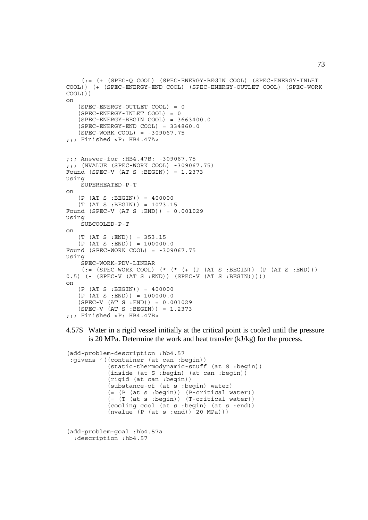```
 (:= (+ (SPEC-Q COOL) (SPEC-ENERGY-BEGIN COOL) (SPEC-ENERGY-INLET
COOL)) (+ (SPEC-ENERGY-END COOL) (SPEC-ENERGY-OUTLET COOL) (SPEC-WORK
COOL)))
on
    (SPEC-ENERGY-OUTLET COOL) = 0
    (SPEC-ENERGY-INLET COOL) = 0
    (SPEC-ENERGY-BEGIN COOL) = 3663400.0
    (SPEC-ENERGY-END COOL) = 334860.0
    (SPEC-WORK COOL) = -309067.75
;;; Finished <P: HB4.47A>
;;; Answer-for :HB4.47B: -309067.75
;;; (NVALUE (SPEC-WORK COOL) -309067.75)
Found (SPEC-V (AT S : BEGIN)) = 1.2373using
     SUPERHEATED-P-T
on
    (P (AT S :BEGIN)) = 400000
    (T (AT S :BEGIN)) = 1073.15
Found (SPEC-V (AT S :END)) = 0.001029
using
    SUBCOOLED-P-T
on
    (T (AT S :END)) = 353.15
   (P (AT S : END)) = 100000.0Found (SPEC-WORK COOL) = -309067.75
using
     SPEC-WORK=PDV-LINEAR
    ( := (SPEC-WORK COOL) (* (* ( + (P (AT S : BEGIN)) (P (AT S : END)))0.5) (- (SPEC-V (AT S :END)) (SPEC-V (AT S :BEGIN)))))
on
   (P (AT S : BEGIN)) = 400000(P (AT S : END)) = 100000.0 (SPEC-V (AT S :END)) = 0.001029
    (SPEC-V (AT S :BEGIN)) = 1.2373
;;; Finished <P: HB4.47B>
```
4.57S Water in a rigid vessel initially at the critical point is cooled until the pressure is 20 MPa. Determine the work and heat transfer (kJ/kg) for the process.

```
(add-problem-description :hb4.57
 :givens '((container (at can :begin))
            (static-thermodynamic-stuff (at S :begin))
            (inside (at S :begin) (at can :begin))
            (rigid (at can :begin))
            (substance-of (at s :begin) water)
            (= (P (at s :begin)) (P-critical water))
            (= (T (at s :begin)) (T-critical water))
            (cooling cool (at s :begin) (at s :end))
            (nvalue (P (at s :end)) 20 MPa)))
(add-problem-goal :hb4.57a
  :description :hb4.57
```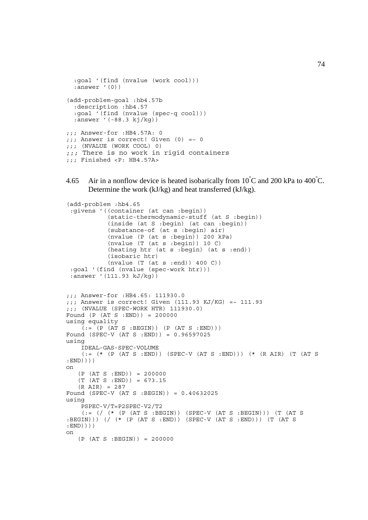```
 :goal '(find (nvalue (work cool)))
  :answer '(0))
(add-problem-goal :hb4.57b
   :description :hb4.57
   :goal '(find (nvalue (spec-q cool)))
  :answer '(-88.3 kj/kg))
;;; Answer-for :HB4.57A: 0
;;; Answer is correct! Given (0) =~ 0
;;; (NVALUE (WORK COOL) 0)
;;; There is no work in rigid containers
;;; Finished <P: HB4.57A>
```
4.65 Air in a nonflow device is heated isobarically from  $10^{\circ}$ C and 200 kPa to 400 $^{\circ}$ C. Determine the work (kJ/kg) and heat transferred (kJ/kg).

```
(add-problem :hb4.65
  :givens '((container (at can :begin))
            (static-thermodynamic-stuff (at S :begin))
            (inside (at S :begin) (at can :begin))
            (substance-of (at s :begin) air)
            (nvalue (P (at s :begin)) 200 kPa)
             (nvalue (T (at s :begin)) 10 C)
             (heating htr (at s :begin) (at s :end))
             (isobaric htr)
             (nvalue (T (at s :end)) 400 C))
  :goal '(find (nvalue (spec-work htr)))
  :answer '(111.93 kJ/kg))
;;; Answer-for :HB4.65: 111930.0
j;; Answer is correct! Given (111.93 KJ/KG) =~ 111.93
;;; (NVALUE (SPEC-WORK HTR) 111930.0)
Found (P (AT S :END)) = 200000
using equality
    ( := (P (AT S : BEGIN)) (P (AT S : END)))Found (SPEC-V (AT S :END)) = 0.96597025
using
     IDEAL-GAS-SPEC-VOLUME
    (:= (* (P (AT S :END)) (SPEC-V (AT S :END))) (* (R AIR) (T (AT S
:END))))
on
   (P (AT S : END)) = 200000 (T (AT S :END)) = 673.15
   (R AIR) = 287Found (SPEC-V (AT S :BEGIN)) = 0.40632025
using
     PSPEC-V/T=P2SPEC-V2/T2
    (:= \left(\frac{\ }{\ } (* \left(P (AT S :BEGIN)) (SPEC-V (AT S :BEGIN))) (T (AT S
:BEGIN))) (/ (* (P (AT S :END)) (SPEC-V (AT S :END))) (T (AT S
:END))))
on
   (P (AT S : BEGIN)) = 200000
```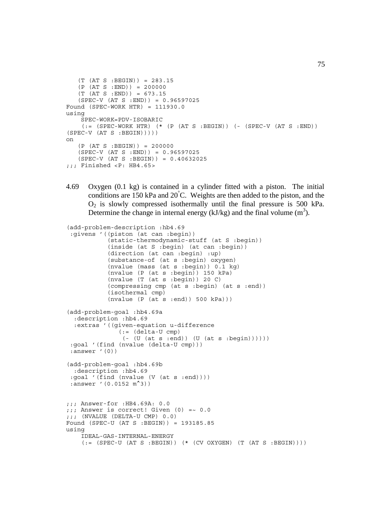```
 (T (AT S :BEGIN)) = 283.15
    (P (AT S :END)) = 200000
   (T (AT S : END)) = 673.15 (SPEC-V (AT S :END)) = 0.96597025
Found (SPEC-WORK HTR) = 111930.0using
     SPEC-WORK=PDV-ISOBARIC
    (:= (SPEC-WORK HTR) (* (P (AT S :BEGIN)) (- (SPEC-V (AT S :END))
(SPEC-V (AT S : BEGIN))))
on
   (P (AT S : BEGIN)) = 200000 (SPEC-V (AT S :END)) = 0.96597025
    (SPEC-V (AT S :BEGIN)) = 0.40632025
;;; Finished <P: HB4.65>
```
4.69 Oxygen (0.1 kg) is contained in a cylinder fitted with a piston. The initial conditions are 150 kPa and 20° C. Weights are then added to the piston, and the  $O<sub>2</sub>$  is slowly compressed isothermally until the final pressure is 500 kPa. Determine the change in internal energy ( $kJ/kg$ ) and the final volume (m<sup>3</sup>).

```
(add-problem-description :hb4.69
  :givens '((piston (at can :begin))
             (static-thermodynamic-stuff (at S :begin))
             (inside (at S :begin) (at can :begin))
             (direction (at can :begin) :up)
             (substance-of (at s :begin) oxygen)
             (nvalue (mass (at s :begin)) 0.1 kg)
             (nvalue (P (at s :begin)) 150 kPa)
             (nvalue (T (at s :begin)) 20 C)
             (compressing cmp (at s :begin) (at s :end))
             (isothermal cmp)
            (nvalue (P (at s :end)) 500 kPa)))
(add-problem-goal :hb4.69a
   :description :hb4.69
   :extras '((given-equation u-difference
               (:= (delta-U cmp)
                ( - (U (at s :end)) (U (at s :begin))))) :goal '(find (nvalue (delta-U cmp)))
  :answer '(0))
(add-problem-goal :hb4.69b
   :description :hb4.69
  :goal '(find (nvalue (V (at s :end))))
 :answer '(0.0152 m<sup>^</sup>3))
;;; Answer-for :HB4.69A: 0.0
::: Answer is correct! Given (0) = 0.0;;; (NVALUE (DELTA-U CMP) 0.0)
Found (SPEC-U (AT S :BEGIN)) = 193185.85
using
     IDEAL-GAS-INTERNAL-ENERGY
    (:=(SPEC-U (AT S : BEGIN)) (* (CV OXYGEN) (T (AT S : BEGIN))))
```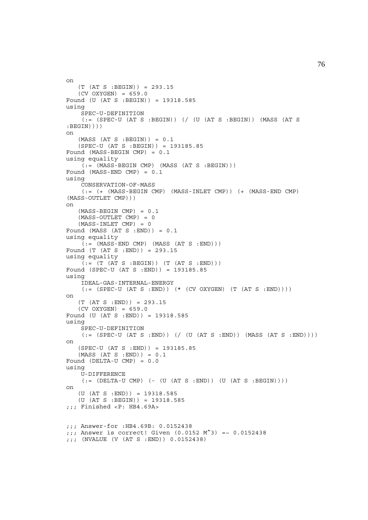```
on
   (T (AT S : BEGIN)) = 293.15(CV OXYGEN) = 659.0Found (U (AT S :BEGIN)) = 19318.585
using
     SPEC-U-DEFINITION
    (: (SPEC-U (AT S :BEGIN)) (/ (U (AT S :BEGIN)) (MASS (AT S
:BEGIN))))
on
   (MASS (AT S : BEGIN)) = 0.1 (SPEC-U (AT S :BEGIN)) = 193185.85
Found (MASS-BEGIN CMP) = 0.1
using equality
   (i = (MASS-BEGIN~\text{CMP}) (MASS (AT S : BEGIN)))Found (MASS-END CMP) = 0.1
using
     CONSERVATION-OF-MASS
     (:= (+ (MASS-BEGIN CMP) (MASS-INLET CMP)) (+ (MASS-END CMP)
(MASS-OUTLET CMP)))
on
    (MASS-BEGIN CMP) = 0.1
    (MASS-OUTLET CMP) = 0
    (MASS-INLET CMP) = 0
Found (MASS (AT S : END)) = 0.1
using equality
   ( := (MASS-END CMP) (MASS (AT S : END)))Found (T (AT S :END)) = 293.15
using equality
    (i = (T (AT S : BEGIN)) (T (AT S : END)))Found (SPEC-U (AT S :END)) = 193185.85
using
     IDEAL-GAS-INTERNAL-ENERGY
    (:= (SPEC-U (AT S : END)) ( * (CV OXYZEN) (T (AT S : END)))))on
   (T (AT S : END)) = 293.15(CV OXYGEN) = 659.0Found (U (AT S :END)) = 19318.585
using
    SPEC-U-DEFINITION
    (:=(SPEC-U (AT S : END)) ((U (AT S : END)) (MAS S (AT S : END))))on
    (SPEC-U (AT S :END)) = 193185.85
    (MASS (AT S :END)) = 0.1
Found (DELTA-U CMP) = 0.0
using
     U-DIFFERENCE
    (:=[[[[L]T A-U CMP] ( - [U (AT S : END)) (U (AT S : BEGIN)]))on
    (U (AT S :END)) = 19318.585
    (U (AT S :BEGIN)) = 19318.585
;;; Finished <P: HB4.69A>
;;; Answer-for :HB4.69B: 0.0152438
;;; Answer is correct! Given (0.0152 M^3) =~ 0.0152438
;;; (NVALUE (V (AT S :END)) 0.0152438)
```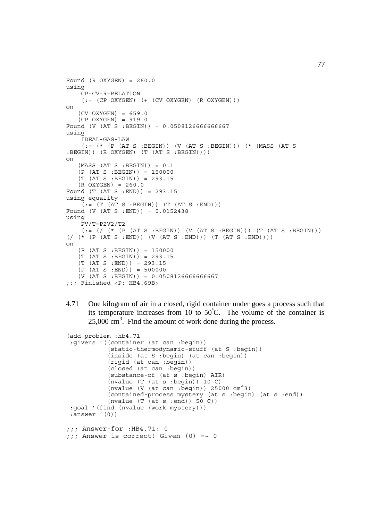```
Found (R OXYZEN) = 260.0using
     CP-CV-R-RELATION
    (:= (CP OXYGEN) (+ (CV OXYGEN) (R OXYGEN)))on
    (CV OXYGEN) = 659.0
    (CP OXYGEN) = 919.0
Found (V (AT S :BEGIN)) = 0.0508126666666667
using
     IDEAL-GAS-LAW
     (:= (* (P (AT S :BEGIN)) (V (AT S :BEGIN))) (* (MASS (AT S
:BEGIN)) (R OXYGEN) (T (AT S :BEGIN))))
on
   (MASS (AT S : BEGIN)) = 0.1(P (AT S : BEGIN)) = 150000 (T (AT S :BEGIN)) = 293.15
    (R OXYGEN) = 260.0
Found (T (AT S :END)) = 293.15
using equality
    (:=(T (AT S : BEGIN)) (T (AT S : END)))Found (V (AT S :END)) = 0.0152438
using
     PV/T=P2V2/T2
    (:= ( / (* (P (AT S :BEGIN)) (V (AT S :BEGIN))) (T (AT S :BEGIN)))
\left(\begin{array}{ccc} \ast & (P & (AT S : END)) & (V & (AT S : END))) & (T & (AT S : END))) \end{array}\right)on
    (P (AT S :BEGIN)) = 150000
    (T (AT S :BEGIN)) = 293.15
   (T (AT S : END)) = 293.15(P (AT S : END)) = 500000(V (AT S : BEGIN)) = 0.0508126666666667;;; Finished <P: HB4.69B>
```
4.71 One kilogram of air in a closed, rigid container under goes a process such that its temperature increases from 10 to  $50^{\circ}$ C. The volume of the container is  $25,000 \text{ cm}^3$ . Find the amount of work done during the process.

```
(add-problem :hb4.71
  :givens '((container (at can :begin))
            (static-thermodynamic-stuff (at S :begin))
            (inside (at S :begin) (at can :begin))
            (rigid (at can :begin))
            (closed (at can :begin))
            (substance-of (at s :begin) AIR)
            (nvalue (T (at s :begin)) 10 C)
           (nvalue (V (at can : begin)) 25000 cm^23)
 (contained-process mystery (at s :begin) (at s :end))
 (nvalue (T (at s :end)) 50 C))
  :goal '(find (nvalue (work mystery)))
  :answer '(0))
;;; Answer-for :HB4.71: 0
;;; Answer is correct! Given (0) =~ 0
```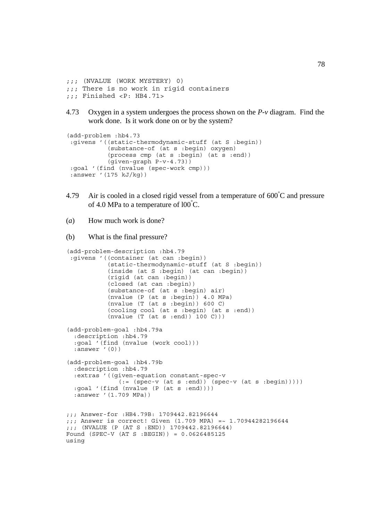```
;;; (NVALUE (WORK MYSTERY) 0)
;;; There is no work in rigid containers
;;; Finished <P: HB4.71>
```
4.73 Oxygen in a system undergoes the process shown on the *P*-*v* diagram. Find the work done. Is it work done on or by the system?

```
(add-problem :hb4.73
 :givens '((static-thermodynamic-stuff (at S :begin))
            (substance-of (at s :begin) oxygen)
            (process cmp (at s :begin) (at s :end))
            (given-graph P-v-4.73))
 :goal '(find (nvalue (spec-work cmp)))
 :answer '(175 kJ/kg))
```
- 4.79 Air is cooled in a closed rigid vessel from a temperature of  $600^{\circ}$ C and pressure of 4.0 MPa to a temperature of  $100^{\circ}$ C.
- (*a*) How much work is done?

```
(b) What is the final pressure?
(add-problem-description :hb4.79
  :givens '((container (at can :begin))
            (static-thermodynamic-stuff (at S :begin))
            (inside (at S :begin) (at can :begin))
            (rigid (at can :begin))
             (closed (at can :begin))
             (substance-of (at s :begin) air)
            (nvalue (P (at s :begin)) 4.0 MPa)
            (nvalue (T (at s :begin)) 600 C)
            (cooling cool (at s :begin) (at s :end))
            (nvalue (T (at s :end)) 100 C)))
(add-problem-goal :hb4.79a
   :description :hb4.79
   :goal '(find (nvalue (work cool)))
   :answer '(0))
(add-problem-goal :hb4.79b
   :description :hb4.79
   :extras '((given-equation constant-spec-v
              (:=(spec-v (at s :end)) (spec-v (at s :begin))))) :goal '(find (nvalue (P (at s :end))))
   :answer '(1.709 MPa))
;;; Answer-for :HB4.79B: 1709442.82196644
;;; Answer is correct! Given (1.709 MPA) =~ 1.70944282196644
;;; (NVALUE (P (AT S :END)) 1709442.82196644)
Found (SPEC-V (AT S :BEGIN)) = 0.0626485125
using
```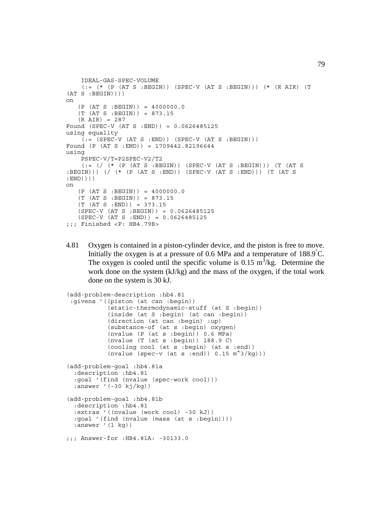```
 IDEAL-GAS-SPEC-VOLUME
    (:= (* (P (AT S :BEGIN)) (SPEC-V (AT S :BEGIN))) (* (R AIR) (T
(AT S : BEGIN))on
   (P (AT S : BEGIN)) = 4000000.0 (T (AT S :BEGIN)) = 873.15
   (R AIR) = 287Found (SPEC-V (AT S :END)) = 0.0626485125
using equality
   (i = (SPEC-V (AT S : END)) (SPEC-V (AT S : BEGIN)))Found (P (AT S :END)) = 1709442.82196644
using
     PSPEC-V/T=P2SPEC-V2/T2
    (:= \left(\frac{\ }{\ } (* (P (AT S :BEGIN)) (SPEC-V (AT S :BEGIN))) (T (AT S
:BEGIN))) (/ (* (P (AT S :END)) (SPEC-V (AT S :END))) (T (AT S
:END))))
on
    (P (AT S :BEGIN)) = 4000000.0
    (T (AT S :BEGIN)) = 873.15
    (T (AT S :END)) = 373.15
    (SPEC-V (AT S :BEGIN)) = 0.0626485125
   (SPEC-V (AT S : END)) = 0.0626485125;;; Finished <P: HB4.79B>
```
4.81 Oxygen is contained in a piston-cylinder device, and the piston is free to move. Initially the oxygen is at a pressure of 0.6 MPa and a temperature of 188.9°C. The oxygen is cooled until the specific volume is 0.15  $m^3$ /kg. Determine the work done on the system (kJ/kg) and the mass of the oxygen, if the total work done on the system is 30 kJ.

```
(add-problem-description :hb4.81
  :givens '((piston (at can :begin))
             (static-thermodynamic-stuff (at S :begin))
            (inside (at S :begin) (at can :begin))
            (direction (at can :begin) :up)
            (substance-of (at s :begin) oxygen)
            (nvalue (P (at s :begin)) 0.6 MPa)
            (nvalue (T (at s :begin)) 188.9 C)
             (cooling cool (at s :begin) (at s :end))
           (nvalue (spec-v (at s :end)) 0.15 m<sup>2</sup>(kq)))(add-problem-goal :hb4.81a
   :description :hb4.81
   :goal '(find (nvalue (spec-work cool)))
  : answer ' (-30 kj/kg))
(add-problem-goal :hb4.81b
   :description :hb4.81
   :extras '((nvalue (work cool) -30 kJ))
   :goal '(find (nvalue (mass (at s :begin))))
   :answer '(1 kg))
;;; Answer-for :HB4.81A: -30133.0
```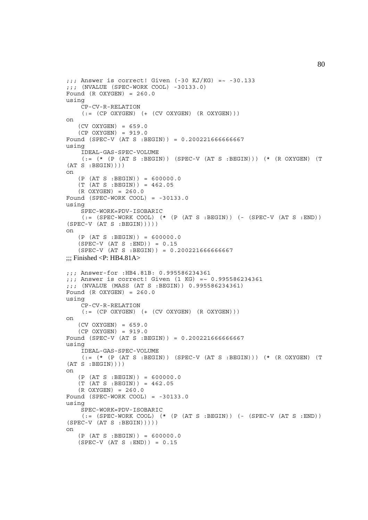```
j;; Answer is correct! Given (-30 KJ/KG) = ~ -30.133
;;; (NVALUE (SPEC-WORK COOL) -30133.0)
Found (R OXYZEN) = 260.0using
     CP-CV-R-RELATION
    ( := (CP OXYGEN) (+ (CV OXYGEN) (R OXYGEN)))on
    (CV OXYGEN) = 659.0
    (CP OXYGEN) = 919.0
Found (SPEC-V (AT S :BEGIN)) = 0.200221666666667
using
     IDEAL-GAS-SPEC-VOLUME
    (:= (* (P (AT S :BEGIN)) (SPEC-V (AT S :BEGIN))) (* (R OXYGEN) (T
(AT S : BEGIN))on
   (P (AT S : BEGIN)) = 600000.0(T (AT S : BEGIN)) = 462.05 (R OXYGEN) = 260.0
Found (SPEC-WORK COOL) = -30133.0using
     SPEC-WORK=PDV-ISOBARIC
    (:= (SPEC-WORK COOL) (* (P (AT S :BEGIN)) (- (SPEC-V (AT S :END))
(SPEC-V (AT S : BEGIN))))on
   (P (AT S : BEGIN)) = 600000.0 (SPEC-V (AT S :END)) = 0.15
   (SPEC-V (AT S : BEGIN)) = 0.200221666666667\ldots: Finished <P: HB4.81A>
;;; Answer-for :HB4.81B: 0.995586234361
;;; Answer is correct! Given (1 KG) =~ 0.995586234361
;;; (NVALUE (MASS (AT S :BEGIN)) 0.995586234361)
Found (R OXYZEN) = 260.0using
     CP-CV-R-RELATION
    ( := (CP OXYGEN) (+ (CV OXYGEN) (R OXYGEN)))on
    (CV OXYGEN) = 659.0
   (CP OXYZEN) = 919.0Found (SPEC-V (AT S :BEGIN)) = 0.200221666666667
using
     IDEAL-GAS-SPEC-VOLUME
    (:= (* (P (AT S : BEGIN)) (SPEC-V (AT S : BEGIN)) (* (R OXYGEN) (T(AT S : BEGIN))on
   (P (AT S : BEGIN)) = 600000.0(T (AT S : BERTN)) = 462.05(R OXYZEN) = 260.0Found (SPEC-WORK COOL) = -30133.0using
     SPEC-WORK=PDV-ISOBARIC
    (:= (SPEC-WORK COOL) (* (P (AT S :BEGIN)) (- (SPEC-V (AT S :END))
(SPEC-V (AT S : BEGIN)))
on
    (P (AT S :BEGIN)) = 600000.0
   (SPEC-V (AT S : END)) = 0.15
```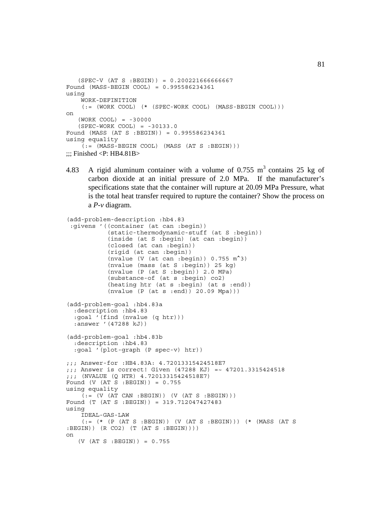```
 (SPEC-V (AT S :BEGIN)) = 0.200221666666667
Found (MASS-BEGIN COOL) = 0.995586234361
using
     WORK-DEFINITION
    (:= (WORK COOL) (* (SPEC-WORK COOL) (MASS-BEGIN COOL)))
on
    (WORK COOL) = -30000
    (SPEC-WORK COOL) = -30133.0
Found (MASS (AT S :BEGIN)) = 0.995586234361
using equality
    ( := (MASS-BEGIN COOL) (MASS (AT S : BEGIN)))\ldots Finished <P: HB4.81B>
```
4.83 A rigid aluminum container with a volume of 0.755  $m<sup>3</sup>$  contains 25 kg of carbon dioxide at an initial pressure of 2.0 MPa. If the manufacturer's specifications state that the container will rupture at 20.09 MPa Pressure, what is the total heat transfer required to rupture the container? Show the process on a *P*-*v* diagram.

```
(add-problem-description :hb4.83
  :givens '((container (at can :begin))
             (static-thermodynamic-stuff (at S :begin))
            (inside (at S :begin) (at can :begin))
            (closed (at can :begin))
            (rigid (at can :begin))
            (nvalue (V (at can :begin)) 0.755 m^3)
            (nvalue (mass (at S :begin)) 25 kg)
            (nvalue (P (at S :begin)) 2.0 MPa)
            (substance-of (at s :begin) co2)
            (heating htr (at s :begin) (at s :end))
            (nvalue (P (at s :end)) 20.09 Mpa)))
(add-problem-goal :hb4.83a
   :description :hb4.83
   :goal '(find (nvalue (q htr)))
   :answer '(47288 kJ))
(add-problem-goal :hb4.83b
   :description :hb4.83
   :goal '(plot-graph (P spec-v) htr))
;;; Answer-for :HB4.83A: 4.72013315424518E7
;;; Answer is correct! Given (47288 KJ) =~ 47201.3315424518
;;; (NVALUE (Q HTR) 4.72013315424518E7)
Found (V (AT S : BEGIN)) = 0.755using equality
    ( := (V (AT CAN : BEGIN)) (V (AT S : BEGIN)))Found (T (AT S :BEGIN)) = 319.712047427483
using
     IDEAL-GAS-LAW
     (:= (* (P (AT S :BEGIN)) (V (AT S :BEGIN))) (* (MASS (AT S
:BEGIN)) (R CO2) (T (AT S :BEGIN))))
on
   (V (AT S : BEGIN)) = 0.755
```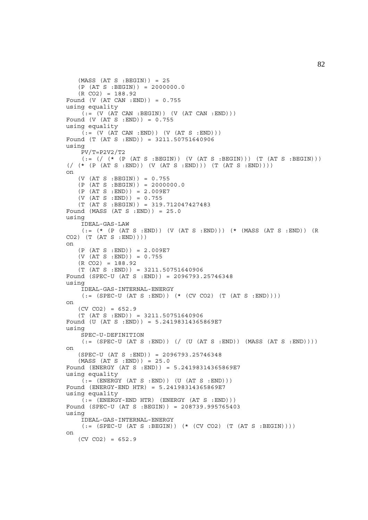```
(MASS (AT S : BEGIN)) = 25(P (AT S : BEGIN)) = 2000000.0(R CO2) = 188.92Found (V (AT CAN :END)) = 0.755
using equality
    (i = (V (AT CAN : BEGIN)) (V (AT CAN : END)))Found (V (AT S :END)) = 0.755
using equality
    ( := (V (AT CAN : END)) (V (AT S : END)))Found (T (AT S :END)) = 3211.50751640906
using
     PV/T=P2V2/T2
    (:= // (* (P (AT S :BEGIN)) (V (AT S :BEGIN))) (T (AT S :BEGIN)))
( ( ( \star ( P (AT S : END)) ( V ( AT S : END))) ( T ( AT S : END)))on
   (V (AT S : BEGIN)) = 0.755(P (AT S : BEGIN)) = 2000000.0 (P (AT S :END)) = 2.009E7
    (V (AT S :END)) = 0.755
    (T (AT S :BEGIN)) = 319.712047427483
Found (MASS (AT S :END)) = 25.0
using
     IDEAL-GAS-LAW
    (:= (* (P (AT S : END)) (V (AT S : END))) (* (MASS (AT S : END)) (R
CO2) (T (AT S : END))on
   (P (AT S : END)) = 2.009E7(V (AT S : END)) = 0.755(R CO2) = 188.92 (T (AT S :END)) = 3211.50751640906
Found (SPEC-U (AT S :END)) = 2096793.25746348
using
     IDEAL-GAS-INTERNAL-ENERGY
    (:=(SPEC-U (AT S : END)) (*(CV CO2) (T (AT S : END))))on
   (CV CO2) = 652.9(T (AT S : END)) = 3211.50751640906Found (U (AT S :END)) = 5.24198314365869E7
using
     SPEC-U-DEFINITION
    (:= (SPEC-U (AT S :END)) (/ (U (AT S :END)) (MASS (AT S :END))))
on
    (SPEC-U (AT S :END)) = 2096793.25746348
    (MASS (AT S :END)) = 25.0
Found (ENERGY (AT S :END)) = 5.24198314365869E7
using equality
    ( := (ENTERGY (AT S : END)) (U (AT S : END)))Found (ENERGY-END HTR) = 5.24198314365869E7
using equality
    ( := (ENERGY - END HTR) (ENERGY (AT S : END)))Found (SPEC-U (AT S :BEGIN)) = 208739.995765403
using
     IDEAL-GAS-INTERNAL-ENERGY
    (:= (SPEC-U (AT S : BEGIN)) (* (CV CO2) (T (AT S : BEGIN))))on
   (CV CO2) = 652.9
```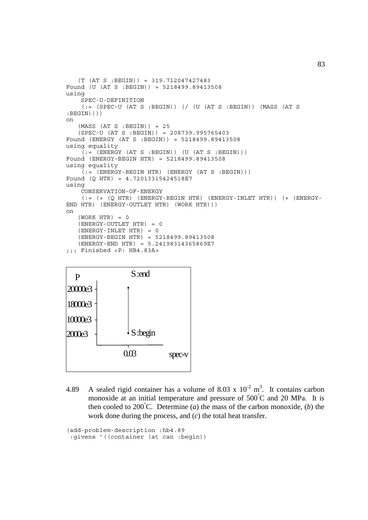```
 (T (AT S :BEGIN)) = 319.712047427483
Found (U (AT S :BEGIN)) = 5218499.89413508
using
     SPEC-U-DEFINITION
    (: (SPEC-U (AT S :BEGIN)) (/ (U (AT S :BEGIN)) (MASS (AT S
:BEGIN))))
on
   (MASS (AT S : BEGIN)) = 25 (SPEC-U (AT S :BEGIN)) = 208739.995765403
Found (ENERGY (AT S :BEGIN)) = 5218499.89413508
using equality
    (i = (ENERGY (AT S : BEGIN)) (U (AT S : BEGIN)))Found (ENERGY-BEGIN HTR) = 5218499.89413508
using equality
    (i; = (ENERGY-BEGIN HTR) (ENERGY (AT S :BEGIN)))
Found (Q HTR) = 4.72013315424518E7
using
     CONSERVATION-OF-ENERGY
    (:= (+ (Q HTR) (ENERGY-BEGIN HTR) (ENERGY-INLET HTR)) (+ (ENERGY-END HTR) (ENERGY-OUTLET HTR) (WORK HTR)))
on
   (WORK HTR) = 0 (ENERGY-OUTLET HTR) = 0
    (ENERGY-INLET HTR) = 0
    (ENERGY-BEGIN HTR) = 5218499.89413508
    (ENERGY-END HTR) = 5.24198314365869E7
;;; Finished <P: HB4.83A>
```


4.89 A sealed rigid container has a volume of 8.03 x  $10^{-2}$  m<sup>3</sup>. It contains carbon monoxide at an initial temperature and pressure of 500°C and 20 MPa. It is then cooled to 200°C. Determine (*a*) the mass of the carbon monoxide, (*b*) the work done during the process, and (*c*) the total heat transfer.

```
(add-problem-description :hb4.89
 :givens '((container (at can :begin))
```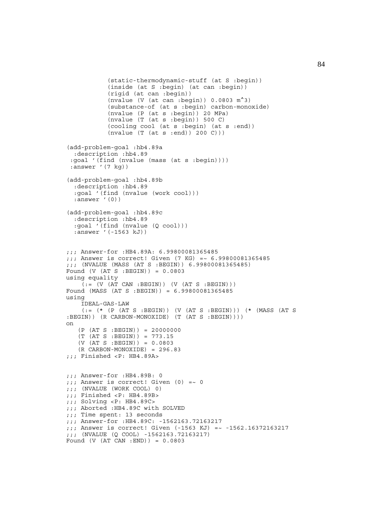```
 (static-thermodynamic-stuff (at S :begin))
            (inside (at S :begin) (at can :begin))
             (rigid (at can :begin))
           (nvalue (V (at can :begin)) 0.0803 m<sup>2</sup>) (substance-of (at s :begin) carbon-monoxide)
            (nvalue (P (at s :begin)) 20 MPa)
            (nvalue (T (at s :begin)) 500 C)
            (cooling cool (at s :begin) (at s :end))
            (nvalue (T (at s :end)) 200 C)))
(add-problem-goal :hb4.89a
   :description :hb4.89
  :goal '(find (nvalue (mass (at s :begin))))
 :answer '(7 kg))
(add-problem-goal :hb4.89b
   :description :hb4.89
   :goal '(find (nvalue (work cool)))
   :answer '(0))
(add-problem-goal :hb4.89c
   :description :hb4.89
   :goal '(find (nvalue (Q cool)))
   :answer '(-1563 kJ))
;;; Answer-for :HB4.89A: 6.99800081365485
;;; Answer is correct! Given (7 KG) =~ 6.99800081365485
;;; (NVALUE (MASS (AT S :BEGIN)) 6.99800081365485)
Found (V (AT S :BEGIN)) = 0.0803
using equality
    ( := (V (AT CAN : BEGIN)) (V (AT S : BEGIN)))Found (MASS (AT S :BEGIN)) = 6.99800081365485
using
     IDEAL-GAS-LAW
    (:= (* (P (AT S :BEGIN)) (V (AT S :BEGIN))) (* (MASS (AT S
:BEGIN)) (R CARBON-MONOXIDE) (T (AT S :BEGIN))))
on
    (P (AT S :BEGIN)) = 20000000
    (T (AT S :BEGIN)) = 773.15
   (V (AT S : BEGIN)) = 0.0803 (R CARBON-MONOXIDE) = 296.83
;;; Finished <P: HB4.89A>
;;; Answer-for :HB4.89B: 0
j;; Answer is correct! Given (0) =~ 0
;;; (NVALUE (WORK COOL) 0)
;;; Finished <P: HB4.89B>
;;; Solving <P: HB4.89C>
;;; Aborted :HB4.89C with SOLVED
;;; Time spent: 13 seconds
;;; Answer-for :HB4.89C: -1562163.72163217
;;; Answer is correct! Given (-1563 KJ) =~ -1562.16372163217
;;; (NVALUE (Q COOL) -1562163.72163217)
Found (V (AT CAN :END)) = 0.0803
```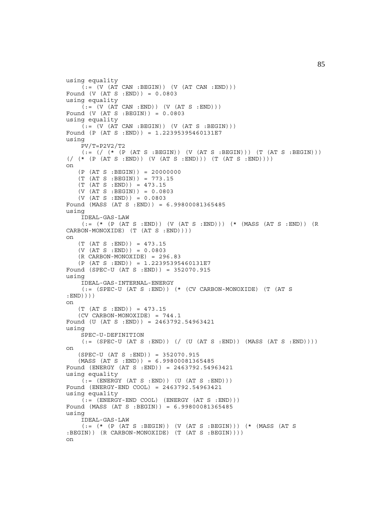```
using equality
    ( := (V (AT CAN : BEGIN)) (V (AT CAN : END)))Found (V (AT S : END)) = 0.0803using equality
    \tilde{I} := (V (AT CAN : END)) (V (AT S : END)))Found (V (AT S :BEGIN)) = 0.0803
using equality
    ( := (V (AT CAN : BEGIN)) (V (AT S : BEGIN)))Found (P (AT S :END)) = 1.22395395460131E7
using
     PV/T=P2V2/T2
    (:= // (* (P (AT S : BEGIN)) (V (AT S : BEGIN))) (T (AT S : BEGIN)))( ( ( \star ( P (AT S : END )) ( V ( AT S : END )) ( T ( AT S : END )) )on
   (P (AT S : BEGIN)) = 20000000 (T (AT S :BEGIN)) = 773.15
   (T (AT S : END)) = 473.15 (V (AT S :BEGIN)) = 0.0803
    (V (AT S :END)) = 0.0803
Found (MASS (AT S :END)) = 6.99800081365485
using
     IDEAL-GAS-LAW
     (:= (* (P (AT S :END)) (V (AT S :END))) (* (MASS (AT S :END)) (R
CARBON-MONOXIDE) (T (AT S :END))))
on
    (T (AT S :END)) = 473.15
   (V (AT S : END)) = 0.0803(R CARBON-MONOXIDE) = 296.83
    (P (AT S :END)) = 1.22395395460131E7
Found (SPEC-U (AT S :END)) = 352070.915
using
     IDEAL-GAS-INTERNAL-ENERGY
     (:= (SPEC-U (AT S :END)) (* (CV CARBON-MONOXIDE) (T (AT S
:END))))
on
   (T (AT S : END)) = 473.15 (CV CARBON-MONOXIDE) = 744.1
Found (U (AT S :END)) = 2463792.54963421
using
     SPEC-U-DEFINITION
    (:= (SPEC-U (AT S :END)) (/ (U (AT S :END)) (MASS (AT S :END))))
on
    (SPEC-U (AT S :END)) = 352070.915
    (MASS (AT S :END)) = 6.99800081365485
Found (ENERGY (AT S :END)) = 2463792.54963421
using equality
    ( := (ENTERGY (AT S : END)) (U (AT S : END)))Found (ENERGY-END COOL) = 2463792.54963421
using equality
    ( := (ENERGY - END COOL) (ENERGY (AT S : END)))Found (MASS (AT S :BEGIN)) = 6.99800081365485
using
     IDEAL-GAS-LAW
 (:= (* (P (AT S :BEGIN)) (V (AT S :BEGIN))) (* (MASS (AT S
:BEGIN)) (R CARBON-MONOXIDE) (T (AT S :BEGIN))))
on
```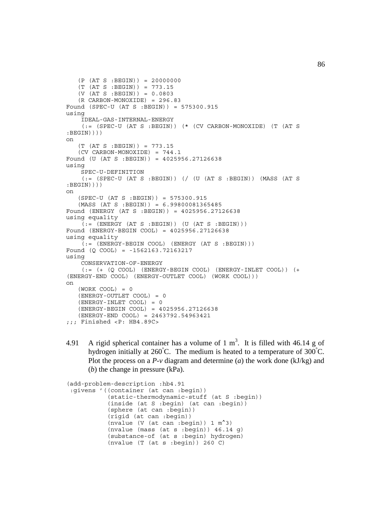```
(P (AT S : BEGIN)) = 20000000 (T (AT S :BEGIN)) = 773.15
   (V (AT S : BEGIN)) = 0.0803 (R CARBON-MONOXIDE) = 296.83
Found (SPEC-U (AT S :BEGIN)) = 575300.915
using
     IDEAL-GAS-INTERNAL-ENERGY
     (:= (SPEC-U (AT S :BEGIN)) (* (CV CARBON-MONOXIDE) (T (AT S
:BEGIN))))
on
    (T (AT S :BEGIN)) = 773.15
    (CV CARBON-MONOXIDE) = 744.1
Found (U (AT S :BEGIN)) = 4025956.27126638
using
     SPEC-U-DEFINITION
     (:= (SPEC-U (AT S :BEGIN)) (/ (U (AT S :BEGIN)) (MASS (AT S
:BEGIN))))
on
    (SPEC-U (AT S :BEGIN)) = 575300.915
    (MASS (AT S :BEGIN)) = 6.99800081365485
Found (ENERGY (AT S :BEGIN)) = 4025956.27126638
using equality
    ( := (ENERGY (AT S : BEGIN)) (U (AT S : BEGIN)))Found (ENERGY-BEGIN COOL) = 4025956.27126638
using equality
     (:= (ENERGY-BEGIN COOL) (ENERGY (AT S :BEGIN)))
Found (Q COOL) = -1562163.72163217
using
     CONSERVATION-OF-ENERGY
     (:= (+ (Q COOL) (ENERGY-BEGIN COOL) (ENERGY-INLET COOL)) (+
(ENERGY-END COOL) (ENERGY-OUTLET COOL) (WORK COOL)))
on
   (WORK COOL) = 0 (ENERGY-OUTLET COOL) = 0
    (ENERGY-INLET COOL) = 0
    (ENERGY-BEGIN COOL) = 4025956.27126638
    (ENERGY-END COOL) = 2463792.54963421
;;; Finished <P: HB4.89C>
```
4.91 A rigid spherical container has a volume of 1 m<sup>3</sup>. It is filled with 46.14 g of hydrogen initially at 260°C. The medium is heated to a temperature of 300°C. Plot the process on a *P*-*v* diagram and determine (*a*) the work done (kJ/kg) and (*b*) the change in pressure (kPa).

```
(add-problem-description :hb4.91
 :givens '((container (at can :begin))
            (static-thermodynamic-stuff (at S :begin))
            (inside (at S :begin) (at can :begin))
            (sphere (at can :begin))
            (rigid (at can :begin))
            (nvalue (V (at can :begin)) 1 m^3)
            (nvalue (mass (at s :begin)) 46.14 g)
            (substance-of (at s :begin) hydrogen)
           (nvalue (T (at s :begin)) 260 C)
```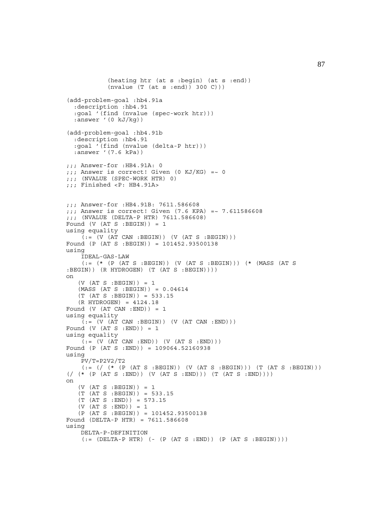```
 (heating htr (at s :begin) (at s :end))
             (nvalue (T (at s :end)) 300 C)))
(add-problem-goal :hb4.91a
   :description :hb4.91
   :goal '(find (nvalue (spec-work htr)))
  :answer '(0 kJ/kg))
(add-problem-goal :hb4.91b
   :description :hb4.91
   :goal '(find (nvalue (delta-P htr)))
  :answer '(7.6 kPa))
;;; Answer-for :HB4.91A: 0
;;; Answer is correct! Given (0 KJ/KG) =~ 0
;;; (NVALUE (SPEC-WORK HTR) 0)
;;; Finished <P: HB4.91A>
;;; Answer-for :HB4.91B: 7611.586608
;;; Answer is correct! Given (7.6 KPA) =~ 7.611586608
;;; (NVALUE (DELTA-P HTR) 7611.586608)
Found (V (AT S : BEGIN)) = 1using equality
    (:=(V (AT CAN : BEGIN)) (V (AT S : BEGIN)))Found (P (AT S :BEGIN)) = 101452.93500138
using
     IDEAL-GAS-LAW
     (:= (* (P (AT S :BEGIN)) (V (AT S :BEGIN))) (* (MASS (AT S
:BEGIN)) (R HYDROGEN) (T (AT S :BEGIN))))
on
   (V (AT S : BEGIN)) = 1(MASS (AT S : BEGIN)) = 0.04614(T (AT S : BEGIN)) = 533.15 (R HYDROGEN) = 4124.18
Found (V (AT CAN : END)) = 1using equality
    (t; = (V (AT CAN : BEGIN)) (V (AT CAN : END)))Found (V (AT S : END)) = 1using equality
    ( := (V (AT CAN : END)) (V (AT S : END)))Found (P (AT S :END)) = 109064.52160938
using
     PV/T=P2V2/T2
    (:= \left(\frac{\ast}{\ast} \left(P \left(\text{AT S : BEGIN}\right)\right) \left(V \left(\text{AT S : BEGIN}\right)\right)\right) (T (AT S :BEGIN)))
(\frac{\# (P (AT S : END)) (V (AT S :END))) (T (AT S :END)))on
   (V (AT S : BEGIN)) = 1 (T (AT S :BEGIN)) = 533.15
    (T (AT S :END)) = 573.15
   (V (AT S : END)) = 1 (P (AT S :BEGIN)) = 101452.93500138
Found (DELTA-P HTR) = 7611.586608
using
     DELTA-P-DEFINITION
    (:=[[[[L]T A-P HTR] (-[P (AT S :END)) (P (AT S : BEGIN)]))
```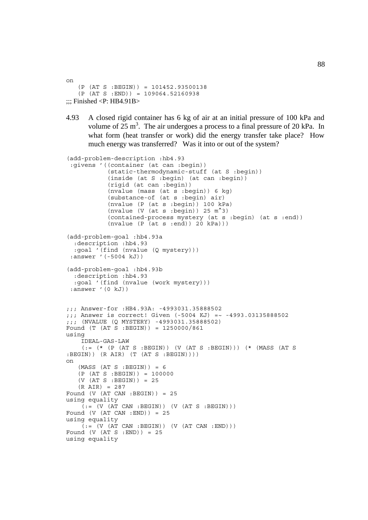on (P (AT S :BEGIN)) = 101452.93500138  $(P (AT S : END)) = 109064.52160938$  $\ldots$ : Finished <P: HB4.91B>

4.93 A closed rigid container has 6 kg of air at an initial pressure of 100 kPa and volume of  $25 \text{ m}^3$ . The air undergoes a process to a final pressure of 20 kPa. In what form (heat transfer or work) did the energy transfer take place? How much energy was transferred? Was it into or out of the system?

```
(add-problem-description :hb4.93
  :givens '((container (at can :begin))
            (static-thermodynamic-stuff (at S :begin))
            (inside (at S :begin) (at can :begin))
             (rigid (at can :begin))
             (nvalue (mass (at s :begin)) 6 kg)
             (substance-of (at s :begin) air)
             (nvalue (P (at s :begin)) 100 kPa)
            (nvalue (V (at s :begin)) 25 m^3)
            (contained-process mystery (at s :begin) (at s :end))
           (nvalue (P (at s :end)) 20 kPa)))(add-problem-goal :hb4.93a
   :description :hb4.93
   :goal '(find (nvalue (Q mystery)))
  :answer '(-5004 kJ))
(add-problem-goal :hb4.93b
   :description :hb4.93
   :goal '(find (nvalue (work mystery)))
  :answer '(0 kJ))
;;; Answer-for :HB4.93A: -4993031.35888502
;;; Answer is correct! Given (-5004 KJ) =~ -4993.03135888502
;;; (NVALUE (Q MYSTERY) -4993031.35888502)
Found (T (AT S :BEGIN)) = 1250000/861
using
     IDEAL-GAS-LAW
     (:= (* (P (AT S :BEGIN)) (V (AT S :BEGIN))) (* (MASS (AT S
:BEGIN)) (R AIR) (T (AT S :BEGIN))))
on
   (MASS (AT S : BEGIN)) = 6 (P (AT S :BEGIN)) = 100000
   (V (AT S : BEGIN)) = 25(R AIR) = 287Found (V (AT CAN :BEGIN)) = 25
using equality
    (:= (V (AT CAN : BEGIN)) (V (AT S : BEGIN)))Found (V (AT CAN :END)) = 25
using equality
    (t = (V (AT CAN : BEGIN)) (V (AT CAN : END)))Found (V (AT S : END)) = 25using equality
```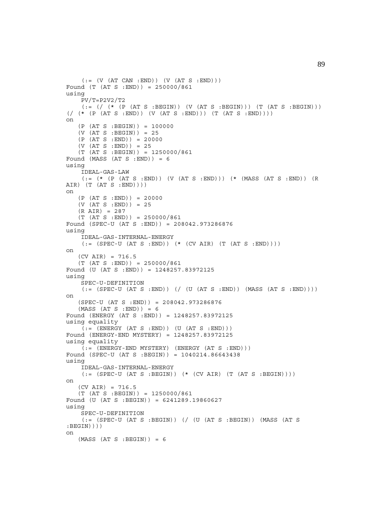```
( := (V (AT CAN : END)) (V (AT S : END)))Found (T (AT S :END)) = 250000/861
using
    PV/T = P2V2/T2(:= {}/ {*( * (P (AT S : BEGIN)) (V (AT S : BEGIN)) (T (AT S : BEGIN)))(\text{}/ (\star (\text{PT } S : END)))(V (AT S : END))) (T (AT S : END)))on
    (P (AT S :BEGIN)) = 100000
   (V (AT S : BEGIN)) = 25(P (AT S : END)) = 20000 (V (AT S :END)) = 25
    (T (AT S :BEGIN)) = 1250000/861
Found (MASS (AT S : END)) = 6
using
     IDEAL-GAS-LAW
    (:= (* (P (AT S :END)) (V (AT S :END))) (* (MASS (AT S :END)) (R
AIR) (T (AT S : END))on
    (P (AT S :END)) = 20000
    (V (AT S :END)) = 25
    (R AIR) = 287
   (T (AT S : END)) = 250000/861Found (SPEC-U (AT S :END)) = 208042.973286876
using
     IDEAL-GAS-INTERNAL-ENERGY
    (:= (SPEC-U (AT S : END)) ( * (CV AIR) (T (AT S : END)))))on
   (CV AIR) = 716.5(T (AT S : END)) = 250000/861Found (U (AT S :END)) = 1248257.83972125
using
     SPEC-U-DEFINITION
    (:= (SPEC-U (AT S : END)) ) ( ( U (AT S :END)) ( MASS (AT S : END)) ))on
    (SPEC-U (AT S :END)) = 208042.973286876
   (MASS (AT S : END)) = 6Found (ENERGY (AT S :END)) = 1248257.83972125
using equality
    (i = (ENTERGY (AT S : END)) (U (AT S : END)))Found (ENERGY-END MYSTERY) = 1248257.83972125
using equality
    (:=(ENERGY-END MYSTERY) (ENERGY (AT S : END)))Found (SPEC-U (AT S :BEGIN)) = 1040214.86643438
using
     IDEAL-GAS-INTERNAL-ENERGY
    (:= (SPEC-U (AT S : BEGIN)) (* (CV AIR) (T (AT S : BEGIN))))on
   (CV AIR) = 716.5(T (AT S : BEGIN)) = 1250000/861Found (U (AT S :BEGIN)) = 6241289.19860627
using
     SPEC-U-DEFINITION
    (:= (SPEC-U (AT S :BEGIN)) (/ (U (AT S :BEGIN)) (MASS (AT S
:BEGIN))))
on
   (MASS (AT S : BEGIN)) = 6
```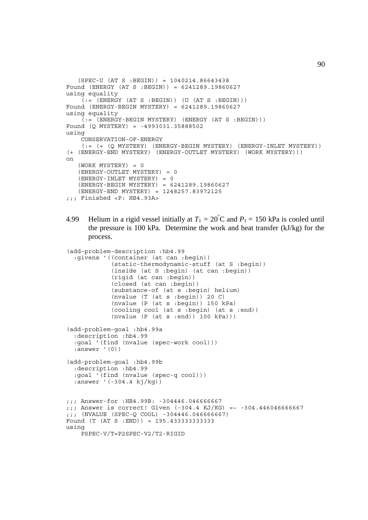```
 (SPEC-U (AT S :BEGIN)) = 1040214.86643438
Found (ENERGY (AT S :BEGIN)) = 6241289.19860627
using equality
    (t, t) = (ENERGY (AT S : BEGIN)) (U (AT S : BEGIN)))Found (ENERGY-BEGIN MYSTERY) = 6241289.19860627
using equality
    (:= (ENERGY-BEGIN MYSTERY) (ENERGY (AT S :BEGIN)))
Found (Q MYSTERY) = -4993031.35888502
using
     CONSERVATION-OF-ENERGY
     (:= (+ (Q MYSTERY) (ENERGY-BEGIN MYSTERY) (ENERGY-INLET MYSTERY))
(+ (ENERGY-END MYSTERY) (ENERGY-OUTLET MYSTERY) (WORK MYSTERY)))
on
    (WORK MYSTERY) = 0
    (ENERGY-OUTLET MYSTERY) = 0
    (ENERGY-INLET MYSTERY) = 0
    (ENERGY-BEGIN MYSTERY) = 6241289.19860627
    (ENERGY-END MYSTERY) = 1248257.83972125
;;; Finished <P: HB4.93A>
```
4.99 Helium in a rigid vessel initially at  $T_1 = 20^{\circ}$ C and  $P_1 = 150$  kPa is cooled until the pressure is 100 kPa. Determine the work and heat transfer (kJ/kg) for the process.

```
(add-problem-description :hb4.99
   :givens '((container (at can :begin))
             (static-thermodynamic-stuff (at S :begin))
             (inside (at S :begin) (at can :begin))
             (rigid (at can :begin))
              (closed (at can :begin))
             (substance-of (at s :begin) helium)
             (nvalue (T (at s :begin)) 20 C)
             (nvalue (P (at s :begin)) 150 kPa)
             (cooling cool (at s :begin) (at s :end))
            (nvalue (P (at s :end)) 100 kPa)))
(add-problem-goal :hb4.99a
   :description :hb4.99
   :goal '(find (nvalue (spec-work cool)))
   :answer '(0))
(add-problem-goal :hb4.99b
   :description :hb4.99
   :goal '(find (nvalue (spec-q cool)))
   :answer '(-304.4 kj/kg))
;;; Answer-for :HB4.99B: -304446.046666667
;;; Answer is correct! Given (-304.4 KJ/KG) =~ -304.446046666667
;;; (NVALUE (SPEC-Q COOL) -304446.046666667)
Found (T (AT S :END)) = 195.433333333333
using
     PSPEC-V/T=P2SPEC-V2/T2-RIGID
```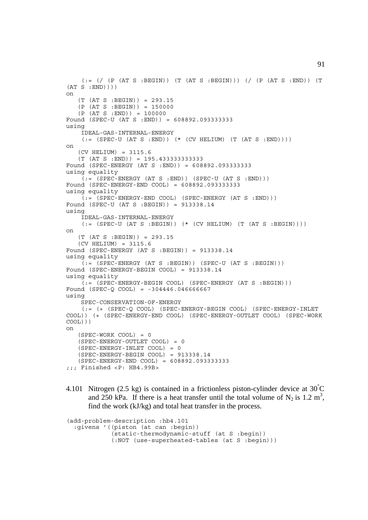```
(:.=(/ (P (AT S : BEGIN)) (T (AT S : BEGIN)))(/ (P (AT S : END)) (T(AT S : END))))
on
   (T (AT S : BEGIN)) = 293.15(P (AT S : BEGIN)) = 150000(P (AT S : END)) = 100000Found (SPEC-U (AT S :END)) = 608892.093333333
using
     IDEAL-GAS-INTERNAL-ENERGY
    (:=(SPEC-U (AT S : END)) (* (CV HELIUM) (T (AT S : END))))on
    (CV HELIUM) = 3115.6
    (T (AT S :END)) = 195.433333333333
Found (SPEC-ENERGY (AT S :END)) = 608892.093333333
using equality
    (i = (SPEC-ENERGY (AT S : END)) (SPEC-U (AT S : END)))Found (SPEC-ENERGY-END COOL) = 608892.093333333
using equality
     (:= (SPEC-ENERGY-END COOL) (SPEC-ENERGY (AT S :END)))
Found (SPEC-U (AT S :BEGIN)) = 913338.14
using
     IDEAL-GAS-INTERNAL-ENERGY
    (:= (SPEC-U (AT S :BEGIN)) (* (CV HELIUM) (T (AT S :BEGIN))))
on
    (T (AT S :BEGIN)) = 293.15
    (CV HELIUM) = 3115.6
Found (SPEC-ENERGY (AT S :BEGIN)) = 913338.14
using equality
    \overline{Q} := (SPEC-ENERGY (AT S :BEGIN)) (SPEC-U (AT S :BEGIN)))
Found (SPEC-ENERGY-BEGIN COOL) = 913338.14
using equality
     (:= (SPEC-ENERGY-BEGIN COOL) (SPEC-ENERGY (AT S :BEGIN)))
Found (SPEC-Q COOL) = -304446.046666667
using
     SPEC-CONSERVATION-OF-ENERGY
     (:= (+ (SPEC-Q COOL) (SPEC-ENERGY-BEGIN COOL) (SPEC-ENERGY-INLET
COOL)) (+ (SPEC-ENERGY-END COOL) (SPEC-ENERGY-OUTLET COOL) (SPEC-WORK
COOL)))
on
   (SPEC-WORK COOL) = 0 (SPEC-ENERGY-OUTLET COOL) = 0
    (SPEC-ENERGY-INLET COOL) = 0
    (SPEC-ENERGY-BEGIN COOL) = 913338.14
    (SPEC-ENERGY-END COOL) = 608892.093333333
;;; Finished <P: HB4.99B>
```
4.101 Nitrogen (2.5 kg) is contained in a frictionless piston-cylinder device at  $30^{\circ}$ C and 250 kPa. If there is a heat transfer until the total volume of  $N_2$  is 1.2 m<sup>3</sup>, find the work (kJ/kg) and total heat transfer in the process.

```
(add-problem-description :hb4.101
  :givens '((piston (at can :begin))
             (static-thermodynamic-stuff (at S :begin))
             (:NOT (use-superheated-tables (at S :begin)))
```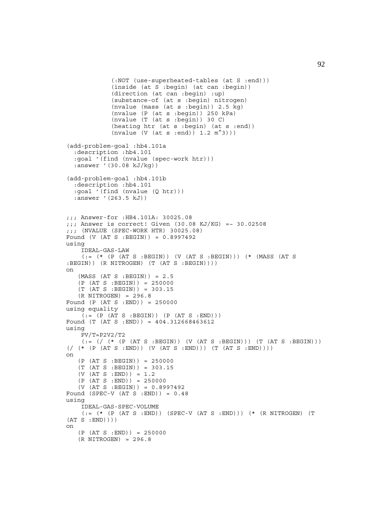```
 (:NOT (use-superheated-tables (at S :end)))
              (inside (at S :begin) (at can :begin))
              (direction (at can :begin) :up)
              (substance-of (at s :begin) nitrogen)
              (nvalue (mass (at s :begin)) 2.5 kg)
              (nvalue (P (at s :begin)) 250 kPa)
              (nvalue (T (at s :begin)) 30 C)
              (heating htr (at s :begin) (at s :end))
             (nvalue (V (at s :end)) 1.2 m<sup>2</sup>))(add-problem-goal :hb4.101a
   :description :hb4.101
   :goal '(find (nvalue (spec-work htr)))
   :answer '(30.08 kJ/kg))
(add-problem-goal :hb4.101b
   :description :hb4.101
   :goal '(find (nvalue (Q htr)))
   :answer '(263.5 kJ))
;;; Answer-for :HB4.101A: 30025.08
j;; Answer is correct! Given (30.08 KJ/KG) =~ 30.02508
;;; (NVALUE (SPEC-WORK HTR) 30025.08)
Found (V (AT S :BEGIN)) = 0.8997492
using
     IDEAL-GAS-LAW
     (:= (* (P (AT S :BEGIN)) (V (AT S :BEGIN))) (* (MASS (AT S
:BEGIN) (R NITROGEN) (T (AT S :BEGIN)))
on
   (MASS (AT S : BEGIN)) = 2.5 (P (AT S :BEGIN)) = 250000
    (T (AT S :BEGIN)) = 303.15
    (R NITROGEN) = 296.8
Found (P (AT S :END)) = 250000
using equality
    ( := (P (AT S : BEGIN)) (P (AT S : END)))Found (T (AT S :END)) = 404.312668463612
using
    PV/T = P2V2/T2(:= {}/ { (* (P (AT S : BEGIN)) (V (AT S : BEGIN))) (T (AT S : BEGIN)))(\, / \, (* \, (P \, (AT \, S \, :END)) \, (V \, (AT \, S \, :END))) \, (T \, (AT \, S \, :END)))on
    (P (AT S :BEGIN)) = 250000
    (T (AT S :BEGIN)) = 303.15
    (V (AT S :END)) = 1.2
   (P (AT S : END)) = 250000(V (AT S : BEGIN)) = 0.8997492Found (SPEC-V (AT S : END)) = 0.48using
     IDEAL-GAS-SPEC-VOLUME
    (:= (* (P (AT S : END)) (SPEC-V (AT S : END))) (*) (* (R NITROGEN) (T S)(AT S : END)))
on
   (P (AT S : END)) = 250000 (R NITROGEN) = 296.8
```
92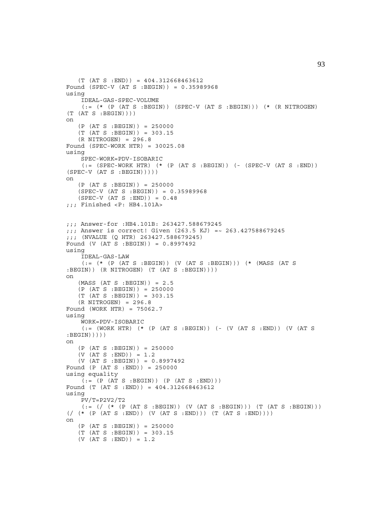```
(T (AT S : END)) = 404.312668463612Found (SPEC-V (AT S :BEGIN)) = 0.35989968
using
     IDEAL-GAS-SPEC-VOLUME
    (:= (* (P (AT S :BEGIN)) (SPEC-V (AT S :BEGIN))) (* (R NITROGEN)
(T (AT S : BEGIN))on
   (P (AT S : BEGIN)) = 250000 (T (AT S :BEGIN)) = 303.15
   (R NITROGEN) = 296.8Found (SPEC-WORK HTR) = 30025.08using
     SPEC-WORK=PDV-ISOBARIC
    (:= (SPEC-WORK HTR) (* (P (AT S :BEGIN)) (- (SPEC-V (AT S :END))
(SPEC-V (AT S : BEGIN))))on
   (P (AT S : BEGIN)) = 250000 (SPEC-V (AT S :BEGIN)) = 0.35989968
    (SPEC-V (AT S :END)) = 0.48
;;; Finished <P: HB4.101A>
;;; Answer-for :HB4.101B: 263427.588679245
;;; Answer is correct! Given (263.5 KJ) =~ 263.427588679245
;;; (NVALUE (Q HTR) 263427.588679245)
Found (V (AT S :BEGIN)) = 0.8997492
using
     IDEAL-GAS-LAW
     (:= (* (P (AT S :BEGIN)) (V (AT S :BEGIN))) (* (MASS (AT S
:BEGIN)) (R NITROGEN) (T (AT S :BEGIN))))
on
   (MASS (AT S : BEGIN)) = 2.5(P (AT S : BEGIN)) = 250000 (T (AT S :BEGIN)) = 303.15
    (R NITROGEN) = 296.8
Found (WORK HTR) = 75062.7
using
     WORK=PDV-ISOBARIC
    (:= (WORK HTR) (* (P (AT S :BEGIN)) (- (V (AT S :END)) (V (AT S
: BEGIN)))))
on
    (P (AT S :BEGIN)) = 250000
    (V (AT S :END)) = 1.2
    (V (AT S :BEGIN)) = 0.8997492
Found (P (AT S :END)) = 250000
using equality
   ( := (P (AT S : BEGIN)) (P (AT S : END)))Found (T (AT S :END)) = 404.312668463612
using
     PV/T=P2V2/T2
    (:= / (* (P (AT S :BEGIN)) (V (AT S :BEGIN))) (T (AT S :BEGIN)))
(\text{}/ (\star (\text{PT } S : END)))(V (AT S : END))) (T (AT S : END)))on
   (P (AT S : BEGIN)) = 250000 (T (AT S :BEGIN)) = 303.15
    (V (AT S :END)) = 1.2
```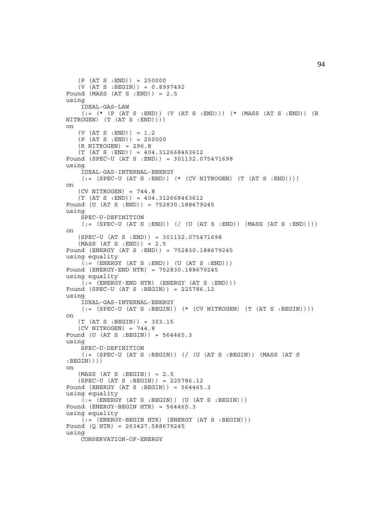```
(P (AT S : END)) = 250000 (V (AT S :BEGIN)) = 0.8997492
Found (MASS (AT S :END)) = 2.5
using
     IDEAL-GAS-LAW
    (:= (* (P (AT S :END)) (V (AT S :END))) (* (MASS (AT S :END)) (R
NITROGEN) (T (AT S :END))))
on
   (V (AT S : END)) = 1.2(P (AT S : END)) = 250000 (R NITROGEN) = 296.8
   (T (AT S : END)) = 404.312668463612Found (SPEC-U (AT S :END)) = 301132.075471698
using
     IDEAL-GAS-INTERNAL-ENERGY
    (:= (SPEC-U (AT S : END)) ( * (CV NITROGEN) (T (AT S : END)))))\capn
    (CV NITROGEN) = 744.8
    (T (AT S :END)) = 404.312668463612
Found (U (AT S :END)) = 752830.188679245
using
     SPEC-U-DEFINITION
    (:= (SPEC-U (AT S : END)) ) ( ( (UT S : END)) ) (MASS (AT S :END)) ))on
    (SPEC-U (AT S :END)) = 301132.075471698
   (MASS (AT S : END)) = 2.5Found (ENERGY (AT S :END)) = 752830.188679245
using equality
    (t;=[(ENERGY (AT S : END)) (U (AT S : END)))Found (ENERGY-END HTR) = 752830.188679245
using equality
    ( := (ENTERGY-END HTR) (ENERGY (AT S : END)))Found (SPEC-U (AT S :BEGIN)) = 225786.12
using
     IDEAL-GAS-INTERNAL-ENERGY
    (:= (SPEC-U (AT S : BEGIN)) (* (CV NITROGEN) (T (AT S : BEGIN))))on
    (T (AT S :BEGIN)) = 303.15
    (CV NITROGEN) = 744.8
Found (U (AT S :BEGIN)) = 564465.3
using
     SPEC-U-DEFINITION
     (:= (SPEC-U (AT S :BEGIN)) (/ (U (AT S :BEGIN)) (MASS (AT S
:BEGIN))))
on
   (MASS (AT S : BEGIN)) = 2.5 (SPEC-U (AT S :BEGIN)) = 225786.12
Found (ENERGY (AT S :BEGIN)) = 564465.3
using equality
    (:=(ENERGY (AT S : BEGIN)) (U (AT S : BEGIN)))Found (ENERGY-BEGIN HTR) = 564465.3
using equality
    (t) = (ENERGY-BEGIN HTR) (ENERGY (AT S :BEGIN)))
Found (Q HTR) = 263427.588679245
using
     CONSERVATION-OF-ENERGY
```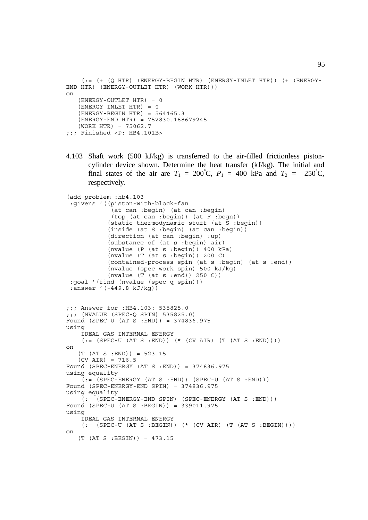```
 (:= (+ (Q HTR) (ENERGY-BEGIN HTR) (ENERGY-INLET HTR)) (+ (ENERGY-
END HTR) (ENERGY-OUTLET HTR) (WORK HTR)))
on
    (ENERGY-OUTLET HTR) = 0
   (ENERGY-INLET HTR) = 0(ENERGY-BEGIN HTR) = 564465.3 (ENERGY-END HTR) = 752830.188679245
    (WORK HTR) = 75062.7
;;; Finished <P: HB4.101B>
```
4.103 Shaft work (500 kJ/kg) is transferred to the air-filled frictionless pistoncylinder device shown. Determine the heat transfer (kJ/kg). The initial and final states of the air are  $T_1 = 200^{\circ}$ C,  $P_1 = 400$  kPa and  $T_2 = 250^{\circ}$  $-250^{\circ}$ C. respectively.

```
(add-problem :hb4.103
  :givens '((piston-with-block-fan
              (at can :begin) (at can :begin)
             (top (at can :begin)) (at F :begn))
             (static-thermodynamic-stuff (at S :begin))
             (inside (at S :begin) (at can :begin))
             (direction (at can :begin) :up)
             (substance-of (at s :begin) air)
             (nvalue (P (at s :begin)) 400 kPa)
             (nvalue (T (at s :begin)) 200 C)
             (contained-process spin (at s :begin) (at s :end))
             (nvalue (spec-work spin) 500 kJ/kg)
             (nvalue (T (at s :end)) 250 C))
  :goal '(find (nvalue (spec-q spin)))
  :answer '(-449.8 kJ/kg))
;;; Answer-for :HB4.103: 535825.0
;;; (NVALUE (SPEC-Q SPIN) 535825.0)
Found (SPEC-U (AT S :END)) = 374836.975
using
     IDEAL-GAS-INTERNAL-ENERGY
    (:= (SPEC-U (AT S :END)) (* (CV AIR) (T (AT S :END))))
on
   (T (AT S : END)) = 523.15 (CV AIR) = 716.5
Found (SPEC-ENERGY (AT S :END)) = 374836.975
using equality
    ( := (SPEC-ENERGY (AT S : END)) (SPEC-U (AT S :END)))Found (SPEC-ENERGY-END SPIN) = 374836.975
using equality
    (:=(SPEC-ENERGY-END SPIN) (SPEC-ENERGY (AT S : END)))Found (SPEC-U (AT S :BEGIN)) = 339011.975
using
     IDEAL-GAS-INTERNAL-ENERGY
    (:=(SPEC-U (AT S : BEGIN)) (* (CV AIR) (T (AT S : BEGIN))))on
    (T (AT S :BEGIN)) = 473.15
```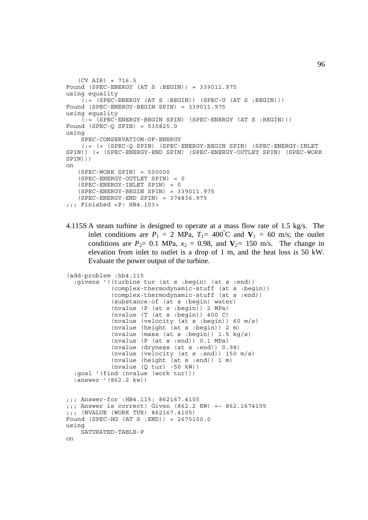```
(CV AIR) = 716.5Found (SPEC-ENERGY (AT S :BEGIN)) = 339011.975
using equality
    \tilde{f}: (SPEC-ENERGY (AT S :BEGIN)) (SPEC-U (AT S :BEGIN)))
Found (SPEC-ENERGY-BEGIN SPIN) = 339011.975
using equality
    (i = (SPEC - ENERGY - BEGIN SPIN) (SPEC - ENERGY (AT S : BEGIN)))Found (SPEC-Q SPIN) = 535825.0
using
     SPEC-CONSERVATION-OF-ENERGY
     (:= (+ (SPEC-Q SPIN) (SPEC-ENERGY-BEGIN SPIN) (SPEC-ENERGY-INLET
SPIN)) (+ (SPEC-ENERGY-END SPIN) (SPEC-ENERGY-OUTLET SPIN) (SPEC-WORK
SPIN)))
on
   (SPEC-WORK SPIN) = 500000 (SPEC-ENERGY-OUTLET SPIN) = 0
    (SPEC-ENERGY-INLET SPIN) = 0
    (SPEC-ENERGY-BEGIN SPIN) = 339011.975
    (SPEC-ENERGY-END SPIN) = 374836.975
;;; Finished <P: HB4.103>
```
4.115S A steam turbine is designed to operate at a mass flow rate of 1.5 kg/s. The inlet conditions are  $P_1 = 2 \text{ MPa}$ ,  $T_1 = 400^{\circ} \text{C}$  and  $V_1 = 60 \text{ m/s}$ ; the outlet conditions are  $P_2$ = 0.1 MPa,  $x_2$  = 0.98, and  $V_2$ = 150 m/s. The change in elevation from inlet to outlet is a drop of 1 m, and the heat loss is 50 kW. Evaluate the power output of the turbine.

```
(add-problem :hb4.115
   :givens '((turbine tur (at s :begin) (at s :end))
             (complex-thermodynamic-stuff (at s :begin))
             (complex-thermodynamic-stuff (at s :end))
             (substance-of (at s :begin) water)
            (nvalue (P (at s :begin)) 2 MPa) (nvalue (T (at s :begin)) 400 C)
             (nvalue (velocity (at s :begin)) 60 m/s)
             (nvalue (height (at s :begin)) 2 m)
             (nvalue (mass (at s :begin)) 1.5 kg/s)
             (nvalue (P (at s :end)) 0.1 MPa)
             (nvalue (dryness (at s :end)) 0.98)
             (nvalue (velocity (at s :end)) 150 m/s)
 (nvalue (height (at s :end)) 1 m)
 (nvalue (Q tur) -50 kW))
   :goal '(find (nvalue (work tur)))
   :answer '(862.2 kw))
;;; Answer-for :HB4.115: 862167.4105
;;; Answer is correct! Given (862.2 KW) =~ 862.1674105
;;; (NVALUE (WORK TUR) 862167.4105)
Found (SPEC-HG (AT S :END)) = 2675100.0
using
    SATURATED-TABLE-P
on
```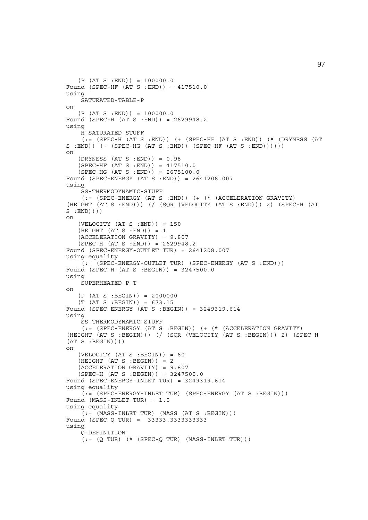```
(P (AT S : END)) = 100000.0Found (SPEC-HF (AT S : END)) = 417510.0using
     SATURATED-TABLE-P
on
   (P (AT S : END)) = 100000.0Found (SPEC-H (AT S :END)) = 2629948.2
using
     H-SATURATED-STUFF
    (:= (SPEC-H (AT S :END)) (+) (SPEC-HF (AT S :END)) ( * (DRYNESS (AT
S : END() (- (SPEC-HG (AT S : END)) (SPEC-HF (AT S : END)))))
on
    (DRYNESS (AT S :END)) = 0.98
    (SPEC-HF (AT S :END)) = 417510.0
   (SPEC-HG (AT S : END)) = 2675100.0Found (SPEC-ENERGY (AT S :END)) = 2641208.007
using
     SS-THERMODYNAMIC-STUFF
     (:= (SPEC-ENERGY (AT S :END)) (+ (* (ACCELERATION GRAVITY)
(HEIGHT (AT S :END))) (/ (SQR (VELOCITY (AT S :END))) 2) (SPEC-H (AT
S :END))))
on
   (VELOCITY (AT S : END)) = 150(HEIGHT (AT S : END)) = 1 (ACCELERATION GRAVITY) = 9.807
    (SPEC-H (AT S :END)) = 2629948.2
Found (SPEC-ENERGY-OUTLET TUR) = 2641208.007
using equality
    (:= (SPEC-ENERGY-OUTLET TUR) (SPEC-ENERGY (AT S :END)))
Found (SPEC-H (AT S :BEGIN)) = 3247500.0
using
    SUPERHEATED-P-T
on
   (P (AT S : BEGIN)) = 2000000(T (AT S : BEGIN)) = 673.15Found (SPEC-ENERGY (AT S :BEGIN)) = 3249319.614
using
     SS-THERMODYNAMIC-STUFF
    (:= (SPEC-ENERGY (AT S :BEGIN)) ( + (* (ACCELERATION GRAVITY)
(HEIGHT (AT S :BEGIN))) (/ (SQR (VELOCITY (AT S :BEGIN))) 2) (SPEC-H
(AT S : BEGIN))on
    (VELOCITY (AT S :BEGIN)) = 60
   (HEIGHT (AT S : BEGIN)) = 2 (ACCELERATION GRAVITY) = 9.807
    (SPEC-H (AT S :BEGIN)) = 3247500.0
Found (SPEC-ENERGY-INLET TUR) = 3249319.614
using equality
    (:= (SPEC-ENERGY-INLET TUR) (SPEC-ENERGY (AT S :BEGIN)))
Found (MASS-INLET TUR) = 1.5
using equality
    (i := (MASS-INLET TUR) (MASS (AT S : BEGIN)))Found (SPEC-Q TUR) = -33333.3333333333
using
     Q-DEFINITION
    (:=(Q TUR) (* (SPEC-Q TUR) (MASS-INLET TUR)))
```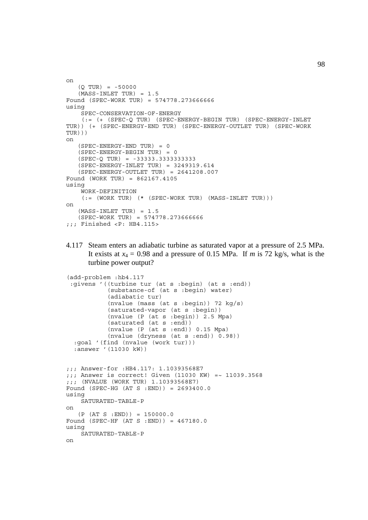```
on
   (0 TUR) = -50000(MASS-INLET TUR) = 1.5Found (SPEC-WORK TUR) = 574778.273666666
using
     SPEC-CONSERVATION-OF-ENERGY
     (:= (+ (SPEC-Q TUR) (SPEC-ENERGY-BEGIN TUR) (SPEC-ENERGY-INLET
TUR)) (+ (SPEC-ENERGY-END TUR) (SPEC-ENERGY-OUTLET TUR) (SPEC-WORK
TUR)))
on
    (SPEC-ENERGY-END TUR) = 0
    (SPEC-ENERGY-BEGIN TUR) = 0
    (SPEC-Q TUR) = -33333.3333333333
    (SPEC-ENERGY-INLET TUR) = 3249319.614
   (SPEC-ENERGY-OUTLET TUR) = 2641208.007Found (WORK TUR) = 862167.4105
using
     WORK-DEFINITION
    (:= (WORK TUR) (* (SPEC-WORK TUR) (MASS-INLET TUR)))on
    (MASS-INLET TUR) = 1.5
    (SPEC-WORK TUR) = 574778.273666666
;;; Finished <P: HB4.115>
```
4.117 Steam enters an adiabatic turbine as saturated vapor at a pressure of 2.5 MPa. It exists at  $x_4 = 0.98$  and a pressure of 0.15 MPa. If *m* is 72 kg/s, what is the turbine power output?

```
(add-problem :hb4.117
  :givens '((turbine tur (at s :begin) (at s :end))
             (substance-of (at s :begin) water)
             (adiabatic tur)
            (nvalue (mass (at s :begin)) 72 kg/s)
             (saturated-vapor (at s :begin))
             (nvalue (P (at s :begin)) 2.5 Mpa)
             (saturated (at s :end))
             (nvalue (P (at s :end)) 0.15 Mpa)
             (nvalue (dryness (at s :end)) 0.98))
   :goal '(find (nvalue (work tur)))
   :answer '(11030 kW))
;;; Answer-for :HB4.117: 1.10393568E7
;;; Answer is correct! Given (11030 KW) =~ 11039.3568
;;; (NVALUE (WORK TUR) 1.10393568E7)
Found (SPEC-HG (AT S :END)) = 2693400.0
using
     SATURATED-TABLE-P
on
   (P (AT S : END)) = 150000.0Found (SPEC-HF (AT S :END)) = 467180.0
using
     SATURATED-TABLE-P
on
```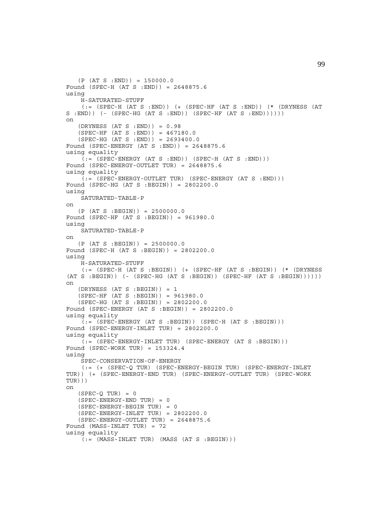```
(P (AT S : END)) = 150000.0Found (SPEC-H (AT S :END)) = 2648875.6
using
     H-SATURATED-STUFF
    (:= (SPEC-H (AT S :END)) ( + (SPEC-HF (AT S :END)) (* (DRYNESS (AT
S : END) ) (- (SPEC-HG (AT S :END)) (SPEC-HF (AT S :END)))))
on
   (DRYNESS (AT S : END)) = 0.98(SPEC-HF (AT S : END)) = 467180.0 (SPEC-HG (AT S :END)) = 2693400.0
Found (SPEC-ENERGY (AT S :END)) = 2648875.6
using equality
    (i = (SPEC - ENERGY (AT S : END)) (SPEC - H (AT S : END)))Found (SPEC-ENERGY-OUTLET TUR) = 2648875.6
using equality
    (i = (SPEC - ENERGY - OUTLET TUR) (SPEC - ENERGY (AT S : END)))Found (SPEC-HG (AT S :BEGIN)) = 2802200.0
using
    SATURATED-TABLE-P
on
   (P (AT S : BEGIN)) = 2500000.0Found (SPEC-HF (AT S :BEGIN)) = 961980.0
using
    SATURATED-TABLE-P
on
   (P (AT S : BEGIN)) = 2500000.0Found (SPEC-H (AT S :BEGIN)) = 2802200.0
using
     H-SATURATED-STUFF
     (:= (SPEC-H (AT S :BEGIN)) (+ (SPEC-HF (AT S :BEGIN)) (* (DRYNESS
(AT S : BEGIN) ( - (SPEC-HG (AT S : BEGIN)) (SPEC-HF (AT S : BEGIN)))))on
   (DRYNESS (AT S : BEGIN)) = 1 (SPEC-HF (AT S :BEGIN)) = 961980.0
    (SPEC-HG (AT S :BEGIN)) = 2802200.0
Found (SPEC-ENERGY (AT S :BEGIN)) = 2802200.0
using equality
    (t, \epsilon) (SPEC-ENERGY (AT S :BEGIN)) (SPEC-H (AT S :BEGIN)))
Found (SPEC-ENERGY-INLET TUR) = 2802200.0
using equality
    (:= (SPEC-ENERGY-INLET TUR) (SPEC-ENERGY (AT S :BEGIN)))
Found (SPEC-WORK TUR) = 153324.4
using
     SPEC-CONSERVATION-OF-ENERGY
     (:= (+ (SPEC-Q TUR) (SPEC-ENERGY-BEGIN TUR) (SPEC-ENERGY-INLET
TUR)) (+ (SPEC-ENERGY-END TUR) (SPEC-ENERGY-OUTLET TUR) (SPEC-WORK
TUR)))
on
   (SPEC-Q TUR) = 0 (SPEC-ENERGY-END TUR) = 0
    (SPEC-ENERGY-BEGIN TUR) = 0
   (SPEC-ENERGY-INLET TUR) = 2802200.0 (SPEC-ENERGY-OUTLET TUR) = 2648875.6
Found (MASS-INLET TUR) = 72
using equality
    (:=(MASS-INLET TUR) (MASS (AT S : BEGIN)))
```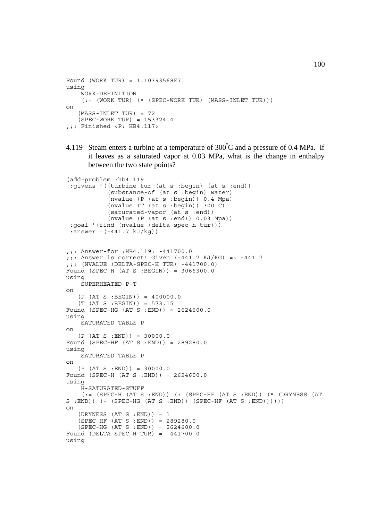```
Found (WORK TUR) = 1.10393568E7
using
     WORK-DEFINITION
    (:= (WORK TUR) (* (SPEC-WORK TUR) (MASS-INLET TUR)))
on
   (MASS-INLET TUR) = 72 (SPEC-WORK TUR) = 153324.4
;;; Finished <P: HB4.117>
```
4.119 Steam enters a turbine at a temperature of  $300^{\circ}$ C and a pressure of 0.4 MPa. If it leaves as a saturated vapor at 0.03 MPa, what is the change in enthalpy between the two state points?

```
(add-problem :hb4.119
  :givens '((turbine tur (at s :begin) (at s :end))
            (substance-of (at s :begin) water)
             (nvalue (P (at s :begin)) 0.4 Mpa)
             (nvalue (T (at s :begin)) 300 C)
             (saturated-vapor (at s :end))
             (nvalue (P (at s :end)) 0.03 Mpa))
  :goal '(find (nvalue (delta-spec-h tur)))
  :answer '(-441.7 kJ/kg))
;;; Answer-for :HB4.119: -441700.0
;;; Answer is correct! Given (-441.7 \text{ KJ/KG}) = ~-441.7;;; (NVALUE (DELTA-SPEC-H TUR) -441700.0)
Found (SPEC-H (AT S :BEGIN)) = 3066300.0
using
     SUPERHEATED-P-T
on
   (P (AT S : BEGIN)) = 400000.0 (T (AT S :BEGIN)) = 573.15
Found (SPEC-HG (AT S :END)) = 2624600.0
using
     SATURATED-TABLE-P
on
   (P (AT S : END)) = 30000.0Found (SPEC-HF (AT S :END)) = 289280.0
using
     SATURATED-TABLE-P
on
   (P (AT S : END)) = 30000.0Found (SPEC-H (AT S :END)) = 2624600.0
using
     H-SATURATED-STUFF
    (:= (SPEC-H (AT S :END)) ( + (SPEC-HF (AT S :END)) (* (DRYNESS (AT
S : END) ) (- (SPEC-HG (AT S :END)) (SPEC-HF (AT S :END)))))
on
   (DRYNESS (AT S : END)) = 1 (SPEC-HF (AT S :END)) = 289280.0
    (SPEC-HG (AT S :END)) = 2624600.0
Found (DELTA-SPEC-H TUR) = -441700.0using
```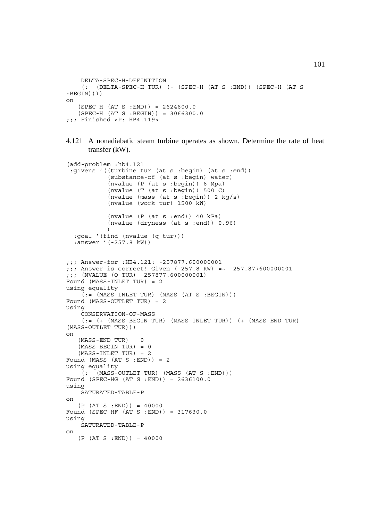```
 DELTA-SPEC-H-DEFINITION
    (: (DELTA-SPEC-H TUR) (- (SPEC-H (AT S : END)) (SPEC-H (AT S: BEGIN))))
on
   (SPEC-H (AT S : END)) = 2624600.0(SPEC-H (AT S : BEGIN)) = 3066300.0;;; Finished <P: HB4.119>
```

```
4.121 A nonadiabatic steam turbine operates as shown. Determine the rate of heat
       transfer (kW).
```

```
(add-problem :hb4.121
  :givens '((turbine tur (at s :begin) (at s :end))
            (substance-of (at s :begin) water)
            (nvalue (P (at s :begin)) 6 Mpa)
            (nvalue (T (at s :begin)) 500 C)
            (nvalue (mass (at s :begin)) 2 kg/s)
            (nvalue (work tur) 1500 kW)
            (nvalue (P (at s :end)) 40 kPa)
            (nvalue (dryness (at s :end)) 0.96)
) :goal '(find (nvalue (q tur)))
   :answer '(-257.8 kW))
;;; Answer-for :HB4.121: -257877.600000001
;;; Answer is correct! Given (-257.8 KW) =~ -257.877600000001
;;; (NVALUE (Q TUR) -257877.600000001)
Found (MASS-INLET TUR) = 2
using equality
    (t) = (MASS-INLET TUR) (MASS (AT S :BEGIN)))
Found (MASS-OUTLET TUR) = 2
using
     CONSERVATION-OF-MASS
    (:= (+ (MASS-BEGIN TUR) (MASS-INLET TUR)) (+ (MASS-END TUR))(MASS-OUTLET TUR)))
on
   (MASS-END TUR) = 0 (MASS-BEGIN TUR) = 0
    (MASS-INLET TUR) = 2
Found (MASS (AT S : END)) = 2
using equality
    (i = (MASS-CUTETTUR) (MASS (AT S : END)))
Found (SPEC-HG (AT S :END)) = 2636100.0
using
     SATURATED-TABLE-P
on
   (P (AT S : END)) = 40000Found (SPEC-HF (AT S :END)) = 317630.0
using
    SATURATED-TABLE-P
on
   (P (AT S : END)) = 40000
```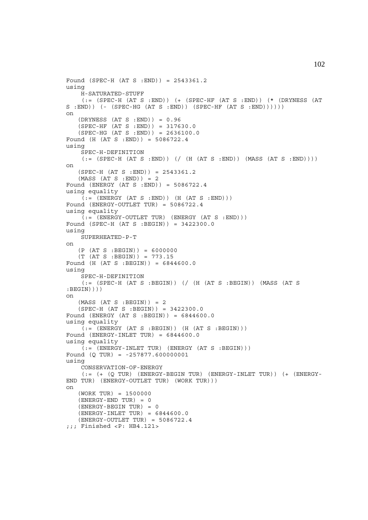```
Found (SPEC-H (AT S :END)) = 2543361.2
using
     H-SATURATED-STUFF
     (:= (SPEC-H (AT S :END)) (+ (SPEC-HF (AT S :END)) (* (DRYNESS (AT
S : END)) (- (SPEC-HG (AT S :END)) (SPEC-HF (AT S :END))))))
on
   (DRYNESS (AT S :END)) = 0.96 (SPEC-HF (AT S :END)) = 317630.0
   (SPEC-HG (AT S : END)) = 2636100.0Found (H (AT S :END)) = 5086722.4
using
     SPEC-H-DEFINITION
    (:= (SPEC-H (AT S : END)) ) ( ( ( (AT S : END)) ) ( MASS (AT S : END)) ))on
   (SPEC-H (AT S : END)) = 2543361.2(MASS (AT S : END)) = 2Found (ENERGY (AT S :END)) = 5086722.4
using equality
    (:=(ENERGY (AT S : END)) (H (AT S : END)))Found (ENERGY-OUTLET TUR) = 5086722.4
using equality
    (:=(ENERGY-OUTLET TUR) (ENERGY (AT S : END)))Found (SPEC-H (AT S :BEGIN)) = 3422300.0
using
    SUPERHEATED-P-T
on
   (P (AT S : BEGIN)) = 6000000(T (AT S : BEGIN)) = 773.15Found (H (AT S : BEGIN)) = 6844600.0using
     SPEC-H-DEFINITION
    (:=(SPEC-H (AT S : BEGIN)) ( (H (AT S : BEGIN)) (MASS (AT S:BEGIN))))
on
   (MASS (AT S : BEGIN)) = 2 (SPEC-H (AT S :BEGIN)) = 3422300.0
Found (ENERGY (AT S : BEGIN)) = 6844600.0using equality
    (i = (ENTERGY (AT S : BEGIN)) (H (AT S : BEGIN)))Found (ENERGY-INLET TUR) = 6844600.0using equality
   (:=(ENERGY-INLET TUR) (ENERGY (AT S : BEGIN)))Found (Q TUR) = -257877.600000001
using
     CONSERVATION-OF-ENERGY
    (:= (+) (Q) TUR) (BNERGY-BEGIN) (CENERGY-INLET) (+) (+) (CENERGY-END TUR) (ENERGY-OUTLET TUR) (WORK TUR)))
on
    (WORK TUR) = 1500000
   (ENERGY-END TUR) = 0 (ENERGY-BEGIN TUR) = 0
    (ENERGY-INLET TUR) = 6844600.0
   (ENERGY-OUTLET TUR) = 5086722.4;;; Finished <P: HB4.121>
```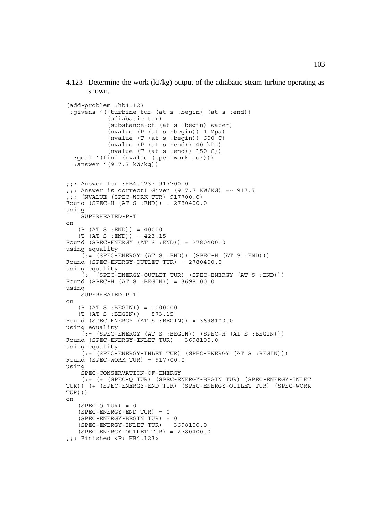4.123 Determine the work (kJ/kg) output of the adiabatic steam turbine operating as shown.

```
(add-problem :hb4.123
  :givens '((turbine tur (at s :begin) (at s :end))
            (adiabatic tur)
             (substance-of (at s :begin) water)
             (nvalue (P (at s :begin)) 1 Mpa)
            (nvalue (T (at s :begin)) 600 C) (nvalue (P (at s :end)) 40 kPa)
            (nvalue (T (at s :end)) 150 C))
   :goal '(find (nvalue (spec-work tur)))
   :answer '(917.7 kW/kg))
;;; Answer-for :HB4.123: 917700.0
;;; Answer is correct! Given (917.7 KW/KG) =~ 917.7
;j; (NVALUE (SPEC-WORK TUR) 917700.0)
Found (SPEC-H (AT S :END)) = 2780400.0
using
     SUPERHEATED-P-T
on
    (P (AT S :END)) = 40000
    (T (AT S :END)) = 423.15
Found (SPEC-ENERGY (AT S :END)) = 2780400.0
using equality
    (i = (SPEC - ENERGY (AT S : END)) (SPEC - H (AT S : END)))Found (SPEC-ENERGY-OUTLET TUR) = 2780400.0
using equality
    (:=(SPEC-ENERGY-OUTLET TUR) (SPEC-ENERGY (AT S : END)))Found (SPEC-H (AT S :BEGIN)) = 3698100.0
using
     SUPERHEATED-P-T
on
    (P (AT S :BEGIN)) = 1000000
    (T (AT S :BEGIN)) = 873.15
Found (SPEC-ENERGY (AT S :BEGIN)) = 3698100.0
using equality
    ( := (SPEC-ENERGY (AT S : BEGIN)) (SPEC-H (AT S : BEGIN)))Found (SPEC-ENERGY-INLET TUR) = 3698100.0
using equality
     (:= (SPEC-ENERGY-INLET TUR) (SPEC-ENERGY (AT S :BEGIN)))
Found (SPEC-WORK TUR) = 917700.0
using
     SPEC-CONSERVATION-OF-ENERGY
     (:= (+ (SPEC-Q TUR) (SPEC-ENERGY-BEGIN TUR) (SPEC-ENERGY-INLET
TUR)) (+ (SPEC-ENERGY-END TUR) (SPEC-ENERGY-OUTLET TUR) (SPEC-WORK
TUR)))
on
   (SPEC-O TUR) = 0(SPEC-ENERGY-END TUR) = 0 (SPEC-ENERGY-BEGIN TUR) = 0
   (SPEC-ENERGY-INLET TUR) = 3698100.0 (SPEC-ENERGY-OUTLET TUR) = 2780400.0
;;; Finished <P: HB4.123>
```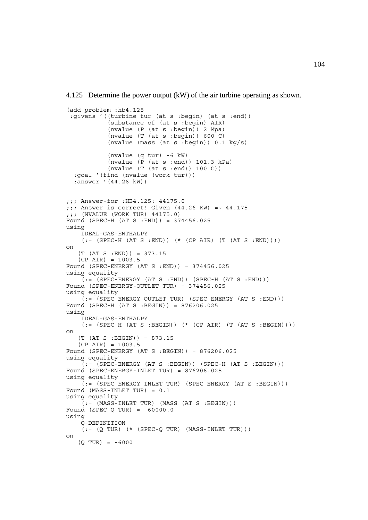4.125 Determine the power output (kW) of the air turbine operating as shown.

```
(add-problem :hb4.125
  :givens '((turbine tur (at s :begin) (at s :end))
            (substance-of (at s :begin) AIR)
            (nvalue (P (at s :begin)) 2 Mpa)
            (nvalue (T (at s :begin)) 600 C)
            (nvalue (mass (at s :begin)) 0.1 kg/s)
             (nvalue (q tur) -6 kW)
            (nvalue (P (at s :end)) 101.3 kPa)
            (nvalue (T (at s :end)) 100 C))
   :goal '(find (nvalue (work tur)))
   :answer '(44.26 kW))
;;; Answer-for :HB4.125: 44175.0
;;; Answer is correct! Given (44.26 KW) = -44.175;;; (NVALUE (WORK TUR) 44175.0)
Found (SPEC-H (AT S :END)) = 374456.025
using
     IDEAL-GAS-ENTHALPY
    (:=(SPEC-H (AT S : END)) (* (CP AIR) (T (AT S : END)))on
    (T (AT S :END)) = 373.15
    (CP AIR) = 1003.5
Found (SPEC-ENERGY (AT S :END)) = 374456.025
using equality
    (i = (SPEC - ENERGY (AT S : END)) (SPEC - H (AT S : END)))Found (SPEC-ENERGY-OUTLET TUR) = 374456.025
using equality
    (:= (SPEC-ENERGY-OUTLET TUR) (SPEC-ENERGY (AT S : END)))Found (SPEC-H (AT S :BEGIN)) = 876206.025
using
     IDEAL-GAS-ENTHALPY
    (:=(SPEC-H (AT S : BEGIN)) (* (CP AIR) (T (AT S : BEGIN))))on
    (T (AT S :BEGIN)) = 873.15
   (CP AIR) = 1003.5Found (SPEC-ENERGY (AT S :BEGIN)) = 876206.025
using equality
    (:= (SPEC-ENERGY (AT S :BEGIN)) (SPEC-H (AT S :BEGIN)))
Found (SPEC-ENERGY-INLET TUR) = 876206.025
using equality
     (:= (SPEC-ENERGY-INLET TUR) (SPEC-ENERGY (AT S :BEGIN)))
Found (MASS-INLET TUR) = 0.1
using equality
    (:=(MASS-INLET TUR) (MASS (AT S : BEGIN)))Found (SPEC-Q TUR) = -60000.0using
     Q-DEFINITION
    (:= (Q TUR) (* (SPEC-Q TUR) (MASS-INLET TUR)))on
   (0 TUR) = -6000
```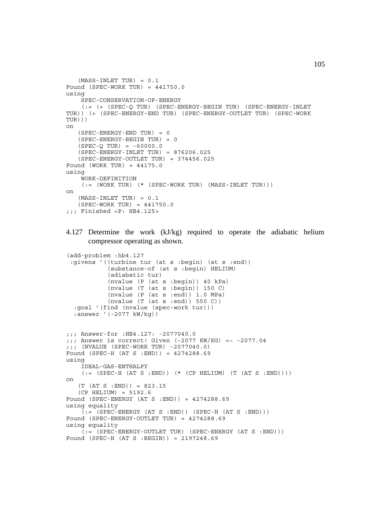```
(MASS-INLET TUR) = 0.1Found (SPEC-WORK TUR) = 441750.0using
     SPEC-CONSERVATION-OF-ENERGY
     (:= (+ (SPEC-Q TUR) (SPEC-ENERGY-BEGIN TUR) (SPEC-ENERGY-INLET
TUR)) (+ (SPEC-ENERGY-END TUR) (SPEC-ENERGY-OUTLET TUR) (SPEC-WORK
TUR)))
on
    (SPEC-ENERGY-END TUR) = 0
    (SPEC-ENERGY-BEGIN TUR) = 0
   (SPEC-O TUR) = -60000.0 (SPEC-ENERGY-INLET TUR) = 876206.025
    (SPEC-ENERGY-OUTLET TUR) = 374456.025
Found (WORK TUR) = 44175.0
using
     WORK-DEFINITION
    (:=(WORK TUR) (* (SPEC-WORK TUR) (MASS-INLET TUR)))on
    (MASS-INLET TUR) = 0.1
    (SPEC-WORK TUR) = 441750.0
j;; Finished <P: HB4.125>
```
## 4.127 Determine the work (kJ/kg) required to operate the adiabatic helium compressor operating as shown.

```
(add-problem :hb4.127
  :givens '((turbine tur (at s :begin) (at s :end))
            (substance-of (at s :begin) HELIUM)
            (adiabatic tur)
            (nvalue (P (at s :begin)) 40 kPa)
            (nvalue (T (at s :begin)) 150 C)
           (nvalue (P (at s :end)) 1.0 MPa)(nvalue (T (at s :end)) 550 C)) :goal '(find (nvalue (spec-work tur)))
   :answer '(-2077 kW/kg))
;;; Answer-for :HB4.127: -2077040.0
j;; Answer is correct! Given (-2077 KW/KG) = ~ -2077.04
;;; (NVALUE (SPEC-WORK TUR) -2077040.0)
Found (SPEC-H (AT S :END)) = 4274288.69
using
     IDEAL-GAS-ENTHALPY
    (:=(SPEC-H (AT S : END)) (*) (CP HELIUM) (T (AT S : END)))
on
   (T (AT S : END)) = 823.15 (CP HELIUM) = 5192.6
Found (SPEC-ENERGY (AT S :END)) = 4274288.69
using equality
    (:=(SPEC-ENERGY (AT S : END)) (SPEC-H (AT S : END)))Found (SPEC-ENERGY-OUTLET TUR) = 4274288.69
using equality
    (:= (SPEC-ENERGY-OUTLET TUR) (SPEC-ENERGY (AT S : END)))Found (SPEC-H (AT S :BEGIN)) = 2197248.69
```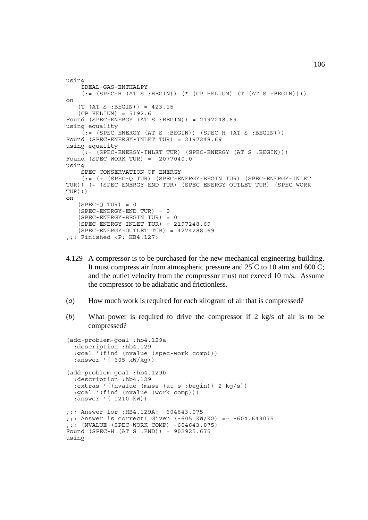```
using
     IDEAL-GAS-ENTHALPY
    (:=(SPEC-H (AT S : BEGIN)) (*) (CP HELIUM) (T (AT S : BEGIN)))on
   (T (AT S : BEGIN)) = 423.15(CP HELIUM) = 5192.6Found (SPEC-ENERGY (AT S :BEGIN)) = 2197248.69
using equality
    (:= (SPEC-ENERGY (AT S :BEGIN)) (SPEC-H (AT S :BEGIN)))
Found (SPEC-ENERGY-INLET TUR) = 2197248.69
using equality
     (:= (SPEC-ENERGY-INLET TUR) (SPEC-ENERGY (AT S :BEGIN)))
Found (SPEC-WORK TUR) = -2077040.0using
     SPEC-CONSERVATION-OF-ENERGY
     (:= (+ (SPEC-Q TUR) (SPEC-ENERGY-BEGIN TUR) (SPEC-ENERGY-INLET
TUR)) (+ (SPEC-ENERGY-END TUR) (SPEC-ENERGY-OUTLET TUR) (SPEC-WORK
TUR)))
on
   (SPEC-Q TUR) = 0 (SPEC-ENERGY-END TUR) = 0
    (SPEC-ENERGY-BEGIN TUR) = 0
    (SPEC-ENERGY-INLET TUR) = 2197248.69
   (SPEC-ENERGY-OUTLET TUR) = 4274288.69;;; Finished <P: HB4.127>
```
- 4.129 A compressor is to be purchased for the new mechanical engineering building. It must compress air from atmospheric pressure and  $25^{\circ}$ C to 10 atm and 600 $^{\circ}$ C; and the outlet velocity from the compressor must not exceed 10 m/s. Assume the compressor to be adiabatic and frictionless.
- (*a*) How much work is required for each kilogram of air that is compressed?
- (*b*) What power is required to drive the compressor if 2 kg/s of air is to be compressed?

```
(add-problem-goal :hb4.129a
   :description :hb4.129
   :goal '(find (nvalue (spec-work comp)))
   :answer '(-605 kW/kg))
(add-problem-goal :hb4.129b
   :description :hb4.129
   :extras '((nvalue (mass (at s :begin)) 2 kg/s))
   :goal '(find (nvalue (work comp)))
   :answer '(-1210 kW))
;;; Answer-for :HB4.129A: -604643.075
;;; Answer is correct! Given (-605 KW/KG) =~ -604.643075
;;; (NVALUE (SPEC-WORK COMP) -604643.075)
Found (SPEC-H (AT S :END)) = 902925.675
using
```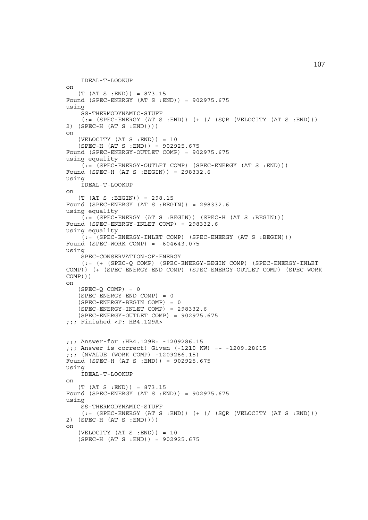```
 IDEAL-T-LOOKUP
on
   (T (AT S : END)) = 873.15Found (SPEC-ENERGY (AT S :END)) = 902975.675
using
    SS-THERMODYNAMIC-STUFF
    (:= (SPEC-ENERGY (AT S : END)) (+ // (SQR (VELOCITY (AT S : END)))2) (SPEC-H (AT S :END))))
on
   (VELOCITY (AT S : END)) = 10 (SPEC-H (AT S :END)) = 902925.675
Found (SPEC-ENERGY-OUTLET COMP) = 902975.675
using equality
   (i; = (SPEC-ENERGY-OUTLET COMP) (SPEC-ENERGY (AT S : END)))Found (SPEC-H (AT S :BEGIN)) = 298332.6
using
    IDEAL-T-LOOKUP
on
    (T (AT S :BEGIN)) = 298.15
Found (SPEC-ENERGY (AT S :BEGIN)) = 298332.6
using equality
    (:=(SPEC-ENERGY (AT S : BEGIN)) (SPEC-H (AT S : BEGIN)))Found (SPEC-ENERGY-INLET COMP) = 298332.6
using equality
    (:= (SPEC-ENERGY-INLET COMP) (SPEC-ENERGY (AT S :BEGIN)))
Found (SPEC-WORK COMP) = -604643.075using
     SPEC-CONSERVATION-OF-ENERGY
     (:= (+ (SPEC-Q COMP) (SPEC-ENERGY-BEGIN COMP) (SPEC-ENERGY-INLET
COMP)) (+ (SPEC-ENERGY-END COMP) (SPEC-ENERGY-OUTLET COMP) (SPEC-WORK
COMP)))
on
   (SPEC-O COMP) = 0 (SPEC-ENERGY-END COMP) = 0
   (SPEC-ENERGY-BEGIN COMP) = 0 (SPEC-ENERGY-INLET COMP) = 298332.6
    (SPEC-ENERGY-OUTLET COMP) = 902975.675
;;; Finished <P: HB4.129A>
;;; Answer-for :HB4.129B: -1209286.15
;;; Answer is correct! Given (-1210 KW) =~ -1209.28615
;;; (NVALUE (WORK COMP) -1209286.15)
Found (SPEC-H (AT S :END)) = 902925.675
using
     IDEAL-T-LOOKUP
on
    (T (AT S :END)) = 873.15
Found (SPEC-ENERGY (AT S :END)) = 902975.675
using
     SS-THERMODYNAMIC-STUFF
    (:= (SPEC-ENERGY (AT S :END)) (+ (/ (SQR (VELOCITY (AT S :END)))
2) (SPEC-H (AT S :END))))
on
   (VELOCITY (AT S : END)) = 10 (SPEC-H (AT S :END)) = 902925.675
```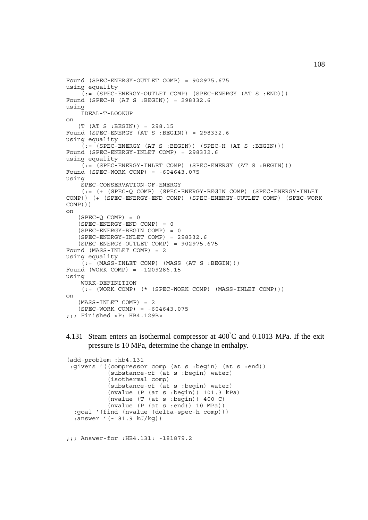```
Found (SPEC-ENERGY-OUTLET COMP) = 902975.675
using equality
    (:= (SPEC-ENERGY-OUTLET COMP) (SPEC-ENERGY (AT S :END)))
Found (SPEC-H (AT S :BEGIN)) = 298332.6
using
     IDEAL-T-LOOKUP
on
    (T (AT S :BEGIN)) = 298.15
Found (SPEC-ENERGY (AT S :BEGIN)) = 298332.6
using equality
    (:= (SPEC-ENERGY (AT S :BEGIN)) (SPEC-H (AT S :BEGIN)))
Found (SPEC-ENERGY-INLET COMP) = 298332.6
using equality
    (i = (SPEC - ENERGY - INLET COMP) (SPEC - ENERGY (AT S : BEGIN)))Found (SPEC-WORK COMP) = -604643.075using
     SPEC-CONSERVATION-OF-ENERGY
     (:= (+ (SPEC-Q COMP) (SPEC-ENERGY-BEGIN COMP) (SPEC-ENERGY-INLET
COMP)) (+ (SPEC-ENERGY-END COMP) (SPEC-ENERGY-OUTLET COMP) (SPEC-WORK
COMP)))
on
   (SPEC-Q COMP) = 0(SPEC-ENERGY-END COMP) = 0 (SPEC-ENERGY-BEGIN COMP) = 0
   (SPEC-ENERGY-INLET COMP) = 298332.6 (SPEC-ENERGY-OUTLET COMP) = 902975.675
Found (MASS-INLET COMP) = 2
using equality
    (i = (MASS-INLET COMP) (MASS (AT S : BEGIN)))Found (WORK COMP) = -1209286.15
using
     WORK-DEFINITION
    (:= (WORK COMP) (* (SPEC-WORK COMP) (MASS-INLET COMP)))
on
    (MASS-INLET COMP) = 2
   (SPEC-WORK COMP) = -604643.075;;; Finished <P: HB4.129B>
```
4.131 Steam enters an isothermal compressor at  $400^{\circ}$ C and 0.1013 MPa. If the exit pressure is 10 MPa, determine the change in enthalpy.

```
(add-problem :hb4.131
 :givens '((compressor comp (at s :begin) (at s :end))
            (substance-of (at s :begin) water)
            (isothermal comp)
            (substance-of (at s :begin) water)
            (nvalue (P (at s :begin)) 101.3 kPa)
            (nvalue (T (at s :begin)) 400 C)
            (nvalue (P (at s :end)) 10 MPa))
  :goal '(find (nvalue (delta-spec-h comp)))
  :answer '(-181.9 kJ/kg))
```
;;; Answer-for :HB4.131: -181879.2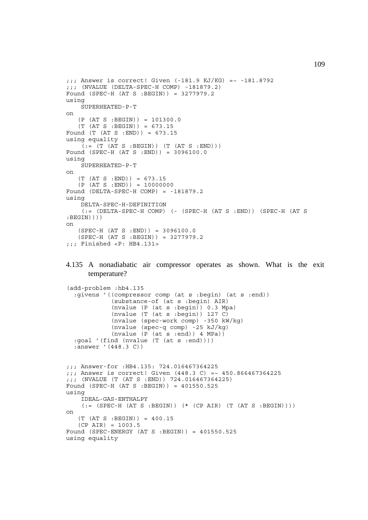```
j;; Answer is correct! Given (-181.9 KJ/KG) = ~ -181.8792
;;; (NVALUE (DELTA-SPEC-H COMP) -181879.2)
Found (SPEC-H (AT S :BEGIN)) = 3277979.2
using
      SUPERHEATED-P-T
on
     (P (AT S :BEGIN)) = 101300.0
     (T (AT S :BEGIN)) = 673.15
Found (T (AT S :END)) = 673.15
using equality
     (C) (C) \mathbf{A} \mathbf{C} \mathbf{A} \mathbf{C} \mathbf{A} \mathbf{C} \mathbf{A} \mathbf{C} \mathbf{A} \mathbf{C} \mathbf{A} \mathbf{C} \mathbf{A} \mathbf{C} \mathbf{A} \mathbf{C} \mathbf{A} \mathbf{C} \mathbf{A} \mathbf{C} \mathbf{A} \mathbf{C} \mathbf{A} \mathbfFound (SPEC-H (AT S :END)) = 3096100.0
using
      SUPERHEATED-P-T
on
    (T (AT S : END)) = 673.15(P (AT S : END)) = 10000000Found (DELTA-SPEC-H COMP) = -181879.2
using
      DELTA-SPEC-H-DEFINITION
       (:= (DELTA-SPEC-H COMP) (- (SPEC-H (AT S :END)) (SPEC-H (AT S
:BEGIN))))
on
    (SPEC-H (AT S : END)) = 3096100.0 (SPEC-H (AT S :BEGIN)) = 3277979.2
;;; Finished <P: HB4.131>
```
## 4.135 A nonadiabatic air compressor operates as shown. What is the exit temperature?

```
(add-problem :hb4.135
   :givens '((compressor comp (at s :begin) (at s :end))
              (substance-of (at s :begin) AIR)
              (nvalue (P (at s :begin)) 0.3 Mpa)
              (nvalue (T (at s :begin)) 127 C)
              (nvalue (spec-work comp) -350 kW/kg)
              (nvalue (spec-q comp) -25 kJ/kg)
              (nvalue (P (at s :end)) 4 MPa))
   :goal '(find (nvalue (T (at s :end))))
   :answer '(448.3 C))
;;; Answer-for :HB4.135: 724.016467364225
;;; Answer is correct! Given (448.3 C) =~ 450.866467364225
;;; (NVALUE (T (AT S :END)) 724.016467364225)
Found (SPEC-H (AT S :BEGIN)) = 401550.525
using
     IDEAL-GAS-ENTHALPY
    (:=(SPEC-H (AT S : BEGIN)) (* (CP AIR) (T (AT S : BEGIN))))on
    (T (AT S :BEGIN)) = 400.15
   (CP AIR) = 1003.5Found (SPEC-ENERGY (AT S :BEGIN)) = 401550.525
using equality
```
109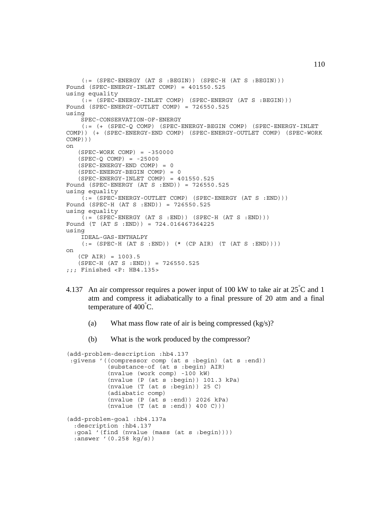```
(:=(SPEC-ENERGY (AT S : BEGIN)) (SPEC-H (AT S : BEGIN)))Found (SPEC-ENERGY-INLET COMP) = 401550.525
using equality
    (t, t) = (SPEC - ENERGY - INLET COMP) (SPEC-ENERGY (AT S :BEGIN)))
Found (SPEC-ENERGY-OUTLET COMP) = 726550.525
using
     SPEC-CONSERVATION-OF-ENERGY
     (:= (+ (SPEC-Q COMP) (SPEC-ENERGY-BEGIN COMP) (SPEC-ENERGY-INLET
COMP)) (+ (SPEC-ENERGY-END COMP) (SPEC-ENERGY-OUTLET COMP) (SPEC-WORK
COMP)))
on
    (SPEC-WORK COMP) = -350000
   (SPEC-Q COMP) = -25000 (SPEC-ENERGY-END COMP) = 0
    (SPEC-ENERGY-BEGIN COMP) = 0
    (SPEC-ENERGY-INLET COMP) = 401550.525
Found (SPEC-ENERGY (AT S :END)) = 726550.525
using equality
     (:= (SPEC-ENERGY-OUTLET COMP) (SPEC-ENERGY (AT S :END)))
Found (SPEC-H (AT S :END)) = 726550.525
using equality
    (:=(SPEC-ENERGY (AT S : END)) (SPEC-H (AT S :END)))Found (T (AT S :END)) = 724.016467364225
using
     IDEAL-GAS-ENTHALPY
    (:=(SPEC-H (AT S : END)) (* (CP AIR) (T (AT S : END)))))on
   (CP AIR) = 1003.5(SPEC-H (AT S : END)) = 726550.525;;; Finished <P: HB4.135>
```
- 4.137 An air compressor requires a power input of 100 kW to take air at  $25^{\circ}$ C and 1 atm and compress it adiabatically to a final pressure of 20 atm and a final temperature of 400° C.
	- (a) What mass flow rate of air is being compressed (kg/s)?
	- (b) What is the work produced by the compressor?

```
(add-problem-description :hb4.137
 :givens '((compressor comp (at s :begin) (at s :end))
            (substance-of (at s :begin) AIR)
            (nvalue (work comp) -100 kW)
            (nvalue (P (at s :begin)) 101.3 kPa)
            (nvalue (T (at s :begin)) 25 C)
            (adiabatic comp)
            (nvalue (P (at s :end)) 2026 kPa)
           (nvalue (T (at s :end)) 400 C)))(add-problem-goal :hb4.137a
  :description :hb4.137
  :goal '(find (nvalue (mass (at s :begin))))
  :answer '(0.258 kg/s))
```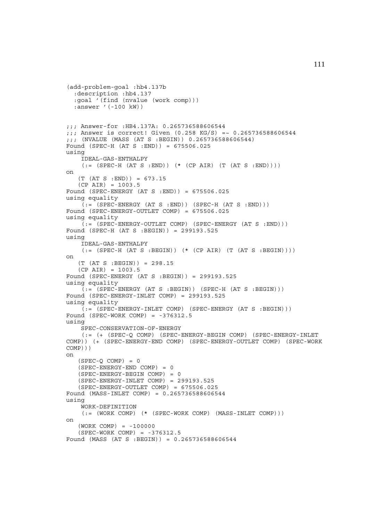```
(add-problem-goal :hb4.137b
   :description :hb4.137
   :goal '(find (nvalue (work comp)))
  :answer '(-100 kW))
;;; Answer-for :HB4.137A: 0.265736588606544
;;; Answer is correct! Given (0.258 KG/S) =~ 0.265736588606544
;;; (NVALUE (MASS (AT S :BEGIN)) 0.265736588606544)
Found (SPEC-H (AT S :END)) = 675506.025
using
     IDEAL-GAS-ENTHALPY
    (:=(SPEC-H (AT S :END)) (* (CP AIR) (T (AT S :END))))on
   (T (AT S : END)) = 673.15(CP AIR) = 1003.5Found (SPEC-ENERGY (AT S :END)) = 675506.025
using equality
    (:=(SPEC-ENERGY (AT S : END)) (SPEC-H (AT S :END)))Found (SPEC-ENERGY-OUTLET COMP) = 675506.025
using equality
   (:= (SPEC-ENERGY-OUTLET COMP) (SPEC-ENERGY (AT S : END)))Found (SPEC-H (AT S :BEGIN)) = 299193.525
using
     IDEAL-GAS-ENTHALPY
    (:=(SPEC-H (AT S : BEGIN)) (* (CP AIR) (T (AT S : BEGIN))))on
    (T (AT S :BEGIN)) = 298.15
   (CP AIR) = 1003.5Found (SPEC-ENERGY (AT S :BEGIN)) = 299193.525
using equality
    (:= (SPEC-ENERGY (AT S :BEGIN)) (SPEC-H (AT S :BEGIN)))
Found (SPEC-ENERGY-INLET COMP) = 299193.525
using equality
     (:= (SPEC-ENERGY-INLET COMP) (SPEC-ENERGY (AT S :BEGIN)))
Found (SPEC-WORK COMP) = -376312.5using
    SPEC-CONSERVATION-OF-ENERGY
     (:= (+ (SPEC-Q COMP) (SPEC-ENERGY-BEGIN COMP) (SPEC-ENERGY-INLET
COMP)) (+ (SPEC-ENERGY-END COMP) (SPEC-ENERGY-OUTLET COMP) (SPEC-WORK
COMP)))
on
   (SPEC-Q COMP) = 0 (SPEC-ENERGY-END COMP) = 0
    (SPEC-ENERGY-BEGIN COMP) = 0
    (SPEC-ENERGY-INLET COMP) = 299193.525
    (SPEC-ENERGY-OUTLET COMP) = 675506.025
Found (MASS-INLET COMP) = 0.265736588606544
using
     WORK-DEFINITION
    (:= (WORK COMP) (* (SPEC-WORK COMP) (MASS-INLET COMP)))
on
    (WORK COMP) = -100000
    (SPEC-WORK COMP) = -376312.5
Found (MASS (AT S :BEGIN)) = 0.265736588606544
```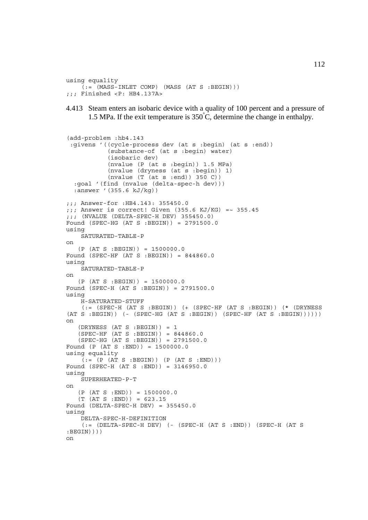```
using equality
    ( := (MASS-INLET COMP) (MASS (AT S : BEGIN)));;; Finished <P: HB4.137A>
```
4.413 Steam enters an isobaric device with a quality of 100 percent and a pressure of 1.5 MPa. If the exit temperature is  $350^{\circ}$ C, determine the change in enthalpy.

```
(add-problem :hb4.143
  :givens '((cycle-process dev (at s :begin) (at s :end))
            (substance-of (at s :begin) water)
            (isobaric dev)
            (nvalue (P (at s :begin)) 1.5 MPa)
            (nvalue (dryness (at s :begin)) 1)
            (nvalue (T (at s :end)) 350 C))
   :goal '(find (nvalue (delta-spec-h dev)))
   :answer '(355.6 kJ/kg))
;;; Answer-for :HB4.143: 355450.0
:: Answer is correct! Given (355.6 KJ/KG) =~ 355.45
;;; (NVALUE (DELTA-SPEC-H DEV) 355450.0)
Found (SPEC-HG (AT S :BEGIN)) = 2791500.0
using
     SATURATED-TABLE-P
on
   (P (AT S : BEGIN)) = 1500000.0Found (SPEC-HF (AT S :BEGIN)) = 844860.0
using
     SATURATED-TABLE-P
on
   (P (AT S : BEGIN)) = 1500000.0Found (SPEC-H (AT S :BEGIN)) = 2791500.0
using
     H-SATURATED-STUFF
     (:= (SPEC-H (AT S :BEGIN)) (+ (SPEC-HF (AT S :BEGIN)) (* (DRYNESS
(AT S : BEGIN) ( - (SPEC-HG (AT S : BEGIN)) (SPEC-HF (AT S : BEGIN)))))on
   (DRYNESS (AT S : BEGIN)) = 1 (SPEC-HF (AT S :BEGIN)) = 844860.0
    (SPEC-HG (AT S :BEGIN)) = 2791500.0
Found (P (AT S :END)) = 1500000.0
using equality
    (:=(P (AT S : BEGIN)) (P (AT S : END)))Found (SPEC-H (AT S :END)) = 3146950.0
using
     SUPERHEATED-P-T
on
   (P (AT S : END)) = 1500000.0 (T (AT S :END)) = 623.15
Found (DELTA-SPEC-H DEV) = 355450.0
using
     DELTA-SPEC-H-DEFINITION
     (:= (DELTA-SPEC-H DEV) (- (SPEC-H (AT S :END)) (SPEC-H (AT S
:BEGIN))))
on
```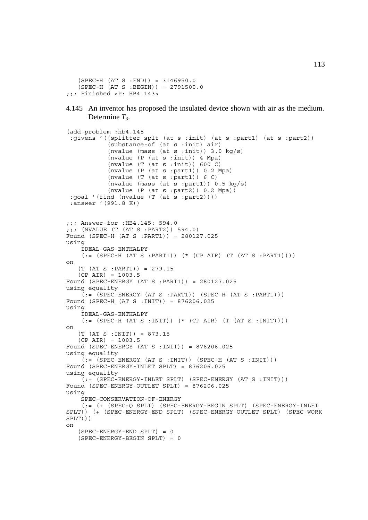```
 (SPEC-H (AT S :END)) = 3146950.0
    (SPEC-H (AT S :BEGIN)) = 2791500.0
;;; Finished <P: HB4.143>
```
4.145 An inventor has proposed the insulated device shown with air as the medium. Determine  $T_3$ .

```
(add-problem :hb4.145
  :givens '((splitter splt (at s :init) (at s :part1) (at s :part2))
            (substance-of (at s :init) air)
            (nvalue (mass (at s :init)) 3.0 kg/s)
            (nvalue (P (at s :init)) 4 Mpa)
            (nvalue (T (at s :init)) 600 C)
            (nvalue (P (at s :part1)) 0.2 Mpa)
           (nvalue (T (at s :part1)) 6 C) (nvalue (mass (at s :part1)) 0.5 kg/s)
             (nvalue (P (at s :part2)) 0.2 Mpa))
 :goal '(find (nvalue (T (at s :part2)))) :answer '(991.8 K))
;;; Answer-for :HB4.145: 594.0
;;; (NVALUE (T (AT S :PART2)) 594.0)
Found (SPEC-H (AT S :PART1)) = 280127.025
using
     IDEAL-GAS-ENTHALPY
    (:=(SPEC-H (AT S : PART1)) (* (CP AIR) (T (AT S : PART1))))on
    (T (AT S :PART1)) = 279.15
   (CP AIR) = 1003.5Found (SPEC-ENERGY (AT S :PART1)) = 280127.025
using equality
    (:= (SPEC-ENERGY (AT S :PART1)) (SPEC-H (AT S :PART1)))
Found (SPEC-H (AT S :INIT)) = 876206.025
using
     IDEAL-GAS-ENTHALPY
    (:=(SPEC-H (AT S :INIT)) (* (CP AIR) (T (AT S :INIT))))on
    (T (AT S :INIT)) = 873.15
    (CP AIR) = 1003.5
Found (SPEC-ENERGY (AT S :INIT)) = 876206.025
using equality
    (:=(SPEC-ENERGY (AT S :INIT)) (SPEC-H (AT S :INIT)))Found (SPEC-ENERGY-INLET SPLT) = 876206.025
using equality
    (:= (SPEC-ENERGY-INLET SPLT) (SPEC-ENERGY (AT S :INIT)))
Found (SPEC-ENERGY-OUTLET SPLT) = 876206.025
using
     SPEC-CONSERVATION-OF-ENERGY
     (:= (+ (SPEC-Q SPLT) (SPEC-ENERGY-BEGIN SPLT) (SPEC-ENERGY-INLET
SPLT)) (+ (SPEC-ENERGY-END SPLT) (SPEC-ENERGY-OUTLET SPLT) (SPEC-WORK
SPLT)))
on
    (SPEC-ENERGY-END SPLT) = 0
    (SPEC-ENERGY-BEGIN SPLT) = 0
```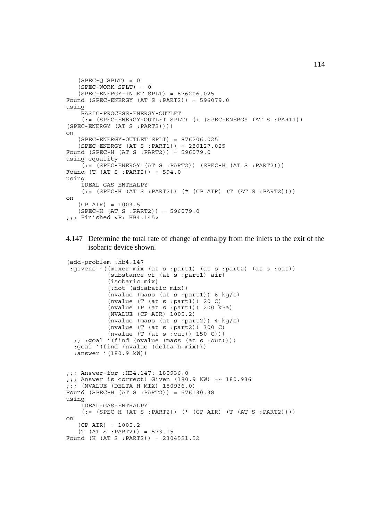```
(SPEC-O SPLT) = 0
   (SPEC-WORK SPLT) = 0 (SPEC-ENERGY-INLET SPLT) = 876206.025
Found (SPEC-ENERGY (AT S :PART2)) = 596079.0
using
     BASIC-PROCESS-ENERGY-OUTLET
     (:= (SPEC-ENERGY-OUTLET SPLT) (+ (SPEC-ENERGY (AT S :PART1))
(SPEC-ENERGY (AT S :PART2))))
on
    (SPEC-ENERGY-OUTLET SPLT) = 876206.025
    (SPEC-ENERGY (AT S :PART1)) = 280127.025
Found (SPEC-H (AT S :PART2)) = 596079.0
using equality
    (i = (SPEC - ENERGY (AT S : PART2)) (SPEC - H (AT S : PART2)))Found (T (AT S :PART2)) = 594.0
using
     IDEAL-GAS-ENTHALPY
     (:= (SPEC-H (AT S :PART2)) (* (CP AIR) (T (AT S :PART2))))
on
   (CP AIR) = 1003.5 (SPEC-H (AT S :PART2)) = 596079.0
j;; Finished <P: HB4.145>
```

```
4.147 Determine the total rate of change of enthalpy from the inlets to the exit of the
       isobaric device shown.
```

```
(add-problem :hb4.147
  :givens '((mixer mix (at s :part1) (at s :part2) (at s :out))
             (substance-of (at s :part1) air)
            (isobaric mix)
            (:not (adiabatic mix))
            (nvalue (mass (at s : part1)) 6 \text{ kg/s} (nvalue (T (at s :part1)) 20 C)
             (nvalue (P (at s :part1)) 200 kPa)
            (NVALUE (CP AIR) 1005.2)
            (nvalue (mass (at s :part2)) 4 kg/s)
            (nvalue (T (at s :part2)) 300 C)
            (nvalue (T (at s :out)) 150 C)))
   ;; :goal '(find (nvalue (mass (at s :out))))
   :goal '(find (nvalue (delta-h mix)))
   :answer '(180.9 kW))
;;; Answer-for :HB4.147: 180936.0
;;; Answer is correct! Given (180.9 KW) =~ 180.936
;;; (NVALUE (DELTA-H MIX) 180936.0)
Found (SPEC-H (AT S :PART2)) = 576130.38
using
     IDEAL-GAS-ENTHALPY
    (:=(SPEC-H (AT S : PART2)) (* (CP AIR) (T (AT S : PART2))))on
   (CP AIR) = 1005.2 (T (AT S :PART2)) = 573.15
Found (H (AT S :PART2)) = 2304521.52
```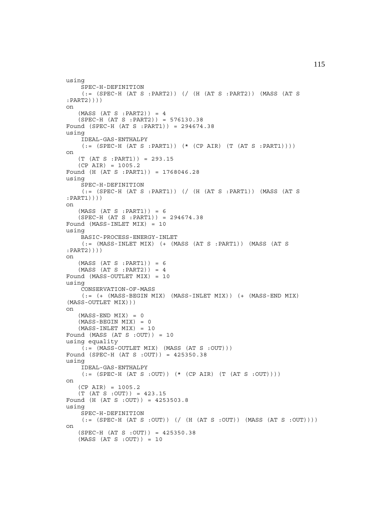```
using
     SPEC-H-DEFINITION
    (:= (SPEC-H (AT S : PART2)) (/ (H (AT S : PART2)) (MASS (AT S
:PART2))))
on
   (MASS (AT S : PART2)) = 4 (SPEC-H (AT S :PART2)) = 576130.38
Found (SPEC-H (AT S :PART1)) = 294674.38
using
     IDEAL-GAS-ENTHALPY
    (:= (SPEC-H (AT S : PART1)) ( * (CP AIR) (T (AT S : PART1))))on
    (T (AT S :PART1)) = 293.15
   (CP AIR) = 1005.2Found (H (AT S :PART1)) = 1768046.28
using
     SPEC-H-DEFINITION
     (:= (SPEC-H (AT S :PART1)) (/ (H (AT S :PART1)) (MASS (AT S
:PART1))))
on
    (MASS (AT S :PART1)) = 6
    (SPEC-H (AT S :PART1)) = 294674.38
Found (MASS-INLET MIX) = 10
using
     BASIC-PROCESS-ENERGY-INLET
     (:= (MASS-INLET MIX) (+ (MASS (AT S :PART1)) (MASS (AT S
:PART2))))
on
   (MASS (AT S : PART1)) = 6(MASS (AT S : PART2)) = 4Found (MASS-OUTLET MIX) = 10
using
     CONSERVATION-OF-MASS
    (:= (+) (MASS-BEGIN MIX) (MASS-INLET MIX)) (+) (MASS-END MIX)
(MASS-OUTLET MIX)))
on
   (MASS-END MIX) = 0(MASS-BEGIN MIX) = 0(MASS-INLET MIX) = 10Found (MASS (AT S :OUT)) = 10
using equality
     (:= (MASS-OUTLET MIX) (MASS (AT S :OUT)))
Found (SPEC-H (AT S :OUT)) = 425350.38
using
     IDEAL-GAS-ENTHALPY
    (:=(SPEC-H (AT S : OUT)) (* (CP AIR) (T (AT S : OUT)))on
   (CP AIR) = 1005.2(T (AT S : OUT)) = 423.15Found (H (AT S :OUT)) = 4253503.8
using
     SPEC-H-DEFINITION
    (:=(SPEC-H (AT S : OUT)) (/(H (AT S : OUT)) (MASS (AT S : OUT)))on
    (SPEC-H (AT S :OUT)) = 425350.38
    (MASS (AT S :OUT)) = 10
```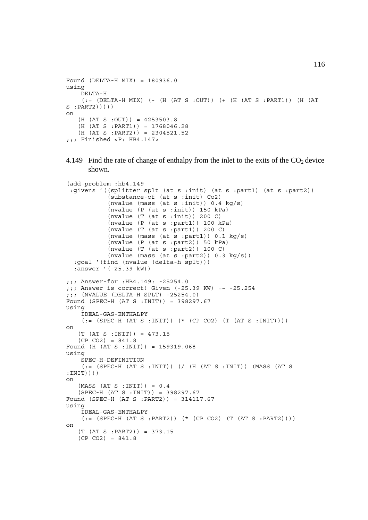```
Found (DELTA-H MIX) = 180936.0
using
     DELTA-H
    (:= (DELTA-H MIX) (- (H (AT S : OUT)) (+ (H (AT S : PART1)) (H (AT
S : PART2)))))
on
   (H (AT S : OUT)) = 4253503.8 (H (AT S :PART1)) = 1768046.28
   (H (AT S : PART2)) = 2304521.52;;; Finished <P: HB4.147>
```
4.149 Find the rate of change of enthalpy from the inlet to the exits of the  $CO<sub>2</sub>$  device shown.

```
(add-problem :hb4.149
  :givens '((splitter splt (at s :init) (at s :part1) (at s :part2))
            (substance-of (at s :init) Co2)
           (nvalue (mass (at s :init)) 0.4 \text{ kg/s})
            (nvalue (P (at s :init)) 150 kPa)
           (nvalue (T (at s :init)) 200 C) (nvalue (P (at s :part1)) 100 kPa)
            (nvalue (T (at s :part1)) 200 C)
             (nvalue (mass (at s :part1)) 0.1 kg/s)
             (nvalue (P (at s :part2)) 50 kPa)
             (nvalue (T (at s :part2)) 100 C)
           (nvalue (mass (at s :part2)) 0.3 kg/s)) :goal '(find (nvalue (delta-h splt)))
   :answer '(-25.39 kW))
;;; Answer-for :HB4.149: -25254.0
;;; Answer is correct! Given (-25.39 KW) =~ -25.254
;;; (NVALUE (DELTA-H SPLT) -25254.0)
Found (SPEC-H (AT S :INIT)) = 398297.67
using
     IDEAL-GAS-ENTHALPY
    (:=(SPEC-H (AT S :INIT)) (* (CP CO2) (T (AT S :INIT)))on
    (T (AT S :INIT)) = 473.15
   (CP CO2) = 841.8Found (H (AT S :INIT)) = 159319.068
using
     SPEC-H-DEFINITION
     (:= (SPEC-H (AT S :INIT)) (/ (H (AT S :INIT)) (MASS (AT S
:INTT)))
on
   (MASS (AT S :INIT)) = 0.4 (SPEC-H (AT S :INIT)) = 398297.67
Found (SPEC-H (AT S :PART2)) = 314117.67
using
     IDEAL-GAS-ENTHALPY
    (:=[SPEC-H (AT S : PART2)) (* (CP CO2) (T (AT S : PART2))])on
    (T (AT S :PART2)) = 373.15
   (CP CO2) = 841.8
```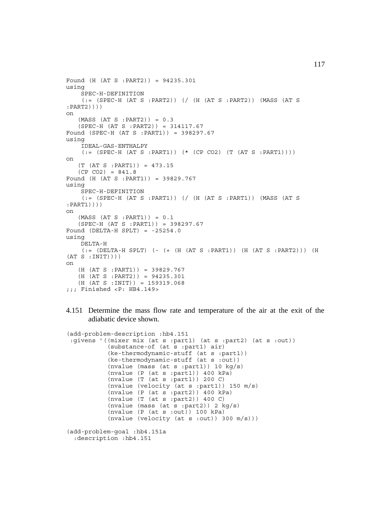```
Found (H (AT S :PART2)) = 94235.301
using
     SPEC-H-DEFINITION
    (: (SPEC-H (AT S :PART2)) (/ (H (AT S :PART2)) (MASS (AT S
:PART2))))
on
   (MASS (AT S : PART2)) = 0.3 (SPEC-H (AT S :PART2)) = 314117.67
Found (SPEC-H (AT S :PART1)) = 398297.67
using
     IDEAL-GAS-ENTHALPY
     (:= (SPEC-H (AT S :PART1)) (* (CP CO2) (T (AT S :PART1))))
on
    (T (AT S :PART1)) = 473.15
   (CP CO2) = 841.8Found (H (AT S :PART1)) = 39829.767
using
     SPEC-H-DEFINITION
     (:= (SPEC-H (AT S :PART1)) (/ (H (AT S :PART1)) (MASS (AT S
:PART1))))
on
   (MASS (AT S : PART1)) = 0.1 (SPEC-H (AT S :PART1)) = 398297.67
Found (DELTA-H SPLT) = -25254.0using
    DELTA-H
     (:= (DELTA-H SPLT) (- (+ (H (AT S :PART1)) (H (AT S :PART2))) (H
(AT S : INT))))
on
    (H (AT S :PART1)) = 39829.767
    (H (AT S :PART2)) = 94235.301
    (H (AT S :INIT)) = 159319.068
;;; Finished <P: HB4.149>
```
4.151 Determine the mass flow rate and temperature of the air at the exit of the adiabatic device shown.

```
(add-problem-description :hb4.151
 :givens '((mixer mix (at s :part1) (at s :part2) (at s :out))
            (substance-of (at s :part1) air)
            (ke-thermodynamic-stuff (at s :part1))
            (ke-thermodynamic-stuff (at s :out))
            (nvalue (mass (at s :part1)) 10 kg/s)
            (nvalue (P (at s :part1)) 400 kPa)
            (nvalue (T (at s :part1)) 200 C)
            (nvalue (velocity (at s :part1)) 150 m/s)
            (nvalue (P (at s :part2)) 400 kPa)
            (nvalue (T (at s :part2)) 400 C)
            (nvalue (mass (at s :part2)) 2 kg/s)
            (nvalue (P (at s :out)) 100 kPa)
           (nvalue (velocity (at s :out)) 300 m/s)))(add-problem-goal :hb4.151a
  :description :hb4.151
```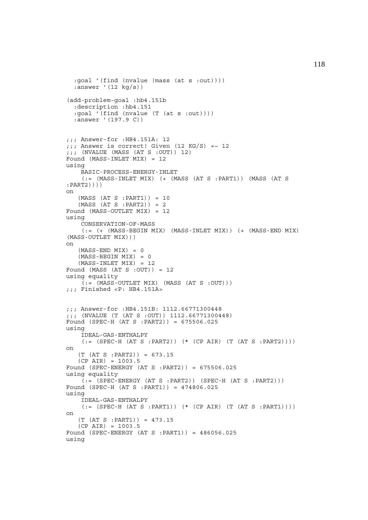```
 :goal '(find (nvalue (mass (at s :out))))
  :answer '(12 kg/s))
(add-problem-goal :hb4.151b
   :description :hb4.151
   :goal '(find (nvalue (T (at s :out))))
   :answer '(197.9 C))
;;; Answer-for :HB4.151A: 12
;; Answer is correct! Given (12 KG/S) =~ 12
;;; (NVALUE (MASS (AT S :OUT)) 12)
Found (MASS-INLET MIX) = 12
using
     BASIC-PROCESS-ENERGY-INLET
     (:= (MASS-INLET MIX) (+ (MASS (AT S :PART1)) (MASS (AT S
:PART2))))
on
    (MASS (AT S :PART1)) = 10
   (MASS (AT S : PART2)) = 2Found (MASS-OUTLET MIX) = 12
using
     CONSERVATION-OF-MASS
    (:= (+ (MASS-BEGIN MIX) (MASS-INLET MIX)) (+ (MASS-END MIX))(MASS-OUTLET MIX)))
on
   (MASS-END MIX) = 0(MASS-BEGIN MIX) = 0(MASS-INLET MIX) = 12Found (MASS (AT S :OUT)) = 12
using equality
    (i := (MASS-CUTLET MIX) (MASS (AT S : OUT)));;; Finished <P: HB4.151A>
;;; Answer-for :HB4.151B: 1112.66771300448
;;; (NVALUE (T (AT S :OUT)) 1112.66771300448)
Found (SPEC-H (AT S :PART2)) = 675506.025
using
     IDEAL-GAS-ENTHALPY
    (:= (SPEC-H (AT S : PART2)) ( * (CP AIR) (T (AT S : PART2))))on
    (T (AT S :PART2)) = 673.15
    (CP AIR) = 1003.5
Found (SPEC-ENERGY (AT S :PART2)) = 675506.025
using equality
    (:= (SPEC-ENERGY (AT S :PART2)) (SPEC-H (AT S :PART2)))
Found (SPEC-H (AT S :PART1)) = 474806.025
using
     IDEAL-GAS-ENTHALPY
    (:=(SPEC-H (AT S : PART1)) (* (CP AIR) (T (AT S : PART1))))on
    (T (AT S :PART1)) = 473.15
    (CP AIR) = 1003.5
Found (SPEC-ENERGY (AT S :PART1)) = 486056.025
using
```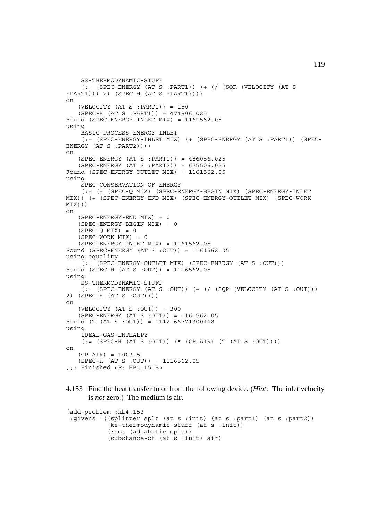```
 SS-THERMODYNAMIC-STUFF
     (:= (SPEC-ENERGY (AT S :PART1)) (+ (/ (SQR (VELOCITY (AT S
:PART1))) 2) (SPEC-H (AT S :PART1))))
on
    (VELOCITY (AT S :PART1)) = 150
    (SPEC-H (AT S :PART1)) = 474806.025
Found (SPEC-ENERGY-INLET MIX) = 1161562.05
using
     BASIC-PROCESS-ENERGY-INLET
     (:= (SPEC-ENERGY-INLET MIX) (+ (SPEC-ENERGY (AT S :PART1)) (SPEC-
ENERGY (AT S : PART2))))
on
    (SPEC-ENERGY (AT S :PART1)) = 486056.025
    (SPEC-ENERGY (AT S :PART2)) = 675506.025
Found (SPEC-ENERGY-OUTLET MIX) = 1161562.05
using
     SPEC-CONSERVATION-OF-ENERGY
     (:= (+ (SPEC-Q MIX) (SPEC-ENERGY-BEGIN MIX) (SPEC-ENERGY-INLET
MIX)) (+ (SPEC-ENERGY-END MIX) (SPEC-ENERGY-OUTLET MIX) (SPEC-WORK
MIX)))
on
   (SPEC-ENERGY-END MIX) = 0(SPEC-ENERGY-BEGIN MIX) = 0(SPEC-O MIX) = 0(SPEC-WORK MIX) = 0 (SPEC-ENERGY-INLET MIX) = 1161562.05
Found (SPEC-ENERGY (AT S :OUT)) = 1161562.05
using equality
    (:= (SPEC-ENERGY-OUTLET MIX) (SPEC-ENERGY (AT S : OUT)))
Found (SPEC-H (AT S :OUT)) = 1116562.05
using
     SS-THERMODYNAMIC-STUFF
    (:= (SPEC-ENERGY (AT S : OUT)) (+ (/ (SOR (VELOCITY (AT S : OUT)))2) (SPEC-H (AT S :OUT))))
on
   (VELOCITY (AT S : OUT)) = 300 (SPEC-ENERGY (AT S :OUT)) = 1161562.05
Found (T (AT S : OUT)) = 1112.66771300448using
     IDEAL-GAS-ENTHALPY
    (:=(SPEC-H (AT S : OUT)) (* (CP AIR) (T (AT S : OUT)))on
    (CP AIR) = 1003.5
    (SPEC-H (AT S :OUT)) = 1116562.05
;;; Finished <P: HB4.151B>
```

```
4.153 Find the heat transfer to or from the following device. (Hint: The inlet velocity
       is not zero.) The medium is air.
```

```
(add-problem :hb4.153
 :givens '((splitter splt (at s :init) (at s :part1) (at s :part2))
            (ke-thermodynamic-stuff (at s :init))
            (:not (adiabatic splt))
            (substance-of (at s :init) air)
```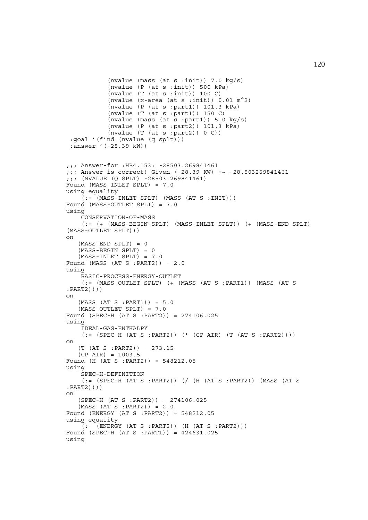```
(nvalue (mass (at s :init)) 7.0 kg/s)
            (nvalue (P (at s :init)) 500 kPa)
            (nvalue (T (at s :init)) 100 C)(nvalue (x-area (at s :init)) 0.01 \text{ m}^2)
            (nvalue (P (at s :part1)) 101.3 kPa)
            (nvalue (T (at s :part1)) 150 C)
           (nvalue (mass (at s :part1)) 5.0 \text{ kg/s})
            (nvalue (P (at s :part2)) 101.3 kPa)
           (nvalue (T (at s :part2)) 0 C)) :goal '(find (nvalue (q splt)))
  :answer '(-28.39 kW))
;;; Answer-for :HB4.153: -28503.269841461
;;; Answer is correct! Given (-28.39 KW) =~ -28.503269841461
;;; (NVALUE (Q SPLT) -28503.269841461)
Found (MASS-INLET SPLT) = 7.0
using equality
    (:=(MASS-INLET SPLT) (MASS (AT S :INIT)))Found (MASS-OUTLET SPLT) = 7.0
using
     CONSERVATION-OF-MASS
     (:= (+ (MASS-BEGIN SPLT) (MASS-INLET SPLT)) (+ (MASS-END SPLT)
(MASS-OUTLET SPLT)))
on
   (MASS-END SPLT) = 0 (MASS-BEGIN SPLT) = 0
    (MASS-INLET SPLT) = 7.0
Found (MASS (AT S : PART2)) = 2.0
using
     BASIC-PROCESS-ENERGY-OUTLET
     (:= (MASS-OUTLET SPLT) (+ (MASS (AT S :PART1)) (MASS (AT S
:PART2))))
on
    (MASS (AT S :PART1)) = 5.0
    (MASS-OUTLET SPLT) = 7.0
Found (SPEC-H (AT S :PART2)) = 274106.025
using
    IDEAL-GAS-ENTHALPY
    (:=(SPEC-H (AT S : PART2)) (* (CP AIR) (T (AT S : PART2))))on
    (T (AT S :PART2)) = 273.15
    (CP AIR) = 1003.5
Found (H (AT S :PART2)) = 548212.05
using
     SPEC-H-DEFINITION
     (:= (SPEC-H (AT S :PART2)) (/ (H (AT S :PART2)) (MASS (AT S
:PART2))))
on
    (SPEC-H (AT S :PART2)) = 274106.025
   (MASS (AT S : PART2)) = 2.0Found (ENERGY (AT S :PART2)) = 548212.05
using equality
    (i = (ENTERGY (AT S : PART2)) (H (AT S : PART2)))Found (SPEC-H (AT S :PART1)) = 424631.025
using
```
120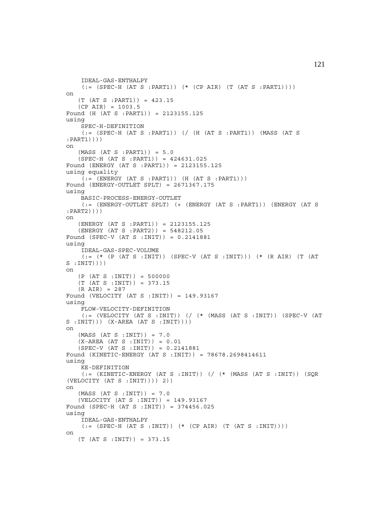```
 IDEAL-GAS-ENTHALPY
    (:=(SPEC-H (AT S : PART1)) (* (CP AIR) (T (AT S : PART1))))on
   (T (AT S : PART1)) = 423.15(CP AIR) = 1003.5Found (H (AT S :PART1)) = 2123155.125
using
    SPEC-H-DEFINITION
    (:=(SPEC-H (AT S : PART1)) ( (H (AT S : PART1)) (MASS (AT S:PART1))))
on
    (MASS (AT S :PART1)) = 5.0
    (SPEC-H (AT S :PART1)) = 424631.025
Found (ENERGY (AT S :PART1)) = 2123155.125
using equality
   (i; = (ENTERGY (AT S : PART1)) (H (AT S : PART1)))Found (ENERGY-OUTLET SPLT) = 2671367.175
using
    BASIC-PROCESS-ENERGY-OUTLET
     (:= (ENERGY-OUTLET SPLT) (+ (ENERGY (AT S :PART1)) (ENERGY (AT S
:PART2))))
on
    (ENERGY (AT S :PART1)) = 2123155.125
    (ENERGY (AT S :PART2)) = 548212.05
Found (SPEC-V (AT S :INIT)) = 0.2141881
using
     IDEAL-GAS-SPEC-VOLUME
    (:= (* (P (AT S :INIT)) (SPEC-V (AT S :INIT))) (* (R AIR) (T (AT
S : INT())))
on
   (P (AT S : INT)) = 500000 (T (AT S :INIT)) = 373.15
    (R AIR) = 287
Found (VELOCITY (AT S : INIT)) = 149.93167
using
    FLOW-VELOCITY-DEFINITION
    (:= (VELOCITY (AT S :INIT)) (/ (* (MASS (AT S :INIT)) (SPEC-V (AT
S : INT())) (X-AREA (AT S : INT())on
   (MASS (AT S :INIT)) = 7.0(X-AREA (AT S :INIT)) = 0.01 (SPEC-V (AT S :INIT)) = 0.2141881
Found (KINETIC-ENERGY (AT S :INIT)) = 78678.2698414611
using
    KE-DEFINITION
     (:= (KINETIC-ENERGY (AT S :INIT)) (/ (* (MASS (AT S :INIT)) (SQR
(VELOCITY (AT S :INIT)))) 2))
on
   (MASS (AT S :INIT)) = 7.0 (VELOCITY (AT S :INIT)) = 149.93167
Found (SPEC-H (AT S :INIT)) = 374456.025
using
     IDEAL-GAS-ENTHALPY
    (:=(SPEC-H (AT S :INIT)) (* (CP AIR) (T (AT S :INIT)))on
    (T (AT S :INIT)) = 373.15
```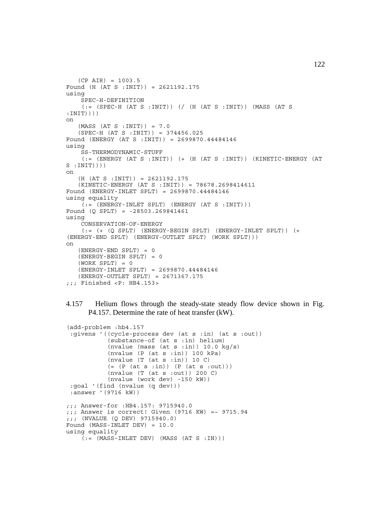```
(CP AIR) = 1003.5Found (H (AT S :INIT)) = 2621192.175
using
     SPEC-H-DEFINITION
    (: (SPEC-H (AT S :INIT)) (/ (H (AT S :INIT)) (MASS (AT S
:INIT))))
on
   (MASS (AT S :INIT)) = 7.0 (SPEC-H (AT S :INIT)) = 374456.025
Found (ENERGY (AT S :INIT)) = 2699870.44484146
using
     SS-THERMODYNAMIC-STUFF
     (:= (ENERGY (AT S :INIT)) (+ (H (AT S :INIT)) (KINETIC-ENERGY (AT
S :INIT))))
on
    (H (AT S :INIT)) = 2621192.175
    (KINETIC-ENERGY (AT S :INIT)) = 78678.2698414611
Found (ENERGY-INLET SPLT) = 2699870.44484146
using equality
    (:=(ENERGY-INLET SPIT) (ENERGY (AT S .INIT)))Found (Q SPLT) = -28503.269841461
using
     CONSERVATION-OF-ENERGY
    (:= (+) (5) (5) (5) (6) (6) (7) (8) (8) (7) (8) (8) (1) (1) (1) (1) (1) (1) (1) (1) (1) (1) (1) (1) (1) (1) (1) (1) (1) (1) (1) (1) (1) (1) (1) (1) (ENERGY-END SPLT) (ENERGY-OUTLET SPLT) (WORK SPLT)))
on
    (ENERGY-END SPLT) = 0
    (ENERGY-BEGIN SPLT) = 0
   (WORK SPLT) = 0 (ENERGY-INLET SPLT) = 2699870.44484146
    (ENERGY-OUTLET SPLT) = 2671367.175
;;; Finished <P: HB4.153>
```

```
4.157 Helium flows through the steady-state steady flow device shown in Fig.
       P4.157. Determine the rate of heat transfer (kW).
```

```
(add-problem :hb4.157
  :givens '((cycle-process dev (at s :in) (at s :out))
            (substance-of (at s :in) helium)
            (nvalue (mass (at s :in)) 10.0 kg/s)
            (nvalue (P (at s :in)) 100 kPa)
           (nvalue (T (at s : in)) 10 C)(=(P (at s :in)) (P (at s :out))) (nvalue (T (at s :out)) 200 C)
            (nvalue (work dev) -150 kW))
  :goal '(find (nvalue (q dev)))
  :answer '(9716 kW))
;;; Answer-for :HB4.157: 9715940.0
j;; Answer is correct! Given (9716 KW) =~ 9715.94
;;; (NVALUE (Q DEV) 9715940.0)
Found (MASS-INLET DEV) = 10.0
using equality
    (:=(MASS-INLET DEV) (MASS (AT S : IN)))
```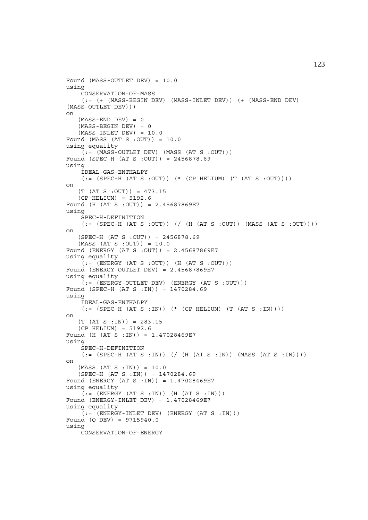```
Found (MASS-OUTLET DEV) = 10.0
using
     CONSERVATION-OF-MASS
    (:= ( + (MASS-BEGIN DEV) (MASS-INLET DEV) ( + (MASS-END DEV)
(MASS-OUTLET DEV)))
on
   (MASS-END DEV) = 0
    (MASS-BEGIN DEV) = 0
   (MASS-INLET DEV) = 10.0Found (MASS (AT S :OUT)) = 10.0
using equality
    ( := (MASS-OUTLET DEV) (MASS (AT S : OUT)))Found (SPEC-H (AT S :OUT)) = 2456878.69
using
     IDEAL-GAS-ENTHALPY
    (:= (SPEC-H (AT S : OUT)) (* (CP HELIUM) (T (AT S : OUT))))\capn
    (T (AT S :OUT)) = 473.15
    (CP HELIUM) = 5192.6
Found (H (AT S :OUT)) = 2.45687869E7
using
     SPEC-H-DEFINITION
    (:= (SPEC-H (AT S : OUT)) // (H (AT S : OUT)) (MASS (AT S : OUT))on
    (SPEC-H (AT S :OUT)) = 2456878.69
    (MASS (AT S :OUT)) = 10.0
Found (ENERGY (AT S :OUT)) = 2.45687869E7
using equality
    (t;=[(ENERGY (AT S : OUT)) (H (AT S : OUT))))Found (ENERGY-OUTLET DEV) = 2.45687869E7
using equality
    ( := (ENERGY - OUTLET DEV) (ENERGY (AT S : OUT)))Found (SPEC-H (AT S :IN)) = 1470284.69
using
     IDEAL-GAS-ENTHALPY
    (:= (SPEC-H (AT S :IN)) (* (CP HELIUM) (T (AT S :IN))))
on
   (T (AT S : IN)) = 283.15(CP HELIUM) = 5192.6Found (H (AT S :IN)) = 1.47028469E7
using
     SPEC-H-DEFINITION
    (:= (SPEC-H (AT S :IN)) ( ( H (AT S :IN)) (MASS (AT S :IN)) ))on
   (MASS (AT S :IN)) = 10.0 (SPEC-H (AT S :IN)) = 1470284.69
Found (ENERGY (AT S :IN)) = 1.47028469E7
using equality
    ( := (ENTERGY (AT S : IN)) (H (AT S : IN)))Found (ENERGY-INLET DEV) = 1.47028469E7
using equality
    (t,=\n\begin{bmatrix}\n\text{c} & \text{c} & \text{c} \\
\text{c} & \text{d} & \text{c} & \text{c}\n\end{bmatrix} (ENERGY (AT S : IN)))
Found (Q DEV) = 9715940.0
using
     CONSERVATION-OF-ENERGY
```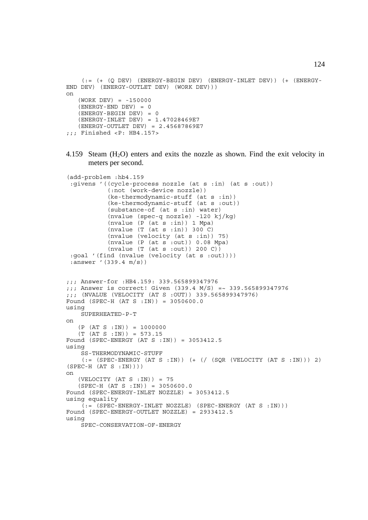```
(:= (+ (Q DEF) (ENERGY-BEGIN DEV) (ENERGY-INLET DEV)) (+ (ENERGY-END DEV) (ENERGY-OUTLET DEV) (WORK DEV)))
on
   (WORK DEV) = -150000(ENERGY-END DEV) = 0 (ENERGY-BEGIN DEV) = 0
    (ENERGY-INLET DEV) = 1.47028469E7
    (ENERGY-OUTLET DEV) = 2.45687869E7
;;; Finished <P: HB4.157>
```
4.159 Steam  $(H<sub>2</sub>O)$  enters and exits the nozzle as shown. Find the exit velocity in meters per second.

```
(add-problem :hb4.159
  :givens '((cycle-process nozzle (at s :in) (at s :out))
             (:not (work-device nozzle))
            (ke-thermodynamic-stuff (at s :in))
            (ke-thermodynamic-stuff (at s :out))
            (substance-of (at s :in) water)
            (nvalue (spec-q nozzle) -120 kj/kg)
            (nvalue (P (at s :in)) 1 Mpa)
            (nvalue (T (at s :in)) 300 C)
             (nvalue (velocity (at s :in)) 75)
             (nvalue (P (at s :out)) 0.08 Mpa)
            (nvalue (T (at s :out)) 200 C))
  :goal '(find (nvalue (velocity (at s :out))))
  :answer '(339.4 m/s))
;;; Answer-for :HB4.159: 339.565899347976
;;; Answer is correct! Given (339.4 M/S) =~ 339.565899347976
;;; (NVALUE (VELOCITY (AT S :OUT)) 339.565899347976)
Found (SPEC-H (AT S :IN)) = 3050600.0
using
     SUPERHEATED-P-T
on
    (P (AT S :IN)) = 1000000
   (T (AT S : IN)) = 573.15Found (SPEC-ENERGY (AT S :IN)) = 3053412.5
using
     SS-THERMODYNAMIC-STUFF
    (:= (SPEC-ENERGY (AT S :IN)) (+ (/ (SQR (VELOCITY (AT S :IN))) 2)
(SPEC-H (AT S : IN))on
   (VELOCITY (AT S : IN)) = 75 (SPEC-H (AT S :IN)) = 3050600.0
Found (SPEC-ENERGY-INLET NOZZLE) = 3053412.5
using equality
    (:= (SPEC-ENERGY-INLET NOZZLE) (SPEC-ENERGY (AT S :IN)))Found (SPEC-ENERGY-OUTLET NOZZLE) = 2933412.5
using
     SPEC-CONSERVATION-OF-ENERGY
```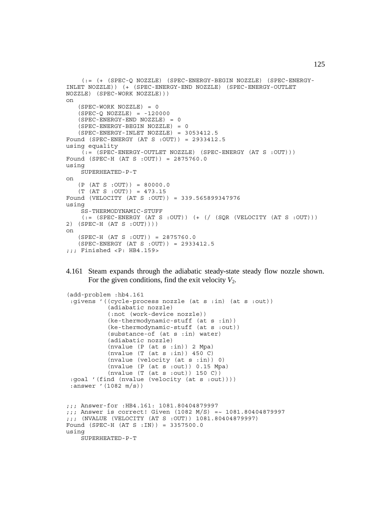```
 (:= (+ (SPEC-Q NOZZLE) (SPEC-ENERGY-BEGIN NOZZLE) (SPEC-ENERGY-
INLET NOZZLE)) (+ (SPEC-ENERGY-END NOZZLE) (SPEC-ENERGY-OUTLET
NOZZLE) (SPEC-WORK NOZZLE)))
on
   (SPEC-WORK NOZZLE) = 0(SPEC-O NOZZLE) = -120000 (SPEC-ENERGY-END NOZZLE) = 0
    (SPEC-ENERGY-BEGIN NOZZLE) = 0
    (SPEC-ENERGY-INLET NOZZLE) = 3053412.5
Found (SPEC-ENERGY (AT S :OUT)) = 2933412.5
using equality
     (:= (SPEC-ENERGY-OUTLET NOZZLE) (SPEC-ENERGY (AT S :OUT)))
Found (SPEC-H (AT S :OUT)) = 2875760.0
using
     SUPERHEATED-P-T
on
   (P (AT S : OUT)) = 80000.0 (T (AT S :OUT)) = 473.15
Found (VELOCITY (AT S :OUT)) = 339.565899347976
using
     SS-THERMODYNAMIC-STUFF
    (:= (SPEC-ENERGY (AT S : OUT)) (+ (/ (SQR (VELOCITY (AT S : OUT)))
2) (SPEC-H (AT S :OUT))))
on
    (SPEC-H (AT S :OUT)) = 2875760.0
    (SPEC-ENERGY (AT S :OUT)) = 2933412.5
;;; Finished <P: HB4.159>
```
4.161 Steam expands through the adiabatic steady-state steady flow nozzle shown. For the given conditions, find the exit velocity  $V_2$ .

```
(add-problem :hb4.161
  :givens '((cycle-process nozzle (at s :in) (at s :out))
             (adiabatic nozzle)
            (:not (work-device nozzle))
            (ke-thermodynamic-stuff (at s :in))
            (ke-thermodynamic-stuff (at s :out))
            (substance-of (at s :in) water)
            (adiabatic nozzle)
             (nvalue (P (at s :in)) 2 Mpa)
             (nvalue (T (at s :in)) 450 C)
             (nvalue (velocity (at s :in)) 0)
            (nvalue (P (at s :out)) 0.15 Mpa)
           (nvalue (T (at s : out)) 150 C) :goal '(find (nvalue (velocity (at s :out))))
 :answer '(1082 m/s))
;;; Answer-for :HB4.161: 1081.80404879997
;;; Answer is correct! Given (1082 M/S) =~ 1081.80404879997
;;; (NVALUE (VELOCITY (AT S :OUT)) 1081.80404879997)
Found (SPEC-H (AT S :IN)) = 3357500.0
using
     SUPERHEATED-P-T
```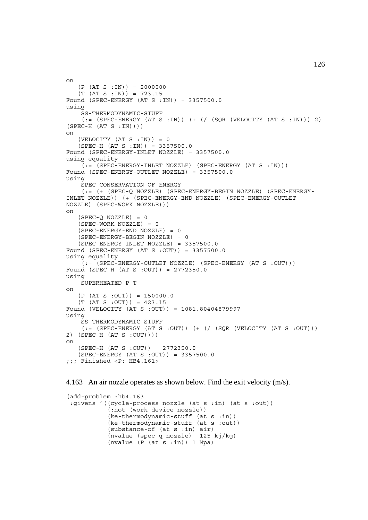```
on
   (P (AT S : IN)) = 2000000(T (AT S : IN)) = 723.15Found (SPEC-ENERGY (AT S : IN)) = 3357500.0using
     SS-THERMODYNAMIC-STUFF
    (:= (SPEC-ENERGY (AT S :IN)) (+ // (SQR (VELOCITY (AT S :IN))) 2)(SPEC-H (AT S : IN))on
   (VELOCITY (AT S : IN)) = 0(SPEC-H (AT S : IN)) = 3357500.0Found (SPEC-ENERGY-INLET NOZZLE) = 3357500.0
using equality
    (i = (SPEC - ENERGY - INLET NOZZLE) (SPEC - ENERGY (AT S : IN)))Found (SPEC-ENERGY-OUTLET NOZZLE) = 3357500.0
using
     SPEC-CONSERVATION-OF-ENERGY
     (:= (+ (SPEC-Q NOZZLE) (SPEC-ENERGY-BEGIN NOZZLE) (SPEC-ENERGY-
INLET NOZZLE)) (+ (SPEC-ENERGY-END NOZZLE) (SPEC-ENERGY-OUTLET
NOZZLE) (SPEC-WORK NOZZLE)))
on
   (SPEC-Q NOZZLE) = 0 (SPEC-WORK NOZZLE) = 0
    (SPEC-ENERGY-END NOZZLE) = 0
    (SPEC-ENERGY-BEGIN NOZZLE) = 0
    (SPEC-ENERGY-INLET NOZZLE) = 3357500.0
Found (SPEC-ENERGY (AT S :OUT)) = 3357500.0
using equality
    (:= (SPEC-ENERGY-OUTLET NOZZLE) (SPEC-ENERGY (AT S :OUT)))
Found (SPEC-H (AT S :OUT)) = 2772350.0
using
     SUPERHEATED-P-T
on
   (P (AT S : OUT)) = 150000.0 (T (AT S :OUT)) = 423.15
Found (VELOCITY (AT S :OUT)) = 1081.80404879997
using
     SS-THERMODYNAMIC-STUFF
    (:= (SPEC-ENERGY (AT S :OUT)) (+ (/ (SQR (VELOCITY (AT S :OUT)))
2) (SPEC-H (AT S :OUT))))
on
    (SPEC-H (AT S :OUT)) = 2772350.0
    (SPEC-ENERGY (AT S :OUT)) = 3357500.0
;;; Finished <P: HB4.161>
```

```
4.163 An air nozzle operates as shown below. Find the exit velocity (m/s).
```

```
(add-problem :hb4.163
 :givens '((cycle-process nozzle (at s :in) (at s :out))
           (:not (work-device nozzle))
 (ke-thermodynamic-stuff (at s :in))
 (ke-thermodynamic-stuff (at s :out))
           (substance-of (at s :in) air)
           (nvalue (spec-q nozzle) -125 kj/kg)
          (nvalue (P (at s.in)) 1 Mpa)
```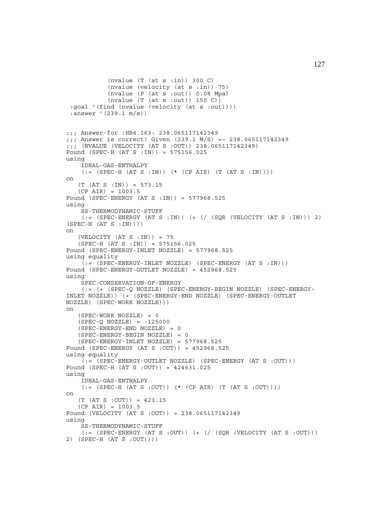```
 (nvalue (T (at s :in)) 300 C)
            (nvalue (velocity (at s :in)) 75)
            (nvalue (P (at s :out)) 0.08 Mpa)
            (nvalue (T (at s :out)) 150 C))
  :goal '(find (nvalue (velocity (at s :out))))
  :answer '(239.1 m/s))
;;; Answer-for :HB4.163: 238.065117142349
;;; Answer is correct! Given (239.1 M/S) =~ 238.065117142349
;;; (NVALUE (VELOCITY (AT S :OUT)) 238.065117142349)
Found (SPEC-H (AT S :IN)) = 575156.025
using
     IDEAL-GAS-ENTHALPY
    ( := (SPEC-H (AT S : IN)) ( * (CP AIR) (T (AT S :IN)))on
    (T (AT S :IN)) = 573.15
    (CP AIR) = 1003.5
Found (SPEC-ENERGY (AT S :IN)) = 577968.525
using
     SS-THERMODYNAMIC-STUFF
    (:= (SPEC-ENERGY (AT S :IN)) (+ (/ (SQR (VELOCITY (AT S :IN))) 2)(SPEC-H (AT S : IN))on
   (VELOCITY (AT S : IN)) = 75 (SPEC-H (AT S :IN)) = 575156.025
Found (SPEC-ENERGY-INLET NOZZLE) = 577968.525
using equality
    (:= (SPEC-ENERGY-INLET NOZZLE) (SPEC-ENERGY (AT S :IN)))
Found (SPEC-ENERGY-OUTLET NOZZLE) = 452968.525
using
    SPEC-CONSERVATION-OF-ENERGY
     (:= (+ (SPEC-Q NOZZLE) (SPEC-ENERGY-BEGIN NOZZLE) (SPEC-ENERGY-
INLET NOZZLE)) (+ (SPEC-ENERGY-END NOZZLE) (SPEC-ENERGY-OUTLET
NOZZLE) (SPEC-WORK NOZZLE)))
on
    (SPEC-WORK NOZZLE) = 0
   (SPEC-O NOZZLE) = -125000(SPEC-ENERGY-END NOZZLE) = 0 (SPEC-ENERGY-BEGIN NOZZLE) = 0
    (SPEC-ENERGY-INLET NOZZLE) = 577968.525
Found (SPEC-ENERGY (AT S :OUT)) = 452968.525
using equality
     (:= (SPEC-ENERGY-OUTLET NOZZLE) (SPEC-ENERGY (AT S :OUT)))
Found (SPEC-H (AT S :OUT)) = 424631.025
using
     IDEAL-GAS-ENTHALPY
    (:=(SPEC-H (AT S : OUT)) (* (CP AIR) (T (AT S : OUT))))on
    (T (AT S :OUT)) = 423.15
   (CP AIR) = 1003.5Found (VELOCITY (AT S :OUT)) = 238.065117142349
using
     SS-THERMODYNAMIC-STUFF
    (:=(SPEC-ENERGY (AT S .OUT)) (+ { / (SQR (VELOCITY (AT S .OUT)))2) (SPEC-H (AT S :OUT))))
```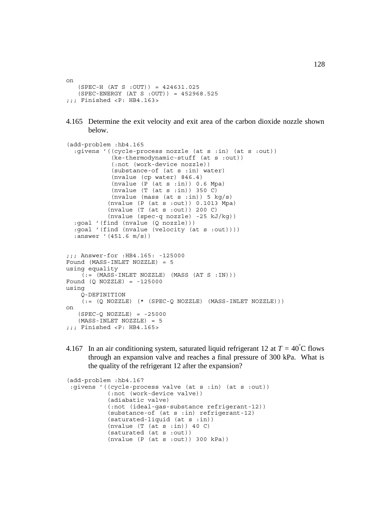on  $(SPEC-H (AT S : OUT)) = 424631.025$  (SPEC-ENERGY (AT S :OUT)) = 452968.525 ;;; Finished <P: HB4.163>

4.165 Determine the exit velocity and exit area of the carbon dioxide nozzle shown below.

```
(add-problem :hb4.165
   :givens '((cycle-process nozzle (at s :in) (at s :out))
              (ke-thermodynamic-stuff (at s :out))
              (:not (work-device nozzle))
              (substance-of (at s :in) water)
              (nvalue (cp water) 846.4)
              (nvalue (P (at s :in)) 0.6 Mpa)
             (nvalue (T (at s : in)) 350 C)(nvalue (mass (at s :in)) 5 kg/s)
            (nvalue (P (at s :out)) 0.1013 Mpa)
            (nvalue (T (at s :out)) 200 C)
            (nvalue (spec-q nozzle) -25 kJ/kg))
   :goal '(find (nvalue (Q nozzle)))
   :goal '(find (nvalue (velocity (at s :out))))
   :answer '(451.6 m/s))
;;; Answer-for :HB4.165: -125000
Found (MASS-INLET NOZZLE) = 5
using equality
    ( := (MASS-INLET NOZZLE) (MASS (AT S : IN)))Found (Q NOZZLE) = -125000using
     Q-DEFINITION
    (i = (Q NOZZLE) (* (SPEC-Q NOZZLE) (MASS-INLET NOZZLE)))
on
   (SPEC-Q NOZZLE) = -25000 (MASS-INLET NOZZLE) = 5
;;; Finished <P: HB4.165>
```
4.167 In an air conditioning system, saturated liquid refrigerant 12 at  $T = 40^{\circ}$ C flows through an expansion valve and reaches a final pressure of 300 kPa. What is the quality of the refrigerant 12 after the expansion?

```
(add-problem :hb4.167
:givens '((cycle-process valve (at s :in) (at s :out))
            (:not (work-device valve))
            (adiabatic valve)
            (:not (ideal-gas-substance refrigerant-12))
            (substance-of (at s :in) refrigerant-12)
            (saturated-liquid (at s :in))
           (nvalue (T (at s : in)) 40 C) (saturated (at s :out))
            (nvalue (P (at s :out)) 300 kPa))
```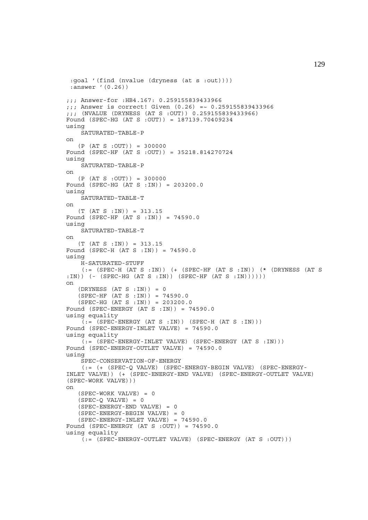```
 :goal '(find (nvalue (dryness (at s :out))))
  :answer '(0.26))
;;; Answer-for :HB4.167: 0.259155839433966
;;; Answer is correct! Given (0.26) =~ 0.259155839433966
;;; (NVALUE (DRYNESS (AT S :OUT)) 0.259155839433966)
Found (SPEC-HG (AT S :OUT)) = 187139.70409234
using
     SATURATED-TABLE-P
on
   (P (AT S : OUT)) = 300000Found (SPEC-HF (AT S :OUT)) = 35218.814270724
using
    SATURATED-TABLE-P
on
   (P (AT S : OUT)) = 300000Found (SPEC-HG (AT S :IN)) = 203200.0
using
     SATURATED-TABLE-T
on
   (T (AT S : IN)) = 313.15Found (SPEC-HF (AT S :IN)) = 74590.0
using
     SATURATED-TABLE-T
on
    (T (AT S :IN)) = 313.15
Found (SPEC-H (AT S :IN)) = 74590.0
using
     H-SATURATED-STUFF
     (:= (SPEC-H (AT S :IN)) (+ (SPEC-HF (AT S :IN)) (* (DRYNESS (AT S
:IN)) (- (SPEC-HG (AT S :IN)) (SPEC-HF (AT S :IN))))))
on
   (DRYNESS (AT S : IN)) = 0 (SPEC-HF (AT S :IN)) = 74590.0
    (SPEC-HG (AT S :IN)) = 203200.0
Found (SPEC-ENERGY (AT S : IN)) = 74590.0using equality
    (t) = (SPEC - ENERGY (AT S : IN)) (SPEC - H (AT S : IN)))Found (SPEC-ENERGY-INLET VALVE) = 74590.0
using equality
    (:= (SPEC-ENERGY-INLET VALVE) (SPEC-ENERGY (AT S :IN)))
Found (SPEC-ENERGY-OUTLET VALVE) = 74590.0
using
     SPEC-CONSERVATION-OF-ENERGY
     (:= (+ (SPEC-Q VALVE) (SPEC-ENERGY-BEGIN VALVE) (SPEC-ENERGY-
INLET VALVE)) (+ (SPEC-ENERGY-END VALVE) (SPEC-ENERGY-OUTLET VALVE)
(SPEC-WORK VALVE)))
on
    (SPEC-WORK VALVE) = 0
   (SPEC-Q VALUE) = 0 (SPEC-ENERGY-END VALVE) = 0
    (SPEC-ENERGY-BEGIN VALVE) = 0
    (SPEC-ENERGY-INLET VALVE) = 74590.0
Found (SPEC-ENERGY (AT S :OUT)) = 74590.0
using equality
     (:= (SPEC-ENERGY-OUTLET VALVE) (SPEC-ENERGY (AT S :OUT)))
```
129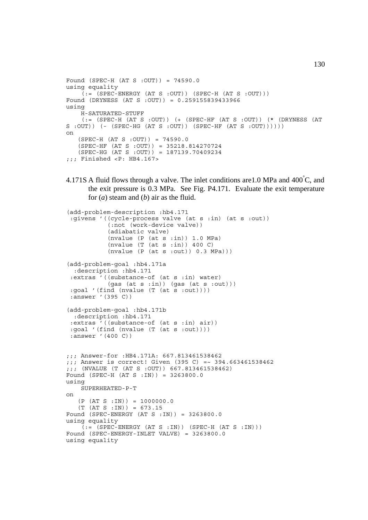```
Found (SPEC-H (AT S :OUT)) = 74590.0
using equality
    (:= (SPEC-ENERGY (AT S : OUT)) (SPEC-H (AT S : OUT)))
Found (DRYNESS (AT S :OUT)) = 0.259155839433966
using
     H-SATURATED-STUFF
     (:= (SPEC-H (AT S :OUT)) (+ (SPEC-HF (AT S :OUT)) (* (DRYNESS (AT
S :OUT)) (- (SPEC-HG (AT S :OUT)) (SPEC-HF (AT S :OUT))))))
on
    (SPEC-H (AT S :OUT)) = 74590.0
    (SPEC-HF (AT S :OUT)) = 35218.814270724
    (SPEC-HG (AT S :OUT)) = 187139.70409234
;;; Finished <P: HB4.167>
```
4.171S A fluid flows through a valve. The inlet conditions are 1.0 MPa and  $400^{\circ}$ C, and the exit pressure is 0.3 MPa. See Fig. P4.171. Evaluate the exit temperature for (*a*) steam and (*b*) air as the fluid.

```
(add-problem-description :hb4.171
 :givens '((cycle-process valve (at s :in) (at s :out))
             (:not (work-device valve))
            (adiabatic valve)
           (nvalue (P (at s.in)) 1.0 MPa)(nvalue (T (at s : in)) 400 C)(nvalue (P (at s :out)) 0.3 MPa))(add-problem-goal :hb4.171a
   :description :hb4.171
  :extras '((substance-of (at s :in) water)
            (gas (at s :in)) (gas (at s :out)))
  :goal '(find (nvalue (T (at s :out))))
  :answer '(395 C))
(add-problem-goal :hb4.171b
   :description :hb4.171
  :extras '((substance-of (at s :in) air))
  :goal '(find (nvalue (T (at s :out))))
  :answer '(400 C))
;;; Answer-for :HB4.171A: 667.813461538462
;;; Answer is correct! Given (395 C) =~ 394.663461538462
;;; (NVALUE (T (AT S :OUT)) 667.813461538462)
Found (SPEC-H (AT S :IN)) = 3263800.0
using
     SUPERHEATED-P-T
on
   (P (AT S : IN)) = 1000000.0(T (AT S : IN)) = 673.15Found (SPEC-ENERGY (AT S :IN)) = 3263800.0
using equality
    (:=(SPEC-ENERGY (AT S :IN)) (SPEC-H (AT S :IN)))Found (SPEC-ENERGY-INLET VALVE) = 3263800.0
using equality
```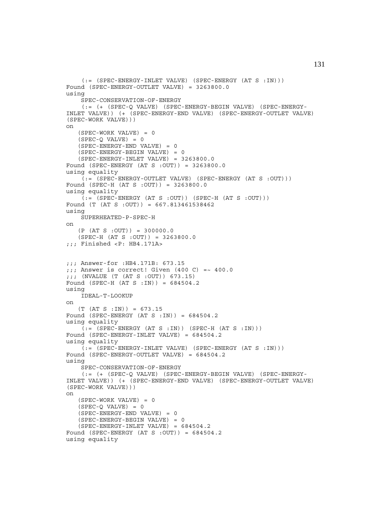```
(:=(SPEC-ENERGY-INLET VALUE) (SPEC-ENERGY (AT S :IN)))Found (SPEC-ENERGY-OUTLET VALVE) = 3263800.0
using
     SPEC-CONSERVATION-OF-ENERGY
     (:= (+ (SPEC-Q VALVE) (SPEC-ENERGY-BEGIN VALVE) (SPEC-ENERGY-
INLET VALVE)) (+ (SPEC-ENERGY-END VALVE) (SPEC-ENERGY-OUTLET VALVE)
(SPEC-WORK VALVE)))
on
    (SPEC-WORK VALVE) = 0
   (SPEC-O VALUE) = 0 (SPEC-ENERGY-END VALVE) = 0
    (SPEC-ENERGY-BEGIN VALVE) = 0
   (SPEC-ENERGY-INLET VALUE) = 3263800.0Found (SPEC-ENERGY (AT S :OUT)) = 3263800.0
using equality
    (:= (SPEC-ENERGY-OUTLET VALUE) (SPEC-ENERGY (AT S .OUT)))Found (SPEC-H (AT S :OUT)) = 3263800.0
using equality
    (:= (SPEC-ENERGY (AT S :OUT)) (SPEC-H (AT S :OUT)))
Found (T (AT S : OUT)) = 667.813461538462)using
     SUPERHEATED-P-SPEC-H
on
   (P (AT S : OUT)) = 300000.0 (SPEC-H (AT S :OUT)) = 3263800.0
;;; Finished <P: HB4.171A>
;;; Answer-for :HB4.171B: 673.15
;;; Answer is correct! Given (400 \text{ C}) = ~ 400.0;;; (NVALUE (T (AT S :OUT)) 673.15)
Found (SPEC-H (AT S :IN)) = 684504.2
using
     IDEAL-T-LOOKUP
on
   (T (AT S : IN)) = 673.15Found (SPEC-ENERGY (AT S : IN)) = 684504.2
using equality
    (i = (SPEC - ENERGY (AT S : IN)) (SPEC - H (AT S : IN)))Found (SPEC-ENERGY-INLET VALVE) = 684504.2
using equality
     (:= (SPEC-ENERGY-INLET VALVE) (SPEC-ENERGY (AT S :IN)))
Found (SPEC-ENERGY-OUTLET VALVE) = 684504.2
using
     SPEC-CONSERVATION-OF-ENERGY
     (:= (+ (SPEC-Q VALVE) (SPEC-ENERGY-BEGIN VALVE) (SPEC-ENERGY-
INLET VALVE)) (+ (SPEC-ENERGY-END VALVE) (SPEC-ENERGY-OUTLET VALVE)
(SPEC-WORK VALVE)))
on
    (SPEC-WORK VALVE) = 0
   (SPEC-Q VALUE) = 0 (SPEC-ENERGY-END VALVE) = 0
    (SPEC-ENERGY-BEGIN VALVE) = 0
    (SPEC-ENERGY-INLET VALVE) = 684504.2
Found (SPEC-ENERGY (AT S :OUT)) = 684504.2
using equality
```